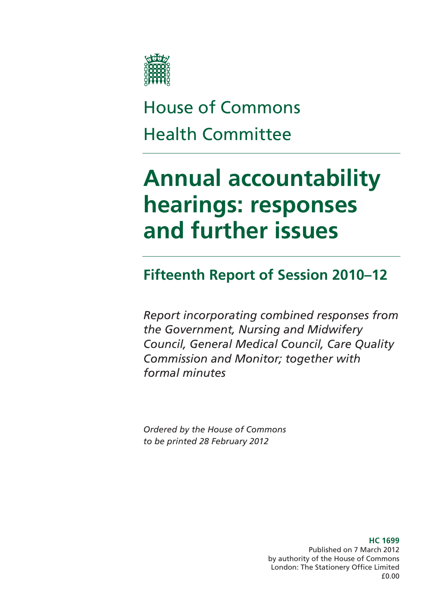

# House of Commons Health Committee

# **Annual accountability hearings: responses and further issues**

## **Fifteenth Report of Session 2010–12**

*Report incorporating combined responses from the Government, Nursing and Midwifery Council, General Medical Council, Care Quality Commission and Monitor; together with formal minutes* 

*Ordered by the House of Commons to be printed 28 February 2012* 

> **HC 1699**  Published on 7 March 2012 by authority of the House of Commons London: The Stationery Office Limited £0.00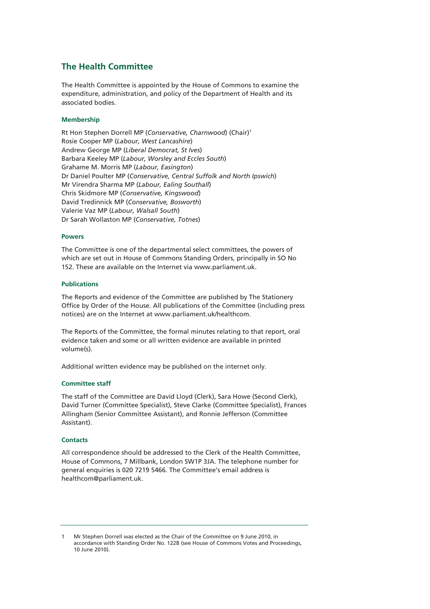## **The Health Committee**

The Health Committee is appointed by the House of Commons to examine the expenditure, administration, and policy of the Department of Health and its associated bodies.

#### **Membership**

Rt Hon Stephen Dorrell MP (*Conservative, Charnwood*) (Chair)1 Rosie Cooper MP (*Labour, West Lancashire*) Andrew George MP (*Liberal Democrat, St Ives*) Barbara Keeley MP (*Labour, Worsley and Eccles South*) Grahame M. Morris MP (*Labour, Easington*) Dr Daniel Poulter MP (*Conservative, Central Suffolk and North Ipswich*) Mr Virendra Sharma MP (*Labour, Ealing Southall*) Chris Skidmore MP (*Conservative, Kingswood*) David Tredinnick MP (*Conservative, Bosworth*) Valerie Vaz MP (*Labour, Walsall South*) Dr Sarah Wollaston MP (*Conservative, Totnes*)

#### **Powers**

The Committee is one of the departmental select committees, the powers of which are set out in House of Commons Standing Orders, principally in SO No 152. These are available on the Internet via www.parliament.uk.

#### **Publications**

The Reports and evidence of the Committee are published by The Stationery Office by Order of the House. All publications of the Committee (including press notices) are on the Internet at www.parliament.uk/healthcom.

The Reports of the Committee, the formal minutes relating to that report, oral evidence taken and some or all written evidence are available in printed volume(s).

Additional written evidence may be published on the internet only.

#### **Committee staff**

The staff of the Committee are David Lloyd (Clerk), Sara Howe (Second Clerk), David Turner (Committee Specialist), Steve Clarke (Committee Specialist), Frances Allingham (Senior Committee Assistant), and Ronnie Jefferson (Committee Assistant).

#### **Contacts**

All correspondence should be addressed to the Clerk of the Health Committee, House of Commons, 7 Millbank, London SW1P 3JA. The telephone number for general enquiries is 020 7219 5466. The Committee's email address is healthcom@parliament.uk.

1 Mr Stephen Dorrell was elected as the Chair of the Committee on 9 June 2010, in accordance with Standing Order No. 122B (see House of Commons Votes and Proceedings, 10 June 2010).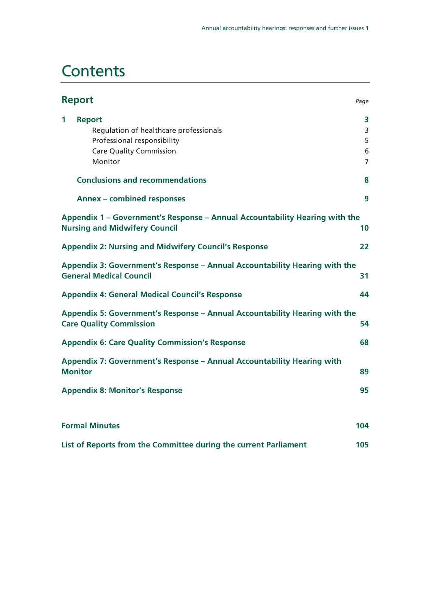# **Contents**

| <b>Report</b>                                                                                                                            | Page                               |
|------------------------------------------------------------------------------------------------------------------------------------------|------------------------------------|
| <b>Report</b><br>1<br>Regulation of healthcare professionals<br>Professional responsibility<br><b>Care Quality Commission</b><br>Monitor | 3<br>3<br>5<br>6<br>$\overline{7}$ |
| <b>Conclusions and recommendations</b>                                                                                                   | 8                                  |
| <b>Annex - combined responses</b>                                                                                                        | 9                                  |
| Appendix 1 – Government's Response – Annual Accountability Hearing with the<br><b>Nursing and Midwifery Council</b>                      | 10                                 |
| <b>Appendix 2: Nursing and Midwifery Council's Response</b>                                                                              | 22                                 |
| Appendix 3: Government's Response – Annual Accountability Hearing with the<br><b>General Medical Council</b>                             | 31                                 |
| <b>Appendix 4: General Medical Council's Response</b>                                                                                    | 44                                 |
| Appendix 5: Government's Response – Annual Accountability Hearing with the<br><b>Care Quality Commission</b>                             | 54                                 |
| <b>Appendix 6: Care Quality Commission's Response</b>                                                                                    | 68                                 |
| Appendix 7: Government's Response - Annual Accountability Hearing with<br><b>Monitor</b>                                                 | 89                                 |
| <b>Appendix 8: Monitor's Response</b>                                                                                                    | 95                                 |
|                                                                                                                                          |                                    |
| <b>Formal Minutes</b>                                                                                                                    | 104                                |
| List of Reports from the Committee during the current Parliament                                                                         | 105                                |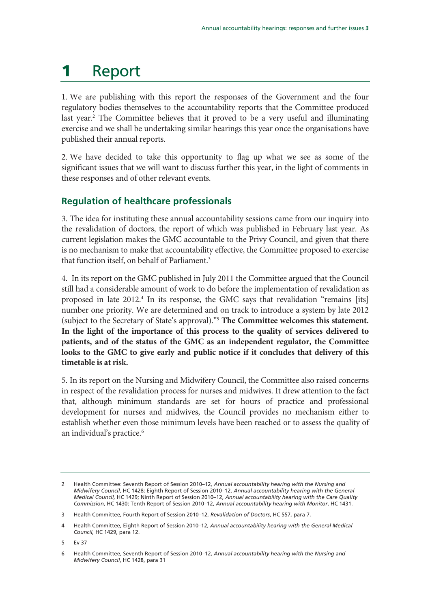# **1** Report

1. We are publishing with this report the responses of the Government and the four regulatory bodies themselves to the accountability reports that the Committee produced last year.<sup>2</sup> The Committee believes that it proved to be a very useful and illuminating exercise and we shall be undertaking similar hearings this year once the organisations have published their annual reports.

2. We have decided to take this opportunity to flag up what we see as some of the significant issues that we will want to discuss further this year, in the light of comments in these responses and of other relevant events.

## **Regulation of healthcare professionals**

3. The idea for instituting these annual accountability sessions came from our inquiry into the revalidation of doctors, the report of which was published in February last year. As current legislation makes the GMC accountable to the Privy Council, and given that there is no mechanism to make that accountability effective, the Committee proposed to exercise that function itself, on behalf of Parliament.<sup>3</sup>

4. In its report on the GMC published in July 2011 the Committee argued that the Council still had a considerable amount of work to do before the implementation of revalidation as proposed in late 2012.<sup>4</sup> In its response, the GMC says that revalidation "remains [its] number one priority. We are determined and on track to introduce a system by late 2012 (subject to the Secretary of State's approval)."5 **The Committee welcomes this statement. In the light of the importance of this process to the quality of services delivered to patients, and of the status of the GMC as an independent regulator, the Committee looks to the GMC to give early and public notice if it concludes that delivery of this timetable is at risk.**

5. In its report on the Nursing and Midwifery Council, the Committee also raised concerns in respect of the revalidation process for nurses and midwives. It drew attention to the fact that, although minimum standards are set for hours of practice and professional development for nurses and midwives, the Council provides no mechanism either to establish whether even those minimum levels have been reached or to assess the quality of an individual's practice.<sup>6</sup>

5 Ev 37

<sup>2</sup> Health Committee: Seventh Report of Session 2010–12, *Annual accountability hearing with the Nursing and Midwifery Council*, HC 1428; Eighth Report of Session 2010–12, *Annual accountability hearing with the General Medical Council,* HC 1429; Ninth Report of Session 2010–12, *Annual accountability hearing with the Care Quality Commission*, HC 1430; Tenth Report of Session 2010–12, *Annual accountability hearing with Monitor*, HC 1431.

<sup>3</sup> Health Committee, Fourth Report of Session 2010–12, *Revalidation of Doctors*, HC 557, para 7.

<sup>4</sup> Health Committee, Eighth Report of Session 2010–12, *Annual accountability hearing with the General Medical Council,* HC 1429, para 12.

<sup>6</sup> Health Committee, Seventh Report of Session 2010–12, *Annual accountability hearing with the Nursing and Midwifery Council*, HC 1428, para 31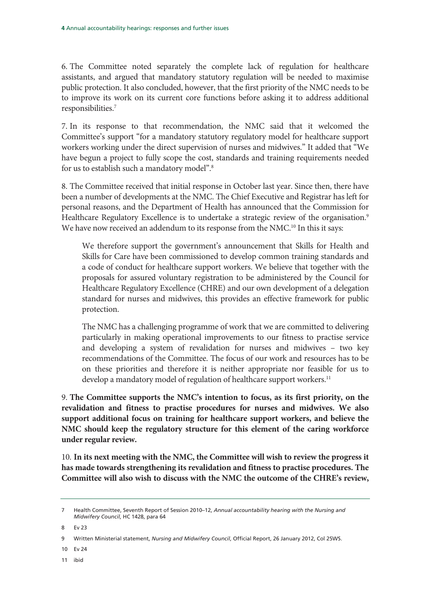6. The Committee noted separately the complete lack of regulation for healthcare assistants, and argued that mandatory statutory regulation will be needed to maximise public protection. It also concluded, however, that the first priority of the NMC needs to be to improve its work on its current core functions before asking it to address additional responsibilities.7

7. In its response to that recommendation, the NMC said that it welcomed the Committee's support "for a mandatory statutory regulatory model for healthcare support workers working under the direct supervision of nurses and midwives." It added that "We have begun a project to fully scope the cost, standards and training requirements needed for us to establish such a mandatory model".<sup>8</sup>

8. The Committee received that initial response in October last year. Since then, there have been a number of developments at the NMC. The Chief Executive and Registrar has left for personal reasons, and the Department of Health has announced that the Commission for Healthcare Regulatory Excellence is to undertake a strategic review of the organisation.<sup>9</sup> We have now received an addendum to its response from the NMC.<sup>10</sup> In this it says:

We therefore support the government's announcement that Skills for Health and Skills for Care have been commissioned to develop common training standards and a code of conduct for healthcare support workers. We believe that together with the proposals for assured voluntary registration to be administered by the Council for Healthcare Regulatory Excellence (CHRE) and our own development of a delegation standard for nurses and midwives, this provides an effective framework for public protection.

The NMC has a challenging programme of work that we are committed to delivering particularly in making operational improvements to our fitness to practise service and developing a system of revalidation for nurses and midwives – two key recommendations of the Committee. The focus of our work and resources has to be on these priorities and therefore it is neither appropriate nor feasible for us to develop a mandatory model of regulation of healthcare support workers.<sup>11</sup>

9. **The Committee supports the NMC's intention to focus, as its first priority, on the revalidation and fitness to practise procedures for nurses and midwives. We also support additional focus on training for healthcare support workers, and believe the NMC should keep the regulatory structure for this element of the caring workforce under regular review.**

10. **In its next meeting with the NMC, the Committee will wish to review the progress it has made towards strengthening its revalidation and fitness to practise procedures. The Committee will also wish to discuss with the NMC the outcome of the CHRE's review,** 

8 Ev 23

10 Ev 24

11 ibid

<sup>7</sup> Health Committee, Seventh Report of Session 2010–12, *Annual accountability hearing with the Nursing and Midwifery Council*, HC 1428, para 64

<sup>9</sup> Written Ministerial statement, *Nursing and Midwifery Council*, Official Report, 26 January 2012, Col 25WS.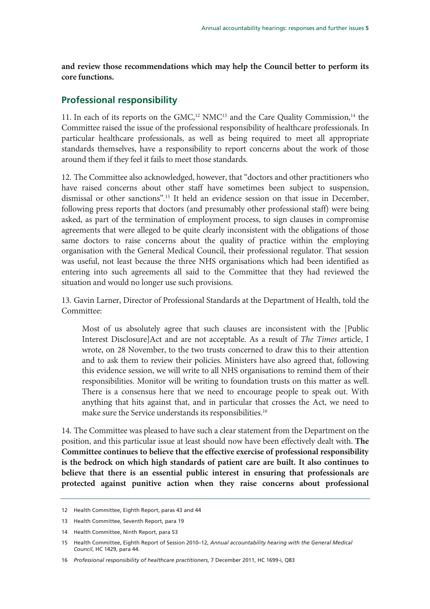**and review those recommendations which may help the Council better to perform its core functions.**

## **Professional responsibility**

11. In each of its reports on the GMC,<sup>12</sup> NMC<sup>13</sup> and the Care Quality Commission,<sup>14</sup> the Committee raised the issue of the professional responsibility of healthcare professionals. In particular healthcare professionals, as well as being required to meet all appropriate standards themselves, have a responsibility to report concerns about the work of those around them if they feel it fails to meet those standards.

12. The Committee also acknowledged, however, that "doctors and other practitioners who have raised concerns about other staff have sometimes been subject to suspension, dismissal or other sanctions".15 It held an evidence session on that issue in December, following press reports that doctors (and presumably other professional staff) were being asked, as part of the termination of employment process, to sign clauses in compromise agreements that were alleged to be quite clearly inconsistent with the obligations of those same doctors to raise concerns about the quality of practice within the employing organisation with the General Medical Council, their professional regulator. That session was useful, not least because the three NHS organisations which had been identified as entering into such agreements all said to the Committee that they had reviewed the situation and would no longer use such provisions.

13. Gavin Larner, Director of Professional Standards at the Department of Health, told the Committee:

Most of us absolutely agree that such clauses are inconsistent with the [Public Interest Disclosure]Act and are not acceptable. As a result of The Times article, I wrote, on 28 November, to the two trusts concerned to draw this to their attention and to ask them to review their policies. Ministers have also agreed that, following this evidence session, we will write to all NHS organisations to remind them of their responsibilities. Monitor will be writing to foundation trusts on this matter as well. There is a consensus here that we need to encourage people to speak out. With anything that hits against that, and in particular that crosses the Act, we need to make sure the Service understands its responsibilities.<sup>16</sup>

14. The Committee was pleased to have such a clear statement from the Department on the position, and this particular issue at least should now have been effectively dealt with. **The Committee continues to believe that the effective exercise of professional responsibility is the bedrock on which high standards of patient care are built. It also continues to believe that there is an essential public interest in ensuring that professionals are protected against punitive action when they raise concerns about professional** 

<sup>12</sup> Health Committee, Eighth Report, paras 43 and 44

<sup>13</sup> Health Committee, Seventh Report, para 19

<sup>14</sup> Health Committee, Ninth Report, para 53

<sup>15</sup> Health Committee, Eighth Report of Session 2010–12, *Annual accountability hearing with the General Medical Council*, HC 1429, para 44.

<sup>16</sup> *Professional responsibility of healthcare practitioners*, 7 December 2011, HC 1699-i, Q83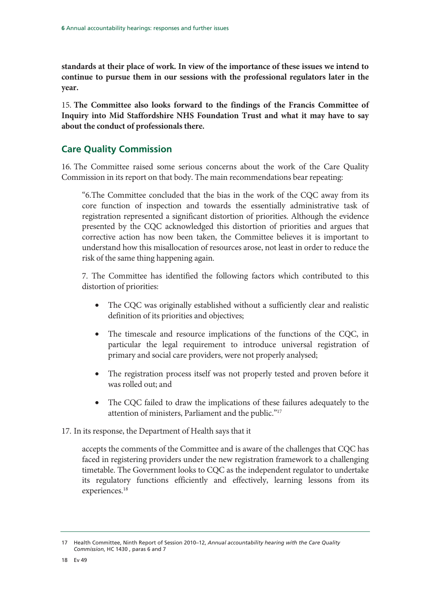**standards at their place of work. In view of the importance of these issues we intend to continue to pursue them in our sessions with the professional regulators later in the year.** 

15. **The Committee also looks forward to the findings of the Francis Committee of Inquiry into Mid Staffordshire NHS Foundation Trust and what it may have to say about the conduct of professionals there.** 

## **Care Quality Commission**

16. The Committee raised some serious concerns about the work of the Care Quality Commission in its report on that body. The main recommendations bear repeating:

"6.The Committee concluded that the bias in the work of the CQC away from its core function of inspection and towards the essentially administrative task of registration represented a significant distortion of priorities. Although the evidence presented by the CQC acknowledged this distortion of priorities and argues that corrective action has now been taken, the Committee believes it is important to understand how this misallocation of resources arose, not least in order to reduce the risk of the same thing happening again.

7. The Committee has identified the following factors which contributed to this distortion of priorities:

- The CQC was originally established without a sufficiently clear and realistic definition of its priorities and objectives;
- The timescale and resource implications of the functions of the CQC, in particular the legal requirement to introduce universal registration of primary and social care providers, were not properly analysed;
- The registration process itself was not properly tested and proven before it was rolled out; and
- The CQC failed to draw the implications of these failures adequately to the attention of ministers, Parliament and the public."17

## 17. In its response, the Department of Health says that it

accepts the comments of the Committee and is aware of the challenges that CQC has faced in registering providers under the new registration framework to a challenging timetable. The Government looks to CQC as the independent regulator to undertake its regulatory functions efficiently and effectively, learning lessons from its experiences.<sup>18</sup>

<sup>17</sup> Health Committee, Ninth Report of Session 2010–12, *Annual accountability hearing with the Care Quality Commission*, HC 1430 , paras 6 and 7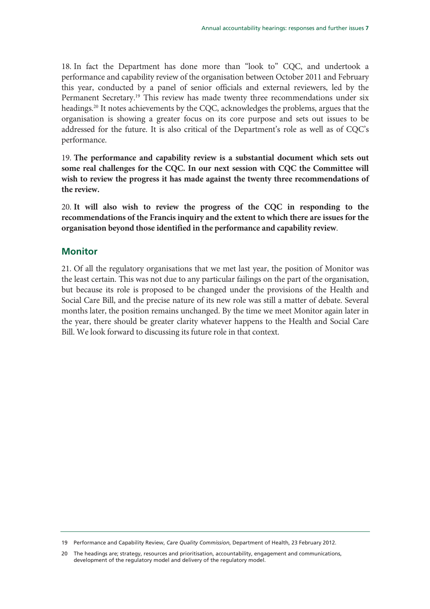18. In fact the Department has done more than "look to" CQC, and undertook a performance and capability review of the organisation between October 2011 and February this year, conducted by a panel of senior officials and external reviewers, led by the Permanent Secretary.<sup>19</sup> This review has made twenty three recommendations under six headings.20 It notes achievements by the CQC, acknowledges the problems, argues that the organisation is showing a greater focus on its core purpose and sets out issues to be addressed for the future. It is also critical of the Department's role as well as of CQC's performance.

19. **The performance and capability review is a substantial document which sets out some real challenges for the CQC. In our next session with CQC the Committee will wish to review the progress it has made against the twenty three recommendations of the review.** 

20. **It will also wish to review the progress of the CQC in responding to the recommendations of the Francis inquiry and the extent to which there are issues for the organisation beyond those identified in the performance and capability review**.

## **Monitor**

21. Of all the regulatory organisations that we met last year, the position of Monitor was the least certain. This was not due to any particular failings on the part of the organisation, but because its role is proposed to be changed under the provisions of the Health and Social Care Bill, and the precise nature of its new role was still a matter of debate. Several months later, the position remains unchanged. By the time we meet Monitor again later in the year, there should be greater clarity whatever happens to the Health and Social Care Bill. We look forward to discussing its future role in that context.

<sup>19</sup> Performance and Capability Review, *Care Quality Commission*, Department of Health, 23 February 2012.

<sup>20</sup> The headings are; strategy, resources and prioritisation, accountability, engagement and communications, development of the regulatory model and delivery of the regulatory model.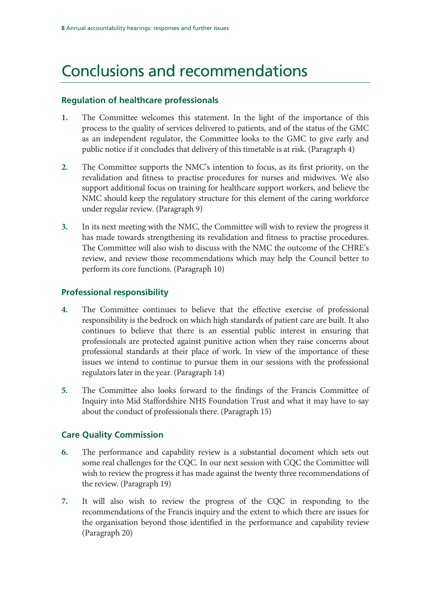# Conclusions and recommendations

## **Regulation of healthcare professionals**

- **1.** The Committee welcomes this statement. In the light of the importance of this process to the quality of services delivered to patients, and of the status of the GMC as an independent regulator, the Committee looks to the GMC to give early and public notice if it concludes that delivery of this timetable is at risk. (Paragraph 4)
- **2.** The Committee supports the NMC's intention to focus, as its first priority, on the revalidation and fitness to practise procedures for nurses and midwives. We also support additional focus on training for healthcare support workers, and believe the NMC should keep the regulatory structure for this element of the caring workforce under regular review. (Paragraph 9)
- **3.** In its next meeting with the NMC, the Committee will wish to review the progress it has made towards strengthening its revalidation and fitness to practise procedures. The Committee will also wish to discuss with the NMC the outcome of the CHRE's review, and review those recommendations which may help the Council better to perform its core functions. (Paragraph 10)

## **Professional responsibility**

- **4.** The Committee continues to believe that the effective exercise of professional responsibility is the bedrock on which high standards of patient care are built. It also continues to believe that there is an essential public interest in ensuring that professionals are protected against punitive action when they raise concerns about professional standards at their place of work. In view of the importance of these issues we intend to continue to pursue them in our sessions with the professional regulators later in the year. (Paragraph 14)
- **5.** The Committee also looks forward to the findings of the Francis Committee of Inquiry into Mid Staffordshire NHS Foundation Trust and what it may have to say about the conduct of professionals there. (Paragraph 15)

## **Care Quality Commission**

- **6.** The performance and capability review is a substantial document which sets out some real challenges for the CQC. In our next session with CQC the Committee will wish to review the progress it has made against the twenty three recommendations of the review. (Paragraph 19)
- **7.** It will also wish to review the progress of the CQC in responding to the recommendations of the Francis inquiry and the extent to which there are issues for the organisation beyond those identified in the performance and capability review (Paragraph 20)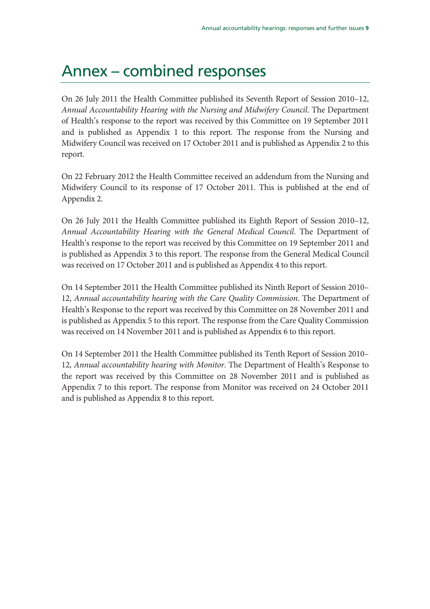# Annex – combined responses

On 26 July 2011 the Health Committee published its Seventh Report of Session 2010–12, Annual Accountability Hearing with the Nursing and Midwifery Council. The Department of Health's response to the report was received by this Committee on 19 September 2011 and is published as Appendix 1 to this report. The response from the Nursing and Midwifery Council was received on 17 October 2011 and is published as Appendix 2 to this report.

On 22 February 2012 the Health Committee received an addendum from the Nursing and Midwifery Council to its response of 17 October 2011. This is published at the end of Appendix 2.

On 26 July 2011 the Health Committee published its Eighth Report of Session 2010–12, Annual Accountability Hearing with the General Medical Council. The Department of Health's response to the report was received by this Committee on 19 September 2011 and is published as Appendix 3 to this report. The response from the General Medical Council was received on 17 October 2011 and is published as Appendix 4 to this report.

On 14 September 2011 the Health Committee published its Ninth Report of Session 2010– 12, Annual accountability hearing with the Care Quality Commission. The Department of Health's Response to the report was received by this Committee on 28 November 2011 and is published as Appendix 5 to this report. The response from the Care Quality Commission was received on 14 November 2011 and is published as Appendix 6 to this report.

On 14 September 2011 the Health Committee published its Tenth Report of Session 2010– 12, Annual accountability hearing with Monitor. The Department of Health's Response to the report was received by this Committee on 28 November 2011 and is published as Appendix 7 to this report. The response from Monitor was received on 24 October 2011 and is published as Appendix 8 to this report.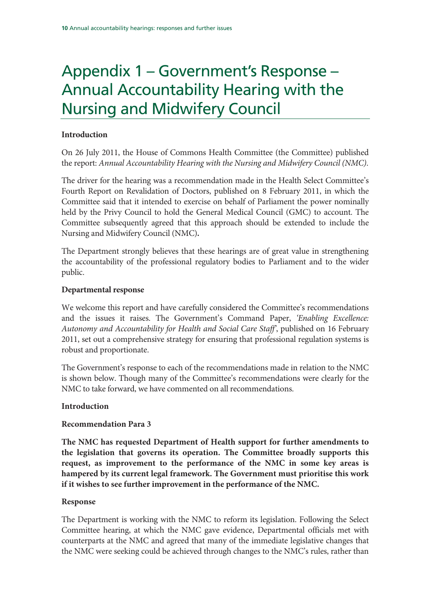# Appendix 1 – Government's Response – Annual Accountability Hearing with the Nursing and Midwifery Council

## **Introduction**

On 26 July 2011, the House of Commons Health Committee (the Committee) published the report: Annual Accountability Hearing with the Nursing and Midwifery Council (NMC).

The driver for the hearing was a recommendation made in the Health Select Committee's Fourth Report on Revalidation of Doctors, published on 8 February 2011, in which the Committee said that it intended to exercise on behalf of Parliament the power nominally held by the Privy Council to hold the General Medical Council (GMC) to account. The Committee subsequently agreed that this approach should be extended to include the Nursing and Midwifery Council (NMC)**.** 

The Department strongly believes that these hearings are of great value in strengthening the accountability of the professional regulatory bodies to Parliament and to the wider public.

## **Departmental response**

We welcome this report and have carefully considered the Committee's recommendations and the issues it raises. The Government's Command Paper, 'Enabling Excellence: Autonomy and Accountability for Health and Social Care Staff', published on 16 February 2011, set out a comprehensive strategy for ensuring that professional regulation systems is robust and proportionate.

The Government's response to each of the recommendations made in relation to the NMC is shown below. Though many of the Committee's recommendations were clearly for the NMC to take forward, we have commented on all recommendations.

## **Introduction**

## **Recommendation Para 3**

**The NMC has requested Department of Health support for further amendments to the legislation that governs its operation. The Committee broadly supports this request, as improvement to the performance of the NMC in some key areas is hampered by its current legal framework. The Government must prioritise this work if it wishes to see further improvement in the performance of the NMC.** 

## **Response**

The Department is working with the NMC to reform its legislation. Following the Select Committee hearing, at which the NMC gave evidence, Departmental officials met with counterparts at the NMC and agreed that many of the immediate legislative changes that the NMC were seeking could be achieved through changes to the NMC's rules, rather than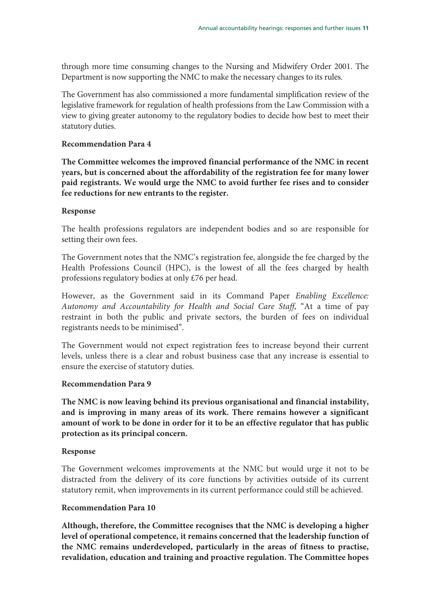through more time consuming changes to the Nursing and Midwifery Order 2001. The Department is now supporting the NMC to make the necessary changes to its rules.

The Government has also commissioned a more fundamental simplification review of the legislative framework for regulation of health professions from the Law Commission with a view to giving greater autonomy to the regulatory bodies to decide how best to meet their statutory duties.

#### **Recommendation Para 4**

**The Committee welcomes the improved financial performance of the NMC in recent years, but is concerned about the affordability of the registration fee for many lower paid registrants. We would urge the NMC to avoid further fee rises and to consider fee reductions for new entrants to the register.** 

#### **Response**

The health professions regulators are independent bodies and so are responsible for setting their own fees.

The Government notes that the NMC's registration fee, alongside the fee charged by the Health Professions Council (HPC), is the lowest of all the fees charged by health professions regulatory bodies at only £76 per head.

However, as the Government said in its Command Paper Enabling Excellence: Autonomy and Accountability for Health and Social Care Staff, "At a time of pay restraint in both the public and private sectors, the burden of fees on individual registrants needs to be minimised".

The Government would not expect registration fees to increase beyond their current levels, unless there is a clear and robust business case that any increase is essential to ensure the exercise of statutory duties.

#### **Recommendation Para 9**

**The NMC is now leaving behind its previous organisational and financial instability, and is improving in many areas of its work. There remains however a significant amount of work to be done in order for it to be an effective regulator that has public protection as its principal concern.** 

## **Response**

The Government welcomes improvements at the NMC but would urge it not to be distracted from the delivery of its core functions by activities outside of its current statutory remit, when improvements in its current performance could still be achieved.

#### **Recommendation Para 10**

**Although, therefore, the Committee recognises that the NMC is developing a higher level of operational competence, it remains concerned that the leadership function of the NMC remains underdeveloped, particularly in the areas of fitness to practise, revalidation, education and training and proactive regulation. The Committee hopes**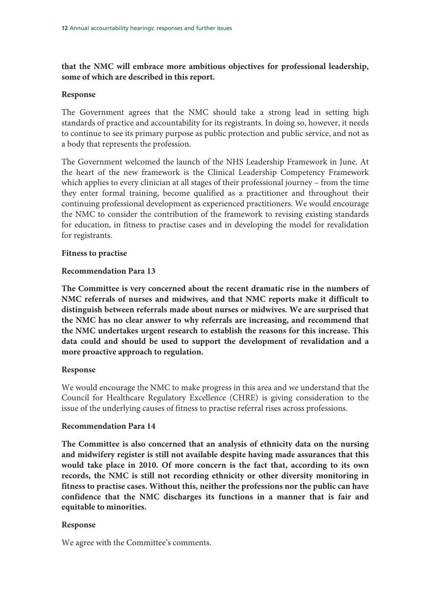## **that the NMC will embrace more ambitious objectives for professional leadership, some of which are described in this report.**

#### **Response**

The Government agrees that the NMC should take a strong lead in setting high standards of practice and accountability for its registrants. In doing so, however, it needs to continue to see its primary purpose as public protection and public service, and not as a body that represents the profession.

The Government welcomed the launch of the NHS Leadership Framework in June. At the heart of the new framework is the Clinical Leadership Competency Framework which applies to every clinician at all stages of their professional journey – from the time they enter formal training, become qualified as a practitioner and throughout their continuing professional development as experienced practitioners. We would encourage the NMC to consider the contribution of the framework to revising existing standards for education, in fitness to practise cases and in developing the model for revalidation for registrants.

## **Fitness to practise**

## **Recommendation Para 13**

**The Committee is very concerned about the recent dramatic rise in the numbers of NMC referrals of nurses and midwives, and that NMC reports make it difficult to distinguish between referrals made about nurses or midwives. We are surprised that the NMC has no clear answer to why referrals are increasing, and recommend that the NMC undertakes urgent research to establish the reasons for this increase. This data could and should be used to support the development of revalidation and a more proactive approach to regulation.** 

## **Response**

We would encourage the NMC to make progress in this area and we understand that the Council for Healthcare Regulatory Excellence (CHRE) is giving consideration to the issue of the underlying causes of fitness to practise referral rises across professions.

#### **Recommendation Para 14**

**The Committee is also concerned that an analysis of ethnicity data on the nursing and midwifery register is still not available despite having made assurances that this would take place in 2010. Of more concern is the fact that, according to its own records, the NMC is still not recording ethnicity or other diversity monitoring in fitness to practise cases. Without this, neither the professions nor the public can have confidence that the NMC discharges its functions in a manner that is fair and equitable to minorities.** 

## **Response**

We agree with the Committee's comments.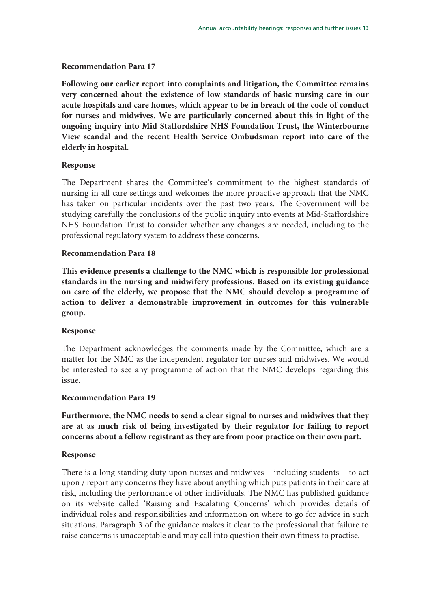## **Recommendation Para 17**

**Following our earlier report into complaints and litigation, the Committee remains very concerned about the existence of low standards of basic nursing care in our acute hospitals and care homes, which appear to be in breach of the code of conduct for nurses and midwives. We are particularly concerned about this in light of the ongoing inquiry into Mid Staffordshire NHS Foundation Trust, the Winterbourne View scandal and the recent Health Service Ombudsman report into care of the elderly in hospital.** 

## **Response**

The Department shares the Committee's commitment to the highest standards of nursing in all care settings and welcomes the more proactive approach that the NMC has taken on particular incidents over the past two years. The Government will be studying carefully the conclusions of the public inquiry into events at Mid-Staffordshire NHS Foundation Trust to consider whether any changes are needed, including to the professional regulatory system to address these concerns.

## **Recommendation Para 18**

**This evidence presents a challenge to the NMC which is responsible for professional standards in the nursing and midwifery professions. Based on its existing guidance on care of the elderly, we propose that the NMC should develop a programme of action to deliver a demonstrable improvement in outcomes for this vulnerable group.** 

## **Response**

The Department acknowledges the comments made by the Committee, which are a matter for the NMC as the independent regulator for nurses and midwives. We would be interested to see any programme of action that the NMC develops regarding this issue.

#### **Recommendation Para 19**

**Furthermore, the NMC needs to send a clear signal to nurses and midwives that they are at as much risk of being investigated by their regulator for failing to report concerns about a fellow registrant as they are from poor practice on their own part.** 

## **Response**

There is a long standing duty upon nurses and midwives – including students – to act upon / report any concerns they have about anything which puts patients in their care at risk, including the performance of other individuals. The NMC has published guidance on its website called 'Raising and Escalating Concerns' which provides details of individual roles and responsibilities and information on where to go for advice in such situations. Paragraph 3 of the guidance makes it clear to the professional that failure to raise concerns is unacceptable and may call into question their own fitness to practise.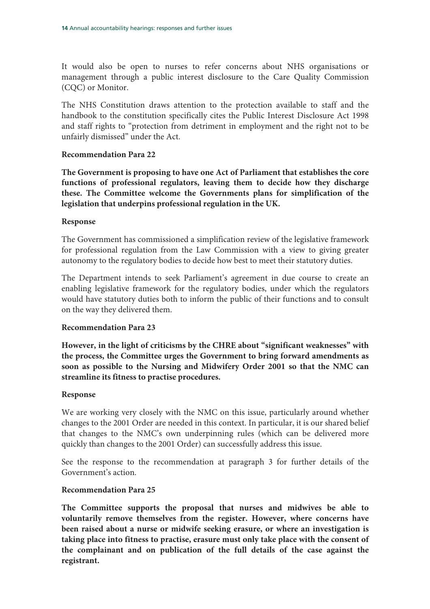It would also be open to nurses to refer concerns about NHS organisations or management through a public interest disclosure to the Care Quality Commission (CQC) or Monitor.

The NHS Constitution draws attention to the protection available to staff and the handbook to the constitution specifically cites the Public Interest Disclosure Act 1998 and staff rights to "protection from detriment in employment and the right not to be unfairly dismissed" under the Act.

## **Recommendation Para 22**

**The Government is proposing to have one Act of Parliament that establishes the core functions of professional regulators, leaving them to decide how they discharge these. The Committee welcome the Governments plans for simplification of the legislation that underpins professional regulation in the UK.** 

## **Response**

The Government has commissioned a simplification review of the legislative framework for professional regulation from the Law Commission with a view to giving greater autonomy to the regulatory bodies to decide how best to meet their statutory duties.

The Department intends to seek Parliament's agreement in due course to create an enabling legislative framework for the regulatory bodies, under which the regulators would have statutory duties both to inform the public of their functions and to consult on the way they delivered them.

## **Recommendation Para 23**

**However, in the light of criticisms by the CHRE about "significant weaknesses" with the process, the Committee urges the Government to bring forward amendments as soon as possible to the Nursing and Midwifery Order 2001 so that the NMC can streamline its fitness to practise procedures.** 

## **Response**

We are working very closely with the NMC on this issue, particularly around whether changes to the 2001 Order are needed in this context. In particular, it is our shared belief that changes to the NMC's own underpinning rules (which can be delivered more quickly than changes to the 2001 Order) can successfully address this issue.

See the response to the recommendation at paragraph 3 for further details of the Government's action.

## **Recommendation Para 25**

**The Committee supports the proposal that nurses and midwives be able to voluntarily remove themselves from the register. However, where concerns have been raised about a nurse or midwife seeking erasure, or where an investigation is taking place into fitness to practise, erasure must only take place with the consent of the complainant and on publication of the full details of the case against the registrant.**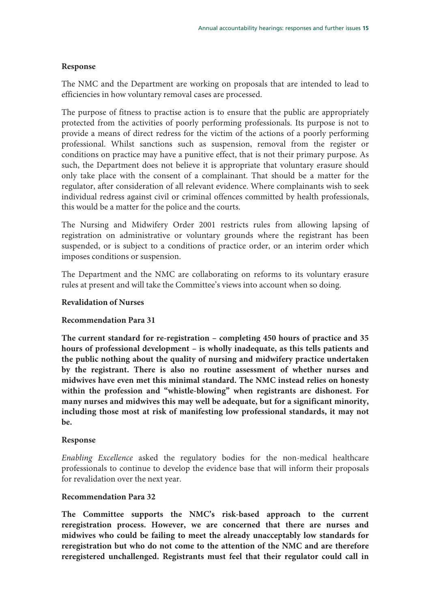#### **Response**

The NMC and the Department are working on proposals that are intended to lead to efficiencies in how voluntary removal cases are processed.

The purpose of fitness to practise action is to ensure that the public are appropriately protected from the activities of poorly performing professionals. Its purpose is not to provide a means of direct redress for the victim of the actions of a poorly performing professional. Whilst sanctions such as suspension, removal from the register or conditions on practice may have a punitive effect, that is not their primary purpose. As such, the Department does not believe it is appropriate that voluntary erasure should only take place with the consent of a complainant. That should be a matter for the regulator, after consideration of all relevant evidence. Where complainants wish to seek individual redress against civil or criminal offences committed by health professionals, this would be a matter for the police and the courts.

The Nursing and Midwifery Order 2001 restricts rules from allowing lapsing of registration on administrative or voluntary grounds where the registrant has been suspended, or is subject to a conditions of practice order, or an interim order which imposes conditions or suspension.

The Department and the NMC are collaborating on reforms to its voluntary erasure rules at present and will take the Committee's views into account when so doing.

#### **Revalidation of Nurses**

## **Recommendation Para 31**

**The current standard for re-registration – completing 450 hours of practice and 35 hours of professional development – is wholly inadequate, as this tells patients and the public nothing about the quality of nursing and midwifery practice undertaken by the registrant. There is also no routine assessment of whether nurses and midwives have even met this minimal standard. The NMC instead relies on honesty within the profession and "whistle-blowing" when registrants are dishonest. For many nurses and midwives this may well be adequate, but for a significant minority, including those most at risk of manifesting low professional standards, it may not be.** 

#### **Response**

Enabling Excellence asked the regulatory bodies for the non-medical healthcare professionals to continue to develop the evidence base that will inform their proposals for revalidation over the next year.

#### **Recommendation Para 32**

**The Committee supports the NMC's risk-based approach to the current reregistration process. However, we are concerned that there are nurses and midwives who could be failing to meet the already unacceptably low standards for reregistration but who do not come to the attention of the NMC and are therefore reregistered unchallenged. Registrants must feel that their regulator could call in**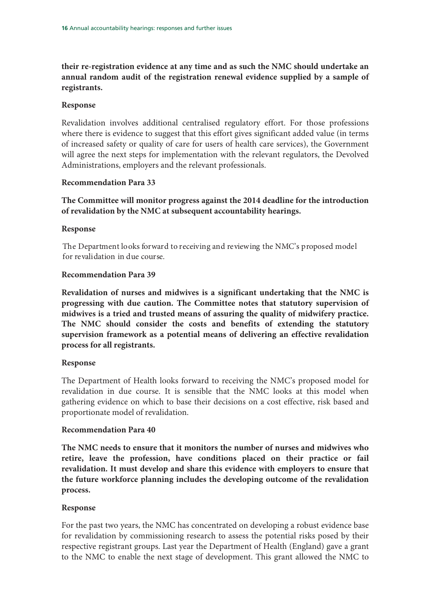**their re-registration evidence at any time and as such the NMC should undertake an annual random audit of the registration renewal evidence supplied by a sample of registrants.** 

#### **Response**

Revalidation involves additional centralised regulatory effort. For those professions where there is evidence to suggest that this effort gives significant added value (in terms of increased safety or quality of care for users of health care services), the Government will agree the next steps for implementation with the relevant regulators, the Devolved Administrations, employers and the relevant professionals.

## **Recommendation Para 33**

**The Committee will monitor progress against the 2014 deadline for the introduction of revalidation by the NMC at subsequent accountability hearings.** 

#### **Response**

The Department looks forward to receiving and reviewing the NMC's proposed model for revalidation in due course.

#### **Recommendation Para 39**

**Revalidation of nurses and midwives is a significant undertaking that the NMC is progressing with due caution. The Committee notes that statutory supervision of midwives is a tried and trusted means of assuring the quality of midwifery practice. The NMC should consider the costs and benefits of extending the statutory supervision framework as a potential means of delivering an effective revalidation process for all registrants.** 

## **Response**

The Department of Health looks forward to receiving the NMC's proposed model for revalidation in due course. It is sensible that the NMC looks at this model when gathering evidence on which to base their decisions on a cost effective, risk based and proportionate model of revalidation.

#### **Recommendation Para 40**

**The NMC needs to ensure that it monitors the number of nurses and midwives who retire, leave the profession, have conditions placed on their practice or fail revalidation. It must develop and share this evidence with employers to ensure that the future workforce planning includes the developing outcome of the revalidation process.** 

## **Response**

For the past two years, the NMC has concentrated on developing a robust evidence base for revalidation by commissioning research to assess the potential risks posed by their respective registrant groups. Last year the Department of Health (England) gave a grant to the NMC to enable the next stage of development. This grant allowed the NMC to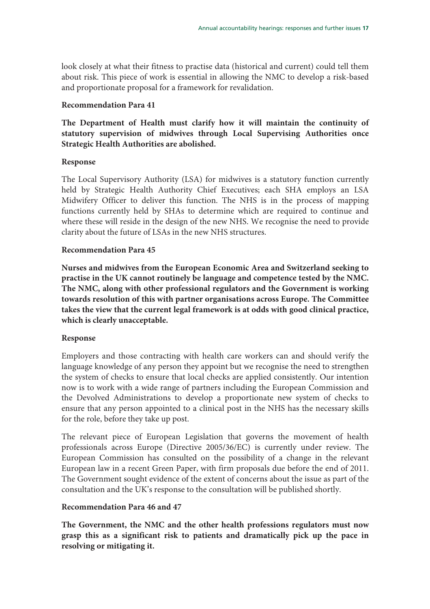look closely at what their fitness to practise data (historical and current) could tell them about risk. This piece of work is essential in allowing the NMC to develop a risk-based and proportionate proposal for a framework for revalidation.

## **Recommendation Para 41**

**The Department of Health must clarify how it will maintain the continuity of statutory supervision of midwives through Local Supervising Authorities once Strategic Health Authorities are abolished.** 

## **Response**

The Local Supervisory Authority (LSA) for midwives is a statutory function currently held by Strategic Health Authority Chief Executives; each SHA employs an LSA Midwifery Officer to deliver this function. The NHS is in the process of mapping functions currently held by SHAs to determine which are required to continue and where these will reside in the design of the new NHS. We recognise the need to provide clarity about the future of LSAs in the new NHS structures.

## **Recommendation Para 45**

**Nurses and midwives from the European Economic Area and Switzerland seeking to practise in the UK cannot routinely be language and competence tested by the NMC. The NMC, along with other professional regulators and the Government is working towards resolution of this with partner organisations across Europe. The Committee takes the view that the current legal framework is at odds with good clinical practice, which is clearly unacceptable.** 

## **Response**

Employers and those contracting with health care workers can and should verify the language knowledge of any person they appoint but we recognise the need to strengthen the system of checks to ensure that local checks are applied consistently. Our intention now is to work with a wide range of partners including the European Commission and the Devolved Administrations to develop a proportionate new system of checks to ensure that any person appointed to a clinical post in the NHS has the necessary skills for the role, before they take up post.

The relevant piece of European Legislation that governs the movement of health professionals across Europe (Directive 2005/36/EC) is currently under review. The European Commission has consulted on the possibility of a change in the relevant European law in a recent Green Paper, with firm proposals due before the end of 2011. The Government sought evidence of the extent of concerns about the issue as part of the consultation and the UK's response to the consultation will be published shortly.

## **Recommendation Para 46 and 47**

**The Government, the NMC and the other health professions regulators must now grasp this as a significant risk to patients and dramatically pick up the pace in resolving or mitigating it.**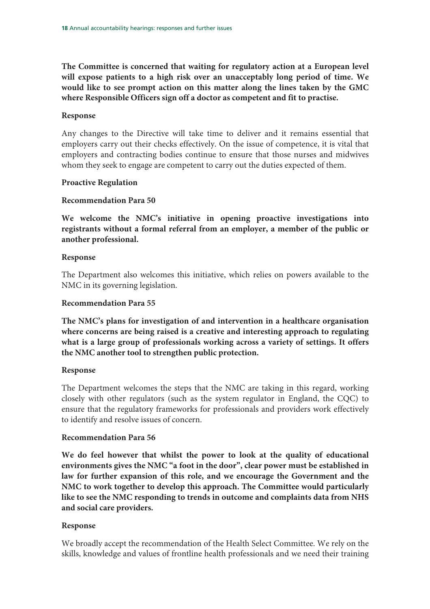**The Committee is concerned that waiting for regulatory action at a European level will expose patients to a high risk over an unacceptably long period of time. We would like to see prompt action on this matter along the lines taken by the GMC where Responsible Officers sign off a doctor as competent and fit to practise.** 

#### **Response**

Any changes to the Directive will take time to deliver and it remains essential that employers carry out their checks effectively. On the issue of competence, it is vital that employers and contracting bodies continue to ensure that those nurses and midwives whom they seek to engage are competent to carry out the duties expected of them.

## **Proactive Regulation**

#### **Recommendation Para 50**

**We welcome the NMC's initiative in opening proactive investigations into registrants without a formal referral from an employer, a member of the public or another professional.** 

#### **Response**

The Department also welcomes this initiative, which relies on powers available to the NMC in its governing legislation.

#### **Recommendation Para 55**

**The NMC's plans for investigation of and intervention in a healthcare organisation where concerns are being raised is a creative and interesting approach to regulating what is a large group of professionals working across a variety of settings. It offers the NMC another tool to strengthen public protection.** 

#### **Response**

The Department welcomes the steps that the NMC are taking in this regard, working closely with other regulators (such as the system regulator in England, the CQC) to ensure that the regulatory frameworks for professionals and providers work effectively to identify and resolve issues of concern.

#### **Recommendation Para 56**

**We do feel however that whilst the power to look at the quality of educational environments gives the NMC "a foot in the door", clear power must be established in law for further expansion of this role, and we encourage the Government and the NMC to work together to develop this approach. The Committee would particularly like to see the NMC responding to trends in outcome and complaints data from NHS and social care providers.** 

## **Response**

We broadly accept the recommendation of the Health Select Committee. We rely on the skills, knowledge and values of frontline health professionals and we need their training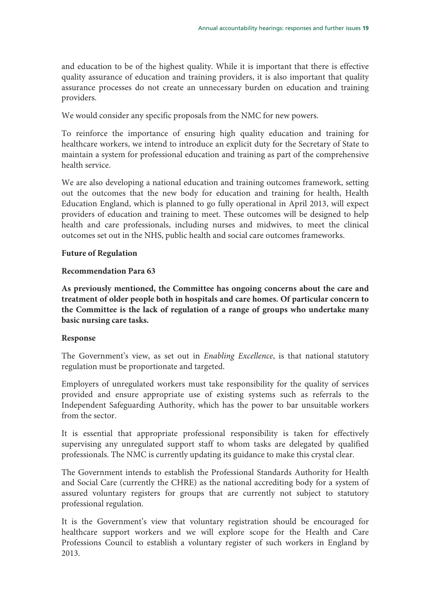and education to be of the highest quality. While it is important that there is effective quality assurance of education and training providers, it is also important that quality assurance processes do not create an unnecessary burden on education and training providers.

We would consider any specific proposals from the NMC for new powers.

To reinforce the importance of ensuring high quality education and training for healthcare workers, we intend to introduce an explicit duty for the Secretary of State to maintain a system for professional education and training as part of the comprehensive health service.

We are also developing a national education and training outcomes framework, setting out the outcomes that the new body for education and training for health, Health Education England, which is planned to go fully operational in April 2013, will expect providers of education and training to meet. These outcomes will be designed to help health and care professionals, including nurses and midwives, to meet the clinical outcomes set out in the NHS, public health and social care outcomes frameworks.

## **Future of Regulation**

## **Recommendation Para 63**

**As previously mentioned, the Committee has ongoing concerns about the care and treatment of older people both in hospitals and care homes. Of particular concern to the Committee is the lack of regulation of a range of groups who undertake many basic nursing care tasks.** 

## **Response**

The Government's view, as set out in *Enabling Excellence*, is that national statutory regulation must be proportionate and targeted.

Employers of unregulated workers must take responsibility for the quality of services provided and ensure appropriate use of existing systems such as referrals to the Independent Safeguarding Authority, which has the power to bar unsuitable workers from the sector.

It is essential that appropriate professional responsibility is taken for effectively supervising any unregulated support staff to whom tasks are delegated by qualified professionals. The NMC is currently updating its guidance to make this crystal clear.

The Government intends to establish the Professional Standards Authority for Health and Social Care (currently the CHRE) as the national accrediting body for a system of assured voluntary registers for groups that are currently not subject to statutory professional regulation.

It is the Government's view that voluntary registration should be encouraged for healthcare support workers and we will explore scope for the Health and Care Professions Council to establish a voluntary register of such workers in England by 2013.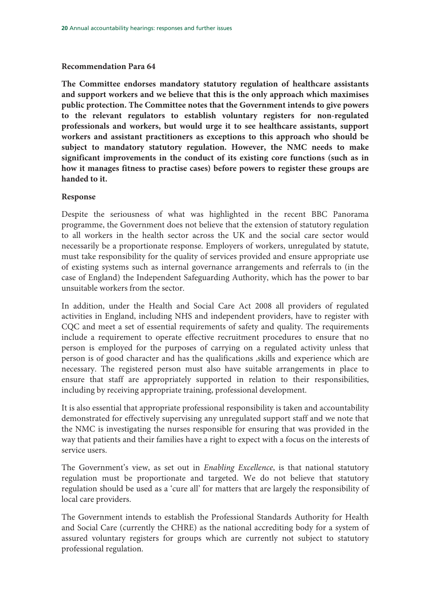## **Recommendation Para 64**

**The Committee endorses mandatory statutory regulation of healthcare assistants and support workers and we believe that this is the only approach which maximises public protection. The Committee notes that the Government intends to give powers to the relevant regulators to establish voluntary registers for non-regulated professionals and workers, but would urge it to see healthcare assistants, support workers and assistant practitioners as exceptions to this approach who should be subject to mandatory statutory regulation. However, the NMC needs to make significant improvements in the conduct of its existing core functions (such as in how it manages fitness to practise cases) before powers to register these groups are handed to it.** 

## **Response**

Despite the seriousness of what was highlighted in the recent BBC Panorama programme, the Government does not believe that the extension of statutory regulation to all workers in the health sector across the UK and the social care sector would necessarily be a proportionate response. Employers of workers, unregulated by statute, must take responsibility for the quality of services provided and ensure appropriate use of existing systems such as internal governance arrangements and referrals to (in the case of England) the Independent Safeguarding Authority, which has the power to bar unsuitable workers from the sector.

In addition, under the Health and Social Care Act 2008 all providers of regulated activities in England, including NHS and independent providers, have to register with CQC and meet a set of essential requirements of safety and quality. The requirements include a requirement to operate effective recruitment procedures to ensure that no person is employed for the purposes of carrying on a regulated activity unless that person is of good character and has the qualifications ,skills and experience which are necessary. The registered person must also have suitable arrangements in place to ensure that staff are appropriately supported in relation to their responsibilities, including by receiving appropriate training, professional development.

It is also essential that appropriate professional responsibility is taken and accountability demonstrated for effectively supervising any unregulated support staff and we note that the NMC is investigating the nurses responsible for ensuring that was provided in the way that patients and their families have a right to expect with a focus on the interests of service users.

The Government's view, as set out in *Enabling Excellence*, is that national statutory regulation must be proportionate and targeted. We do not believe that statutory regulation should be used as a 'cure all' for matters that are largely the responsibility of local care providers.

The Government intends to establish the Professional Standards Authority for Health and Social Care (currently the CHRE) as the national accrediting body for a system of assured voluntary registers for groups which are currently not subject to statutory professional regulation.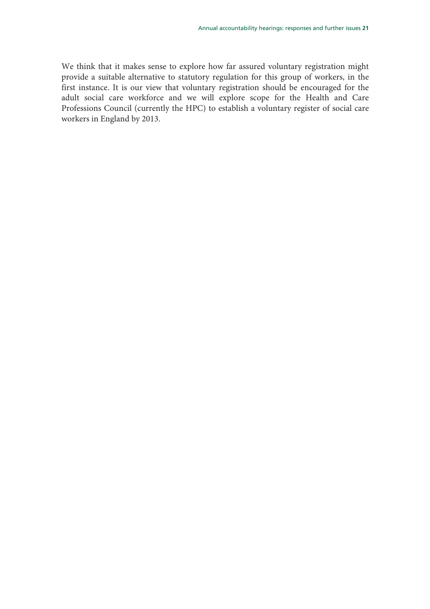We think that it makes sense to explore how far assured voluntary registration might provide a suitable alternative to statutory regulation for this group of workers, in the first instance. It is our view that voluntary registration should be encouraged for the adult social care workforce and we will explore scope for the Health and Care Professions Council (currently the HPC) to establish a voluntary register of social care workers in England by 2013.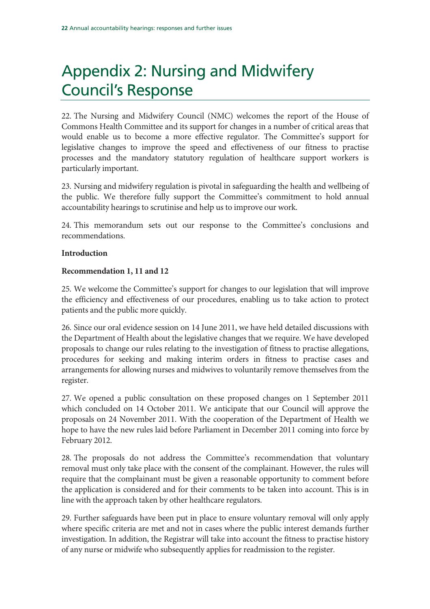# Appendix 2: Nursing and Midwifery Council's Response

22. The Nursing and Midwifery Council (NMC) welcomes the report of the House of Commons Health Committee and its support for changes in a number of critical areas that would enable us to become a more effective regulator. The Committee's support for legislative changes to improve the speed and effectiveness of our fitness to practise processes and the mandatory statutory regulation of healthcare support workers is particularly important.

23. Nursing and midwifery regulation is pivotal in safeguarding the health and wellbeing of the public. We therefore fully support the Committee's commitment to hold annual accountability hearings to scrutinise and help us to improve our work.

24. This memorandum sets out our response to the Committee's conclusions and recommendations.

## **Introduction**

## **Recommendation 1, 11 and 12**

25. We welcome the Committee's support for changes to our legislation that will improve the efficiency and effectiveness of our procedures, enabling us to take action to protect patients and the public more quickly.

26. Since our oral evidence session on 14 June 2011, we have held detailed discussions with the Department of Health about the legislative changes that we require. We have developed proposals to change our rules relating to the investigation of fitness to practise allegations, procedures for seeking and making interim orders in fitness to practise cases and arrangements for allowing nurses and midwives to voluntarily remove themselves from the register.

27. We opened a public consultation on these proposed changes on 1 September 2011 which concluded on 14 October 2011. We anticipate that our Council will approve the proposals on 24 November 2011. With the cooperation of the Department of Health we hope to have the new rules laid before Parliament in December 2011 coming into force by February 2012.

28. The proposals do not address the Committee's recommendation that voluntary removal must only take place with the consent of the complainant. However, the rules will require that the complainant must be given a reasonable opportunity to comment before the application is considered and for their comments to be taken into account. This is in line with the approach taken by other healthcare regulators.

29. Further safeguards have been put in place to ensure voluntary removal will only apply where specific criteria are met and not in cases where the public interest demands further investigation. In addition, the Registrar will take into account the fitness to practise history of any nurse or midwife who subsequently applies for readmission to the register.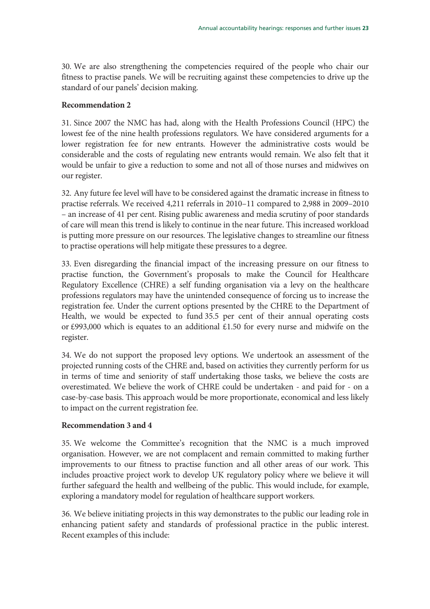30. We are also strengthening the competencies required of the people who chair our fitness to practise panels. We will be recruiting against these competencies to drive up the standard of our panels' decision making.

#### **Recommendation 2**

31. Since 2007 the NMC has had, along with the Health Professions Council (HPC) the lowest fee of the nine health professions regulators. We have considered arguments for a lower registration fee for new entrants. However the administrative costs would be considerable and the costs of regulating new entrants would remain. We also felt that it would be unfair to give a reduction to some and not all of those nurses and midwives on our register.

32. Any future fee level will have to be considered against the dramatic increase in fitness to practise referrals. We received 4,211 referrals in 2010–11 compared to 2,988 in 2009–2010 – an increase of 41 per cent. Rising public awareness and media scrutiny of poor standards of care will mean this trend is likely to continue in the near future. This increased workload is putting more pressure on our resources. The legislative changes to streamline our fitness to practise operations will help mitigate these pressures to a degree.

33. Even disregarding the financial impact of the increasing pressure on our fitness to practise function, the Government's proposals to make the Council for Healthcare Regulatory Excellence (CHRE) a self funding organisation via a levy on the healthcare professions regulators may have the unintended consequence of forcing us to increase the registration fee. Under the current options presented by the CHRE to the Department of Health, we would be expected to fund 35.5 per cent of their annual operating costs or £993,000 which is equates to an additional £1.50 for every nurse and midwife on the register.

34. We do not support the proposed levy options. We undertook an assessment of the projected running costs of the CHRE and, based on activities they currently perform for us in terms of time and seniority of staff undertaking those tasks, we believe the costs are overestimated. We believe the work of CHRE could be undertaken - and paid for - on a case-by-case basis. This approach would be more proportionate, economical and less likely to impact on the current registration fee.

## **Recommendation 3 and 4**

35. We welcome the Committee's recognition that the NMC is a much improved organisation. However, we are not complacent and remain committed to making further improvements to our fitness to practise function and all other areas of our work. This includes proactive project work to develop UK regulatory policy where we believe it will further safeguard the health and wellbeing of the public. This would include, for example, exploring a mandatory model for regulation of healthcare support workers.

36. We believe initiating projects in this way demonstrates to the public our leading role in enhancing patient safety and standards of professional practice in the public interest. Recent examples of this include: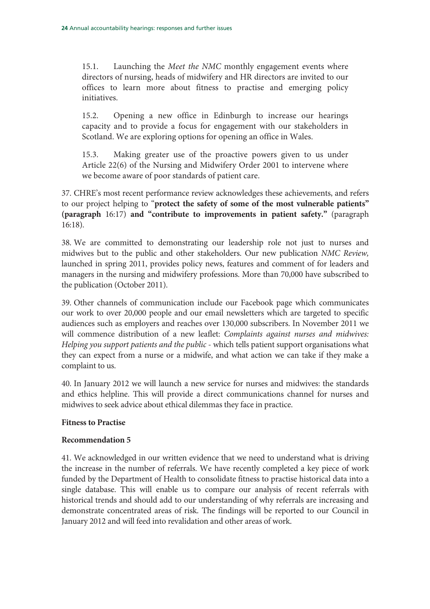15.1. Launching the Meet the NMC monthly engagement events where directors of nursing, heads of midwifery and HR directors are invited to our offices to learn more about fitness to practise and emerging policy initiatives.

15.2. Opening a new office in Edinburgh to increase our hearings capacity and to provide a focus for engagement with our stakeholders in Scotland. We are exploring options for opening an office in Wales.

15.3. Making greater use of the proactive powers given to us under Article 22(6) of the Nursing and Midwifery Order 2001 to intervene where we become aware of poor standards of patient care.

37. CHRE's most recent performance review acknowledges these achievements, and refers to our project helping to "**protect the safety of some of the most vulnerable patients" (paragraph** 16:17) **and "contribute to improvements in patient safety."** (paragraph 16:18).

38. We are committed to demonstrating our leadership role not just to nurses and midwives but to the public and other stakeholders. Our new publication NMC Review, launched in spring 2011, provides policy news, features and comment of for leaders and managers in the nursing and midwifery professions. More than 70,000 have subscribed to the publication (October 2011).

39. Other channels of communication include our Facebook page which communicates our work to over 20,000 people and our email newsletters which are targeted to specific audiences such as employers and reaches over 130,000 subscribers. In November 2011 we will commence distribution of a new leaflet: Complaints against nurses and midwives: Helping you support patients and the public - which tells patient support organisations what they can expect from a nurse or a midwife, and what action we can take if they make a complaint to us.

40. In January 2012 we will launch a new service for nurses and midwives: the standards and ethics helpline. This will provide a direct communications channel for nurses and midwives to seek advice about ethical dilemmas they face in practice.

## **Fitness to Practise**

## **Recommendation 5**

41. We acknowledged in our written evidence that we need to understand what is driving the increase in the number of referrals. We have recently completed a key piece of work funded by the Department of Health to consolidate fitness to practise historical data into a single database. This will enable us to compare our analysis of recent referrals with historical trends and should add to our understanding of why referrals are increasing and demonstrate concentrated areas of risk. The findings will be reported to our Council in January 2012 and will feed into revalidation and other areas of work.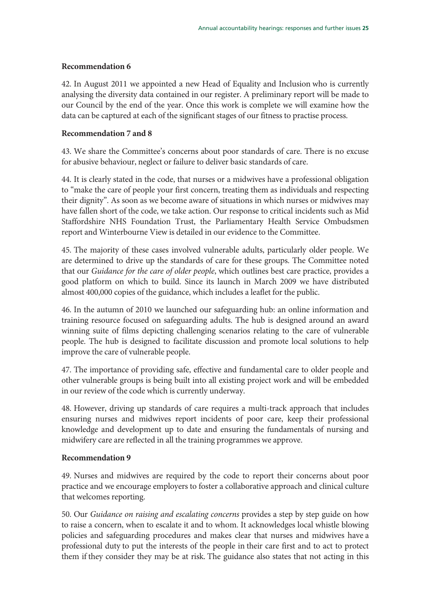## **Recommendation 6**

42. In August 2011 we appointed a new Head of Equality and Inclusion who is currently analysing the diversity data contained in our register. A preliminary report will be made to our Council by the end of the year. Once this work is complete we will examine how the data can be captured at each of the significant stages of our fitness to practise process.

## **Recommendation 7 and 8**

43. We share the Committee's concerns about poor standards of care. There is no excuse for abusive behaviour, neglect or failure to deliver basic standards of care.

44. It is clearly stated in the code, that nurses or a midwives have a professional obligation to "make the care of people your first concern, treating them as individuals and respecting their dignity". As soon as we become aware of situations in which nurses or midwives may have fallen short of the code, we take action. Our response to critical incidents such as Mid Staffordshire NHS Foundation Trust, the Parliamentary Health Service Ombudsmen report and Winterbourne View is detailed in our evidence to the Committee.

45. The majority of these cases involved vulnerable adults, particularly older people. We are determined to drive up the standards of care for these groups. The Committee noted that our Guidance for the care of older people, which outlines best care practice, provides a good platform on which to build. Since its launch in March 2009 we have distributed almost 400,000 copies of the guidance, which includes a leaflet for the public.

46. In the autumn of 2010 we launched our safeguarding hub: an online information and training resource focused on safeguarding adults. The hub is designed around an award winning suite of films depicting challenging scenarios relating to the care of vulnerable people. The hub is designed to facilitate discussion and promote local solutions to help improve the care of vulnerable people.

47. The importance of providing safe, effective and fundamental care to older people and other vulnerable groups is being built into all existing project work and will be embedded in our review of the code which is currently underway.

48. However, driving up standards of care requires a multi-track approach that includes ensuring nurses and midwives report incidents of poor care, keep their professional knowledge and development up to date and ensuring the fundamentals of nursing and midwifery care are reflected in all the training programmes we approve.

## **Recommendation 9**

49. Nurses and midwives are required by the code to report their concerns about poor practice and we encourage employers to foster a collaborative approach and clinical culture that welcomes reporting.

50. Our Guidance on raising and escalating concerns provides a step by step guide on how to raise a concern, when to escalate it and to whom. It acknowledges local whistle blowing policies and safeguarding procedures and makes clear that nurses and midwives have a professional duty to put the interests of the people in their care first and to act to protect them if they consider they may be at risk. The guidance also states that not acting in this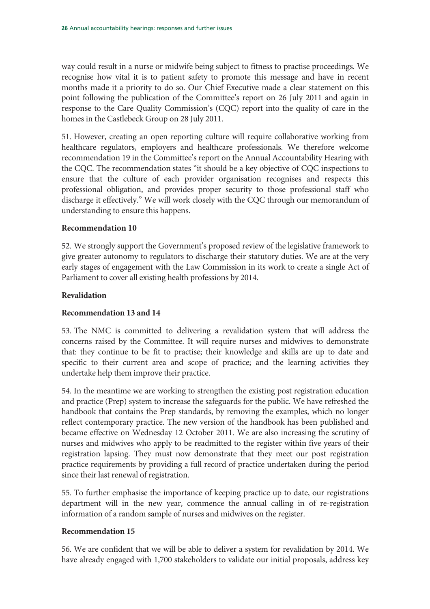way could result in a nurse or midwife being subject to fitness to practise proceedings. We recognise how vital it is to patient safety to promote this message and have in recent months made it a priority to do so. Our Chief Executive made a clear statement on this point following the publication of the Committee's report on 26 July 2011 and again in response to the Care Quality Commission's (CQC) report into the quality of care in the homes in the Castlebeck Group on 28 July 2011.

51. However, creating an open reporting culture will require collaborative working from healthcare regulators, employers and healthcare professionals. We therefore welcome recommendation 19 in the Committee's report on the Annual Accountability Hearing with the CQC. The recommendation states "it should be a key objective of CQC inspections to ensure that the culture of each provider organisation recognises and respects this professional obligation, and provides proper security to those professional staff who discharge it effectively." We will work closely with the CQC through our memorandum of understanding to ensure this happens.

## **Recommendation 10**

52. We strongly support the Government's proposed review of the legislative framework to give greater autonomy to regulators to discharge their statutory duties. We are at the very early stages of engagement with the Law Commission in its work to create a single Act of Parliament to cover all existing health professions by 2014.

#### **Revalidation**

## **Recommendation 13 and 14**

53. The NMC is committed to delivering a revalidation system that will address the concerns raised by the Committee. It will require nurses and midwives to demonstrate that: they continue to be fit to practise; their knowledge and skills are up to date and specific to their current area and scope of practice; and the learning activities they undertake help them improve their practice.

54. In the meantime we are working to strengthen the existing post registration education and practice (Prep) system to increase the safeguards for the public. We have refreshed the handbook that contains the Prep standards, by removing the examples, which no longer reflect contemporary practice. The new version of the handbook has been published and became effective on Wednesday 12 October 2011. We are also increasing the scrutiny of nurses and midwives who apply to be readmitted to the register within five years of their registration lapsing. They must now demonstrate that they meet our post registration practice requirements by providing a full record of practice undertaken during the period since their last renewal of registration.

55. To further emphasise the importance of keeping practice up to date, our registrations department will in the new year, commence the annual calling in of re-registration information of a random sample of nurses and midwives on the register.

## **Recommendation 15**

56. We are confident that we will be able to deliver a system for revalidation by 2014. We have already engaged with 1,700 stakeholders to validate our initial proposals, address key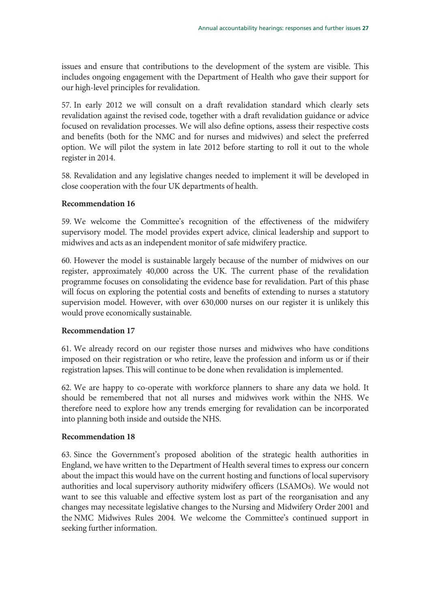issues and ensure that contributions to the development of the system are visible. This includes ongoing engagement with the Department of Health who gave their support for our high-level principles for revalidation.

57. In early 2012 we will consult on a draft revalidation standard which clearly sets revalidation against the revised code, together with a draft revalidation guidance or advice focused on revalidation processes. We will also define options, assess their respective costs and benefits (both for the NMC and for nurses and midwives) and select the preferred option. We will pilot the system in late 2012 before starting to roll it out to the whole register in 2014.

58. Revalidation and any legislative changes needed to implement it will be developed in close cooperation with the four UK departments of health.

#### **Recommendation 16**

59. We welcome the Committee's recognition of the effectiveness of the midwifery supervisory model. The model provides expert advice, clinical leadership and support to midwives and acts as an independent monitor of safe midwifery practice.

60. However the model is sustainable largely because of the number of midwives on our register, approximately 40,000 across the UK. The current phase of the revalidation programme focuses on consolidating the evidence base for revalidation. Part of this phase will focus on exploring the potential costs and benefits of extending to nurses a statutory supervision model. However, with over 630,000 nurses on our register it is unlikely this would prove economically sustainable.

#### **Recommendation 17**

61. We already record on our register those nurses and midwives who have conditions imposed on their registration or who retire, leave the profession and inform us or if their registration lapses. This will continue to be done when revalidation is implemented.

62. We are happy to co-operate with workforce planners to share any data we hold. It should be remembered that not all nurses and midwives work within the NHS. We therefore need to explore how any trends emerging for revalidation can be incorporated into planning both inside and outside the NHS.

#### **Recommendation 18**

63. Since the Government's proposed abolition of the strategic health authorities in England, we have written to the Department of Health several times to express our concern about the impact this would have on the current hosting and functions of local supervisory authorities and local supervisory authority midwifery officers (LSAMOs). We would not want to see this valuable and effective system lost as part of the reorganisation and any changes may necessitate legislative changes to the Nursing and Midwifery Order 2001 and the NMC Midwives Rules 2004. We welcome the Committee's continued support in seeking further information.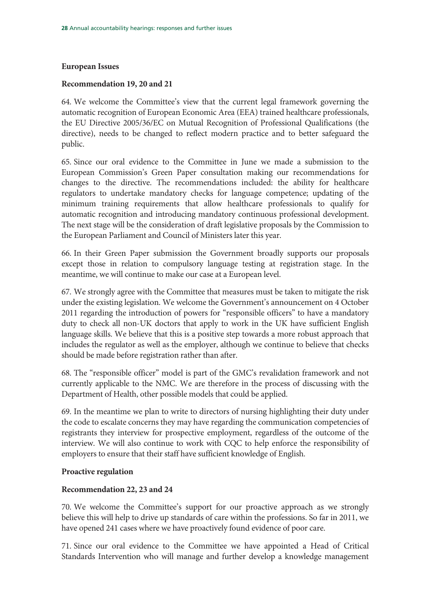#### **European Issues**

#### **Recommendation 19, 20 and 21**

64. We welcome the Committee's view that the current legal framework governing the automatic recognition of European Economic Area (EEA) trained healthcare professionals, the EU Directive 2005/36/EC on Mutual Recognition of Professional Qualifications (the directive), needs to be changed to reflect modern practice and to better safeguard the public.

65. Since our oral evidence to the Committee in June we made a submission to the European Commission's Green Paper consultation making our recommendations for changes to the directive. The recommendations included: the ability for healthcare regulators to undertake mandatory checks for language competence; updating of the minimum training requirements that allow healthcare professionals to qualify for automatic recognition and introducing mandatory continuous professional development. The next stage will be the consideration of draft legislative proposals by the Commission to the European Parliament and Council of Ministers later this year.

66. In their Green Paper submission the Government broadly supports our proposals except those in relation to compulsory language testing at registration stage. In the meantime, we will continue to make our case at a European level.

67. We strongly agree with the Committee that measures must be taken to mitigate the risk under the existing legislation. We welcome the Government's announcement on 4 October 2011 regarding the introduction of powers for "responsible officers" to have a mandatory duty to check all non-UK doctors that apply to work in the UK have sufficient English language skills. We believe that this is a positive step towards a more robust approach that includes the regulator as well as the employer, although we continue to believe that checks should be made before registration rather than after.

68. The "responsible officer" model is part of the GMC's revalidation framework and not currently applicable to the NMC. We are therefore in the process of discussing with the Department of Health, other possible models that could be applied.

69. In the meantime we plan to write to directors of nursing highlighting their duty under the code to escalate concerns they may have regarding the communication competencies of registrants they interview for prospective employment, regardless of the outcome of the interview. We will also continue to work with CQC to help enforce the responsibility of employers to ensure that their staff have sufficient knowledge of English.

#### **Proactive regulation**

## **Recommendation 22, 23 and 24**

70. We welcome the Committee's support for our proactive approach as we strongly believe this will help to drive up standards of care within the professions. So far in 2011, we have opened 241 cases where we have proactively found evidence of poor care.

71. Since our oral evidence to the Committee we have appointed a Head of Critical Standards Intervention who will manage and further develop a knowledge management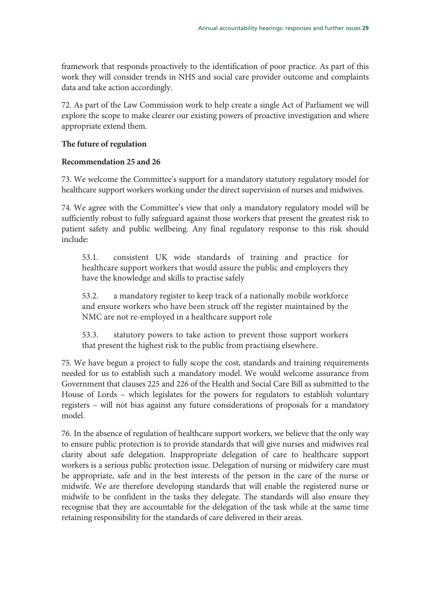framework that responds proactively to the identification of poor practice. As part of this work they will consider trends in NHS and social care provider outcome and complaints data and take action accordingly.

72. As part of the Law Commission work to help create a single Act of Parliament we will explore the scope to make clearer our existing powers of proactive investigation and where appropriate extend them.

## **The future of regulation**

#### **Recommendation 25 and 26**

73. We welcome the Committee's support for a mandatory statutory regulatory model for healthcare support workers working under the direct supervision of nurses and midwives.

74. We agree with the Committee's view that only a mandatory regulatory model will be sufficiently robust to fully safeguard against those workers that present the greatest risk to patient safety and public wellbeing. Any final regulatory response to this risk should include:

53.1. consistent UK wide standards of training and practice for healthcare support workers that would assure the public and employers they have the knowledge and skills to practise safely

53.2. a mandatory register to keep track of a nationally mobile workforce and ensure workers who have been struck off the register maintained by the NMC are not re-employed in a healthcare support role

53.3. statutory powers to take action to prevent those support workers that present the highest risk to the public from practising elsewhere.

75. We have begun a project to fully scope the cost, standards and training requirements needed for us to establish such a mandatory model. We would welcome assurance from Government that clauses 225 and 226 of the Health and Social Care Bill as submitted to the House of Lords – which legislates for the powers for regulators to establish voluntary registers – will not bias against any future considerations of proposals for a mandatory model.

76. In the absence of regulation of healthcare support workers, we believe that the only way to ensure public protection is to provide standards that will give nurses and midwives real clarity about safe delegation. Inappropriate delegation of care to healthcare support workers is a serious public protection issue. Delegation of nursing or midwifery care must be appropriate, safe and in the best interests of the person in the care of the nurse or midwife. We are therefore developing standards that will enable the registered nurse or midwife to be confident in the tasks they delegate. The standards will also ensure they recognise that they are accountable for the delegation of the task while at the same time retaining responsibility for the standards of care delivered in their areas.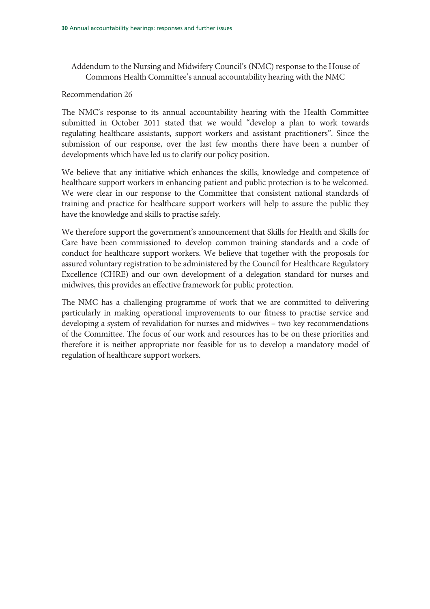Addendum to the Nursing and Midwifery Council's (NMC) response to the House of Commons Health Committee's annual accountability hearing with the NMC

#### Recommendation 26

The NMC's response to its annual accountability hearing with the Health Committee submitted in October 2011 stated that we would "develop a plan to work towards regulating healthcare assistants, support workers and assistant practitioners". Since the submission of our response, over the last few months there have been a number of developments which have led us to clarify our policy position.

We believe that any initiative which enhances the skills, knowledge and competence of healthcare support workers in enhancing patient and public protection is to be welcomed. We were clear in our response to the Committee that consistent national standards of training and practice for healthcare support workers will help to assure the public they have the knowledge and skills to practise safely.

We therefore support the government's announcement that Skills for Health and Skills for Care have been commissioned to develop common training standards and a code of conduct for healthcare support workers. We believe that together with the proposals for assured voluntary registration to be administered by the Council for Healthcare Regulatory Excellence (CHRE) and our own development of a delegation standard for nurses and midwives, this provides an effective framework for public protection.

The NMC has a challenging programme of work that we are committed to delivering particularly in making operational improvements to our fitness to practise service and developing a system of revalidation for nurses and midwives – two key recommendations of the Committee. The focus of our work and resources has to be on these priorities and therefore it is neither appropriate nor feasible for us to develop a mandatory model of regulation of healthcare support workers.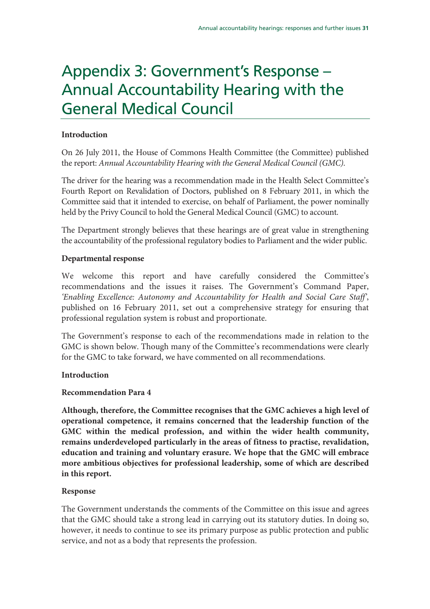# Appendix 3: Government's Response – Annual Accountability Hearing with the General Medical Council

## **Introduction**

On 26 July 2011, the House of Commons Health Committee (the Committee) published the report: Annual Accountability Hearing with the General Medical Council (GMC).

The driver for the hearing was a recommendation made in the Health Select Committee's Fourth Report on Revalidation of Doctors, published on 8 February 2011, in which the Committee said that it intended to exercise, on behalf of Parliament, the power nominally held by the Privy Council to hold the General Medical Council (GMC) to account.

The Department strongly believes that these hearings are of great value in strengthening the accountability of the professional regulatory bodies to Parliament and the wider public.

## **Departmental response**

We welcome this report and have carefully considered the Committee's recommendations and the issues it raises. The Government's Command Paper, 'Enabling Excellence: Autonomy and Accountability for Health and Social Care Staff', published on 16 February 2011, set out a comprehensive strategy for ensuring that professional regulation system is robust and proportionate.

The Government's response to each of the recommendations made in relation to the GMC is shown below. Though many of the Committee's recommendations were clearly for the GMC to take forward, we have commented on all recommendations.

## **Introduction**

## **Recommendation Para 4**

**Although, therefore, the Committee recognises that the GMC achieves a high level of operational competence, it remains concerned that the leadership function of the GMC within the medical profession, and within the wider health community, remains underdeveloped particularly in the areas of fitness to practise, revalidation, education and training and voluntary erasure. We hope that the GMC will embrace more ambitious objectives for professional leadership, some of which are described in this report.** 

## **Response**

The Government understands the comments of the Committee on this issue and agrees that the GMC should take a strong lead in carrying out its statutory duties. In doing so, however, it needs to continue to see its primary purpose as public protection and public service, and not as a body that represents the profession.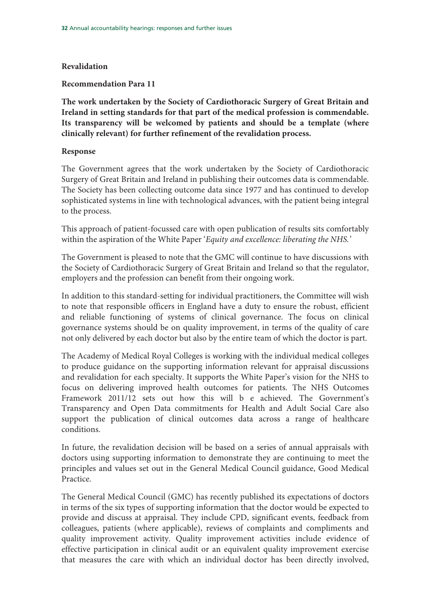## **Revalidation**

#### **Recommendation Para 11**

**The work undertaken by the Society of Cardiothoracic Surgery of Great Britain and Ireland in setting standards for that part of the medical profession is commendable. Its transparency will be welcomed by patients and should be a template (where clinically relevant) for further refinement of the revalidation process.** 

#### **Response**

The Government agrees that the work undertaken by the Society of Cardiothoracic Surgery of Great Britain and Ireland in publishing their outcomes data is commendable. The Society has been collecting outcome data since 1977 and has continued to develop sophisticated systems in line with technological advances, with the patient being integral to the process.

This approach of patient-focussed care with open publication of results sits comfortably within the aspiration of the White Paper 'Equity and excellence: liberating the NHS.'

The Government is pleased to note that the GMC will continue to have discussions with the Society of Cardiothoracic Surgery of Great Britain and Ireland so that the regulator, employers and the profession can benefit from their ongoing work.

In addition to this standard-setting for individual practitioners, the Committee will wish to note that responsible officers in England have a duty to ensure the robust, efficient and reliable functioning of systems of clinical governance. The focus on clinical governance systems should be on quality improvement, in terms of the quality of care not only delivered by each doctor but also by the entire team of which the doctor is part.

The Academy of Medical Royal Colleges is working with the individual medical colleges to produce guidance on the supporting information relevant for appraisal discussions and revalidation for each specialty. It supports the White Paper's vision for the NHS to focus on delivering improved health outcomes for patients. The NHS Outcomes Framework 2011/12 sets out how this will b e achieved. The Government's Transparency and Open Data commitments for Health and Adult Social Care also support the publication of clinical outcomes data across a range of healthcare conditions.

In future, the revalidation decision will be based on a series of annual appraisals with doctors using supporting information to demonstrate they are continuing to meet the principles and values set out in the General Medical Council guidance, Good Medical Practice.

The General Medical Council (GMC) has recently published its expectations of doctors in terms of the six types of supporting information that the doctor would be expected to provide and discuss at appraisal. They include CPD, significant events, feedback from colleagues, patients (where applicable), reviews of complaints and compliments and quality improvement activity. Quality improvement activities include evidence of effective participation in clinical audit or an equivalent quality improvement exercise that measures the care with which an individual doctor has been directly involved,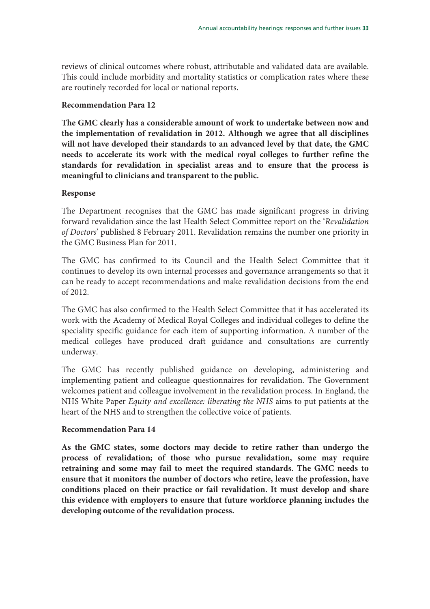reviews of clinical outcomes where robust, attributable and validated data are available. This could include morbidity and mortality statistics or complication rates where these are routinely recorded for local or national reports.

#### **Recommendation Para 12**

**The GMC clearly has a considerable amount of work to undertake between now and the implementation of revalidation in 2012. Although we agree that all disciplines will not have developed their standards to an advanced level by that date, the GMC needs to accelerate its work with the medical royal colleges to further refine the standards for revalidation in specialist areas and to ensure that the process is meaningful to clinicians and transparent to the public.** 

## **Response**

The Department recognises that the GMC has made significant progress in driving forward revalidation since the last Health Select Committee report on the 'Revalidation of Doctors' published 8 February 2011. Revalidation remains the number one priority in the GMC Business Plan for 2011.

The GMC has confirmed to its Council and the Health Select Committee that it continues to develop its own internal processes and governance arrangements so that it can be ready to accept recommendations and make revalidation decisions from the end of 2012.

The GMC has also confirmed to the Health Select Committee that it has accelerated its work with the Academy of Medical Royal Colleges and individual colleges to define the speciality specific guidance for each item of supporting information. A number of the medical colleges have produced draft guidance and consultations are currently underway.

The GMC has recently published guidance on developing, administering and implementing patient and colleague questionnaires for revalidation. The Government welcomes patient and colleague involvement in the revalidation process. In England, the NHS White Paper Equity and excellence: liberating the NHS aims to put patients at the heart of the NHS and to strengthen the collective voice of patients.

## **Recommendation Para 14**

**As the GMC states, some doctors may decide to retire rather than undergo the process of revalidation; of those who pursue revalidation, some may require retraining and some may fail to meet the required standards. The GMC needs to ensure that it monitors the number of doctors who retire, leave the profession, have conditions placed on their practice or fail revalidation. It must develop and share this evidence with employers to ensure that future workforce planning includes the developing outcome of the revalidation process.**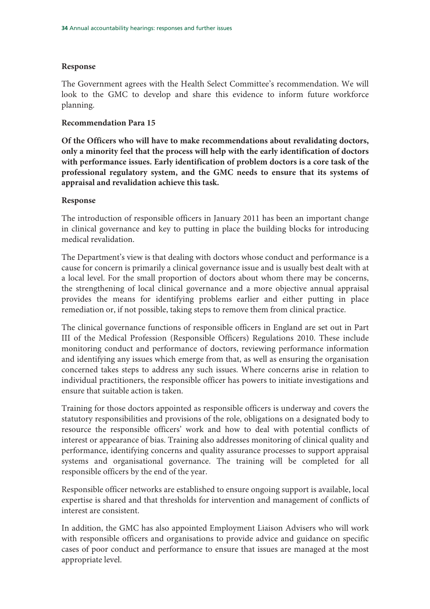## **Response**

The Government agrees with the Health Select Committee's recommendation. We will look to the GMC to develop and share this evidence to inform future workforce planning.

## **Recommendation Para 15**

**Of the Officers who will have to make recommendations about revalidating doctors, only a minority feel that the process will help with the early identification of doctors with performance issues. Early identification of problem doctors is a core task of the professional regulatory system, and the GMC needs to ensure that its systems of appraisal and revalidation achieve this task.** 

## **Response**

The introduction of responsible officers in January 2011 has been an important change in clinical governance and key to putting in place the building blocks for introducing medical revalidation.

The Department's view is that dealing with doctors whose conduct and performance is a cause for concern is primarily a clinical governance issue and is usually best dealt with at a local level. For the small proportion of doctors about whom there may be concerns, the strengthening of local clinical governance and a more objective annual appraisal provides the means for identifying problems earlier and either putting in place remediation or, if not possible, taking steps to remove them from clinical practice.

The clinical governance functions of responsible officers in England are set out in Part III of the Medical Profession (Responsible Officers) Regulations 2010. These include monitoring conduct and performance of doctors, reviewing performance information and identifying any issues which emerge from that, as well as ensuring the organisation concerned takes steps to address any such issues. Where concerns arise in relation to individual practitioners, the responsible officer has powers to initiate investigations and ensure that suitable action is taken.

Training for those doctors appointed as responsible officers is underway and covers the statutory responsibilities and provisions of the role, obligations on a designated body to resource the responsible officers' work and how to deal with potential conflicts of interest or appearance of bias. Training also addresses monitoring of clinical quality and performance, identifying concerns and quality assurance processes to support appraisal systems and organisational governance. The training will be completed for all responsible officers by the end of the year.

Responsible officer networks are established to ensure ongoing support is available, local expertise is shared and that thresholds for intervention and management of conflicts of interest are consistent.

In addition, the GMC has also appointed Employment Liaison Advisers who will work with responsible officers and organisations to provide advice and guidance on specific cases of poor conduct and performance to ensure that issues are managed at the most appropriate level.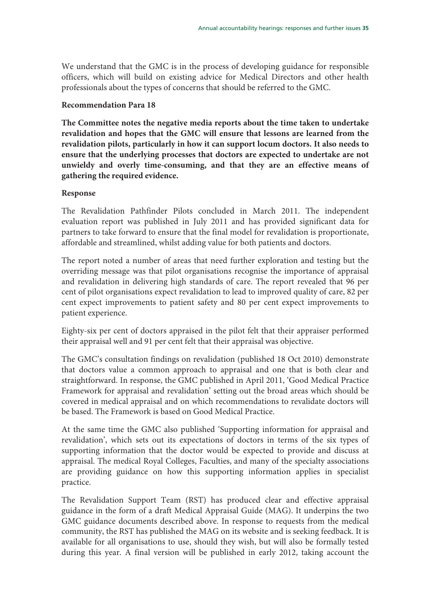We understand that the GMC is in the process of developing guidance for responsible officers, which will build on existing advice for Medical Directors and other health professionals about the types of concerns that should be referred to the GMC.

### **Recommendation Para 18**

**The Committee notes the negative media reports about the time taken to undertake revalidation and hopes that the GMC will ensure that lessons are learned from the revalidation pilots, particularly in how it can support locum doctors. It also needs to ensure that the underlying processes that doctors are expected to undertake are not unwieldy and overly time-consuming, and that they are an effective means of gathering the required evidence.** 

## **Response**

The Revalidation Pathfinder Pilots concluded in March 2011. The independent evaluation report was published in July 2011 and has provided significant data for partners to take forward to ensure that the final model for revalidation is proportionate, affordable and streamlined, whilst adding value for both patients and doctors.

The report noted a number of areas that need further exploration and testing but the overriding message was that pilot organisations recognise the importance of appraisal and revalidation in delivering high standards of care. The report revealed that 96 per cent of pilot organisations expect revalidation to lead to improved quality of care, 82 per cent expect improvements to patient safety and 80 per cent expect improvements to patient experience.

Eighty-six per cent of doctors appraised in the pilot felt that their appraiser performed their appraisal well and 91 per cent felt that their appraisal was objective.

The GMC's consultation findings on revalidation (published 18 Oct 2010) demonstrate that doctors value a common approach to appraisal and one that is both clear and straightforward. In response, the GMC published in April 2011, 'Good Medical Practice Framework for appraisal and revalidation' setting out the broad areas which should be covered in medical appraisal and on which recommendations to revalidate doctors will be based. The Framework is based on Good Medical Practice.

At the same time the GMC also published 'Supporting information for appraisal and revalidation', which sets out its expectations of doctors in terms of the six types of supporting information that the doctor would be expected to provide and discuss at appraisal. The medical Royal Colleges, Faculties, and many of the specialty associations are providing guidance on how this supporting information applies in specialist practice.

The Revalidation Support Team (RST) has produced clear and effective appraisal guidance in the form of a draft Medical Appraisal Guide (MAG). It underpins the two GMC guidance documents described above. In response to requests from the medical community, the RST has published the MAG on its website and is seeking feedback. It is available for all organisations to use, should they wish, but will also be formally tested during this year. A final version will be published in early 2012, taking account the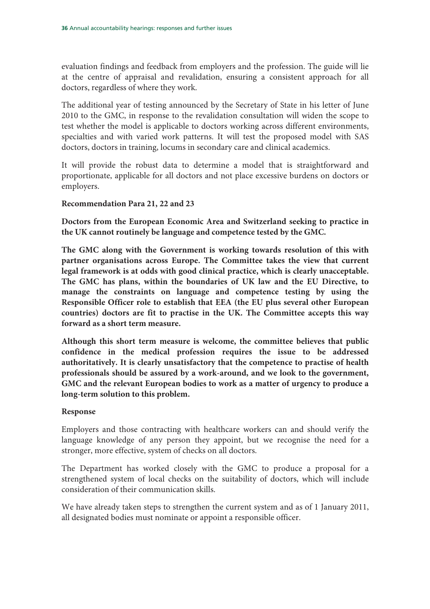evaluation findings and feedback from employers and the profession. The guide will lie at the centre of appraisal and revalidation, ensuring a consistent approach for all doctors, regardless of where they work.

The additional year of testing announced by the Secretary of State in his letter of June 2010 to the GMC, in response to the revalidation consultation will widen the scope to test whether the model is applicable to doctors working across different environments, specialties and with varied work patterns. It will test the proposed model with SAS doctors, doctors in training, locums in secondary care and clinical academics.

It will provide the robust data to determine a model that is straightforward and proportionate, applicable for all doctors and not place excessive burdens on doctors or employers.

## **Recommendation Para 21, 22 and 23**

**Doctors from the European Economic Area and Switzerland seeking to practice in the UK cannot routinely be language and competence tested by the GMC.** 

**The GMC along with the Government is working towards resolution of this with partner organisations across Europe. The Committee takes the view that current legal framework is at odds with good clinical practice, which is clearly unacceptable. The GMC has plans, within the boundaries of UK law and the EU Directive, to manage the constraints on language and competence testing by using the Responsible Officer role to establish that EEA (the EU plus several other European countries) doctors are fit to practise in the UK. The Committee accepts this way forward as a short term measure.** 

**Although this short term measure is welcome, the committee believes that public confidence in the medical profession requires the issue to be addressed authoritatively. It is clearly unsatisfactory that the competence to practise of health professionals should be assured by a work-around, and we look to the government, GMC and the relevant European bodies to work as a matter of urgency to produce a long-term solution to this problem.**

## **Response**

Employers and those contracting with healthcare workers can and should verify the language knowledge of any person they appoint, but we recognise the need for a stronger, more effective, system of checks on all doctors.

The Department has worked closely with the GMC to produce a proposal for a strengthened system of local checks on the suitability of doctors, which will include consideration of their communication skills.

We have already taken steps to strengthen the current system and as of 1 January 2011, all designated bodies must nominate or appoint a responsible officer.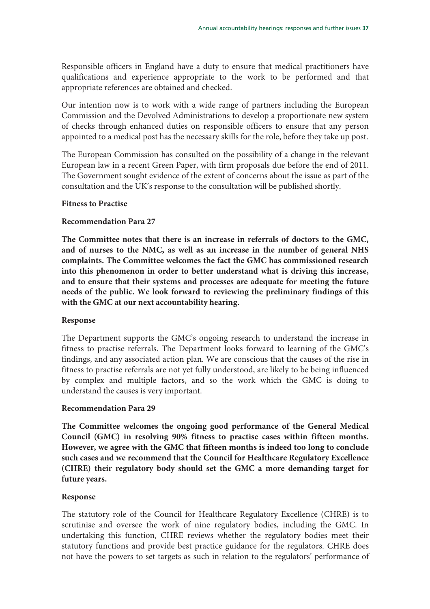Responsible officers in England have a duty to ensure that medical practitioners have qualifications and experience appropriate to the work to be performed and that appropriate references are obtained and checked.

Our intention now is to work with a wide range of partners including the European Commission and the Devolved Administrations to develop a proportionate new system of checks through enhanced duties on responsible officers to ensure that any person appointed to a medical post has the necessary skills for the role, before they take up post.

The European Commission has consulted on the possibility of a change in the relevant European law in a recent Green Paper, with firm proposals due before the end of 2011. The Government sought evidence of the extent of concerns about the issue as part of the consultation and the UK's response to the consultation will be published shortly.

## **Fitness to Practise**

### **Recommendation Para 27**

**The Committee notes that there is an increase in referrals of doctors to the GMC, and of nurses to the NMC, as well as an increase in the number of general NHS complaints. The Committee welcomes the fact the GMC has commissioned research into this phenomenon in order to better understand what is driving this increase, and to ensure that their systems and processes are adequate for meeting the future needs of the public. We look forward to reviewing the preliminary findings of this with the GMC at our next accountability hearing.**

### **Response**

The Department supports the GMC's ongoing research to understand the increase in fitness to practise referrals. The Department looks forward to learning of the GMC's findings, and any associated action plan. We are conscious that the causes of the rise in fitness to practise referrals are not yet fully understood, are likely to be being influenced by complex and multiple factors, and so the work which the GMC is doing to understand the causes is very important.

### **Recommendation Para 29**

**The Committee welcomes the ongoing good performance of the General Medical Council (GMC) in resolving 90% fitness to practise cases within fifteen months. However, we agree with the GMC that fifteen months is indeed too long to conclude such cases and we recommend that the Council for Healthcare Regulatory Excellence (CHRE) their regulatory body should set the GMC a more demanding target for future years.** 

### **Response**

The statutory role of the Council for Healthcare Regulatory Excellence (CHRE) is to scrutinise and oversee the work of nine regulatory bodies, including the GMC. In undertaking this function, CHRE reviews whether the regulatory bodies meet their statutory functions and provide best practice guidance for the regulators. CHRE does not have the powers to set targets as such in relation to the regulators' performance of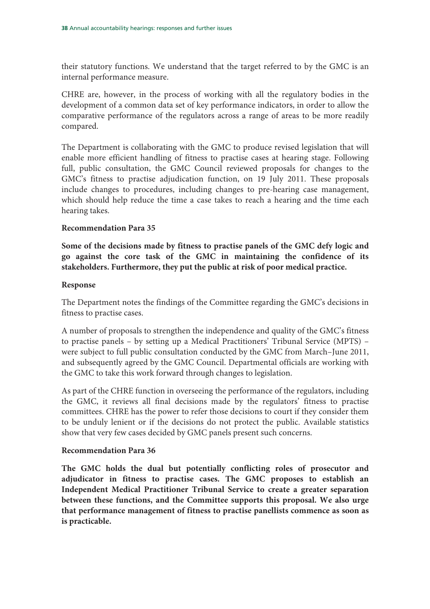their statutory functions. We understand that the target referred to by the GMC is an internal performance measure.

CHRE are, however, in the process of working with all the regulatory bodies in the development of a common data set of key performance indicators, in order to allow the comparative performance of the regulators across a range of areas to be more readily compared.

The Department is collaborating with the GMC to produce revised legislation that will enable more efficient handling of fitness to practise cases at hearing stage. Following full, public consultation, the GMC Council reviewed proposals for changes to the GMC's fitness to practise adjudication function, on 19 July 2011. These proposals include changes to procedures, including changes to pre-hearing case management, which should help reduce the time a case takes to reach a hearing and the time each hearing takes.

## **Recommendation Para 35**

**Some of the decisions made by fitness to practise panels of the GMC defy logic and go against the core task of the GMC in maintaining the confidence of its stakeholders. Furthermore, they put the public at risk of poor medical practice.** 

### **Response**

The Department notes the findings of the Committee regarding the GMC's decisions in fitness to practise cases.

A number of proposals to strengthen the independence and quality of the GMC's fitness to practise panels – by setting up a Medical Practitioners' Tribunal Service (MPTS) – were subject to full public consultation conducted by the GMC from March–June 2011, and subsequently agreed by the GMC Council. Departmental officials are working with the GMC to take this work forward through changes to legislation.

As part of the CHRE function in overseeing the performance of the regulators, including the GMC, it reviews all final decisions made by the regulators' fitness to practise committees. CHRE has the power to refer those decisions to court if they consider them to be unduly lenient or if the decisions do not protect the public. Available statistics show that very few cases decided by GMC panels present such concerns.

## **Recommendation Para 36**

**The GMC holds the dual but potentially conflicting roles of prosecutor and adjudicator in fitness to practise cases. The GMC proposes to establish an Independent Medical Practitioner Tribunal Service to create a greater separation between these functions, and the Committee supports this proposal. We also urge that performance management of fitness to practise panellists commence as soon as is practicable.**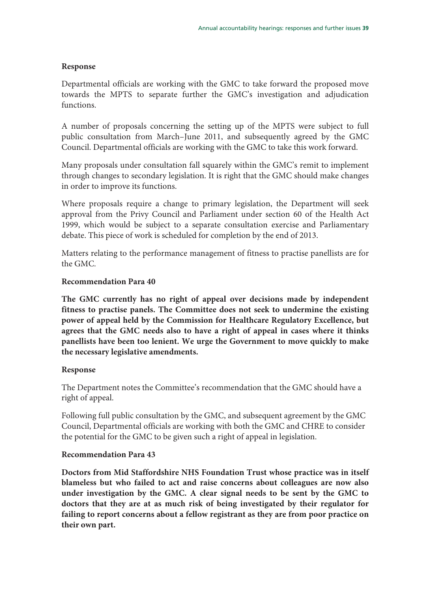## **Response**

Departmental officials are working with the GMC to take forward the proposed move towards the MPTS to separate further the GMC's investigation and adjudication functions.

A number of proposals concerning the setting up of the MPTS were subject to full public consultation from March–June 2011, and subsequently agreed by the GMC Council. Departmental officials are working with the GMC to take this work forward.

Many proposals under consultation fall squarely within the GMC's remit to implement through changes to secondary legislation. It is right that the GMC should make changes in order to improve its functions.

Where proposals require a change to primary legislation, the Department will seek approval from the Privy Council and Parliament under section 60 of the Health Act 1999, which would be subject to a separate consultation exercise and Parliamentary debate. This piece of work is scheduled for completion by the end of 2013.

Matters relating to the performance management of fitness to practise panellists are for the GMC.

### **Recommendation Para 40**

**The GMC currently has no right of appeal over decisions made by independent fitness to practise panels. The Committee does not seek to undermine the existing power of appeal held by the Commission for Healthcare Regulatory Excellence, but agrees that the GMC needs also to have a right of appeal in cases where it thinks panellists have been too lenient. We urge the Government to move quickly to make the necessary legislative amendments.** 

## **Response**

The Department notes the Committee's recommendation that the GMC should have a right of appeal.

Following full public consultation by the GMC, and subsequent agreement by the GMC Council, Departmental officials are working with both the GMC and CHRE to consider the potential for the GMC to be given such a right of appeal in legislation.

## **Recommendation Para 43**

**Doctors from Mid Staffordshire NHS Foundation Trust whose practice was in itself blameless but who failed to act and raise concerns about colleagues are now also under investigation by the GMC. A clear signal needs to be sent by the GMC to doctors that they are at as much risk of being investigated by their regulator for failing to report concerns about a fellow registrant as they are from poor practice on their own part.**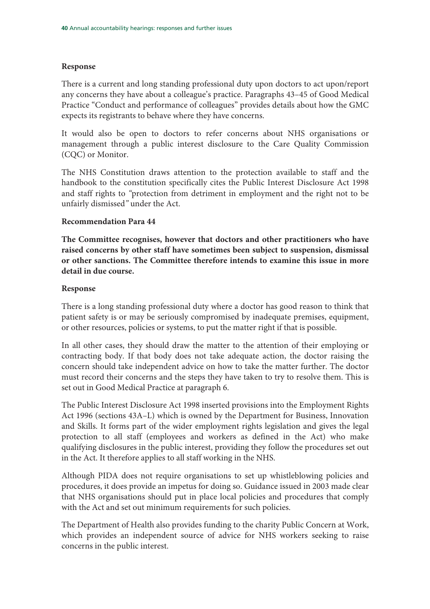## **Response**

There is a current and long standing professional duty upon doctors to act upon/report any concerns they have about a colleague's practice. Paragraphs 43–45 of Good Medical Practice "Conduct and performance of colleagues" provides details about how the GMC expects its registrants to behave where they have concerns.

It would also be open to doctors to refer concerns about NHS organisations or management through a public interest disclosure to the Care Quality Commission (CQC) or Monitor.

The NHS Constitution draws attention to the protection available to staff and the handbook to the constitution specifically cites the Public Interest Disclosure Act 1998 and staff rights to "protection from detriment in employment and the right not to be unfairly dismissed" under the Act.

### **Recommendation Para 44**

**The Committee recognises, however that doctors and other practitioners who have raised concerns by other staff have sometimes been subject to suspension, dismissal or other sanctions. The Committee therefore intends to examine this issue in more detail in due course.** 

### **Response**

There is a long standing professional duty where a doctor has good reason to think that patient safety is or may be seriously compromised by inadequate premises, equipment, or other resources, policies or systems, to put the matter right if that is possible.

In all other cases, they should draw the matter to the attention of their employing or contracting body. If that body does not take adequate action, the doctor raising the concern should take independent advice on how to take the matter further. The doctor must record their concerns and the steps they have taken to try to resolve them. This is set out in Good Medical Practice at paragraph 6.

The Public Interest Disclosure Act 1998 inserted provisions into the Employment Rights Act 1996 (sections 43A–L) which is owned by the Department for Business, Innovation and Skills. It forms part of the wider employment rights legislation and gives the legal protection to all staff (employees and workers as defined in the Act) who make qualifying disclosures in the public interest, providing they follow the procedures set out in the Act. It therefore applies to all staff working in the NHS.

Although PIDA does not require organisations to set up whistleblowing policies and procedures, it does provide an impetus for doing so. Guidance issued in 2003 made clear that NHS organisations should put in place local policies and procedures that comply with the Act and set out minimum requirements for such policies.

The Department of Health also provides funding to the charity Public Concern at Work, which provides an independent source of advice for NHS workers seeking to raise concerns in the public interest.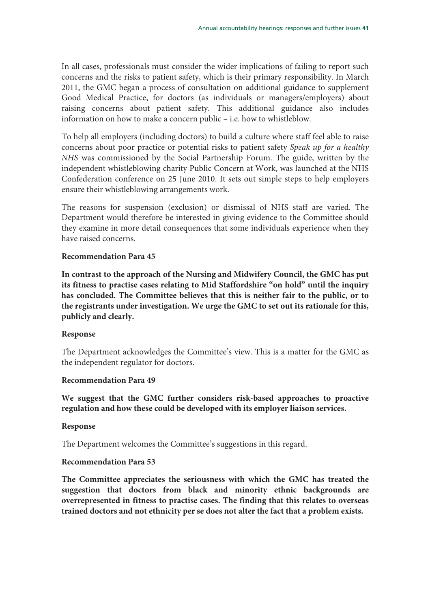In all cases, professionals must consider the wider implications of failing to report such concerns and the risks to patient safety, which is their primary responsibility. In March 2011, the GMC began a process of consultation on additional guidance to supplement Good Medical Practice, for doctors (as individuals or managers/employers) about raising concerns about patient safety. This additional guidance also includes information on how to make a concern public – i.e. how to whistleblow.

To help all employers (including doctors) to build a culture where staff feel able to raise concerns about poor practice or potential risks to patient safety Speak up for a healthy NHS was commissioned by the Social Partnership Forum. The guide, written by the independent whistleblowing charity Public Concern at Work, was launched at the NHS Confederation conference on 25 June 2010. It sets out simple steps to help employers ensure their whistleblowing arrangements work.

The reasons for suspension (exclusion) or dismissal of NHS staff are varied. The Department would therefore be interested in giving evidence to the Committee should they examine in more detail consequences that some individuals experience when they have raised concerns.

## **Recommendation Para 45**

**In contrast to the approach of the Nursing and Midwifery Council, the GMC has put its fitness to practise cases relating to Mid Staffordshire "on hold" until the inquiry has concluded. The Committee believes that this is neither fair to the public, or to the registrants under investigation. We urge the GMC to set out its rationale for this, publicly and clearly.** 

### **Response**

The Department acknowledges the Committee's view. This is a matter for the GMC as the independent regulator for doctors.

## **Recommendation Para 49**

**We suggest that the GMC further considers risk-based approaches to proactive regulation and how these could be developed with its employer liaison services.** 

## **Response**

The Department welcomes the Committee's suggestions in this regard.

## **Recommendation Para 53**

**The Committee appreciates the seriousness with which the GMC has treated the suggestion that doctors from black and minority ethnic backgrounds are overrepresented in fitness to practise cases. The finding that this relates to overseas trained doctors and not ethnicity per se does not alter the fact that a problem exists.**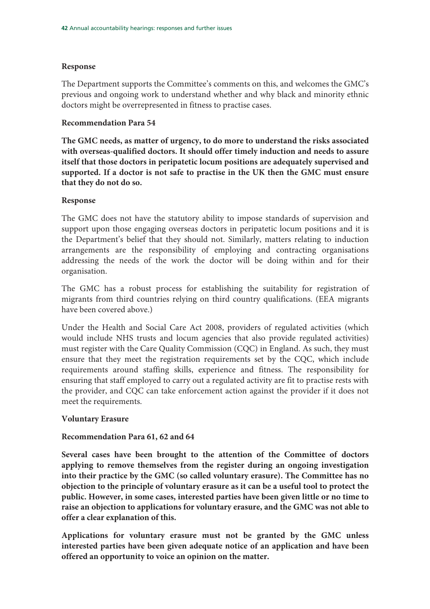### **Response**

The Department supports the Committee's comments on this, and welcomes the GMC's previous and ongoing work to understand whether and why black and minority ethnic doctors might be overrepresented in fitness to practise cases.

### **Recommendation Para 54**

**The GMC needs, as matter of urgency, to do more to understand the risks associated with overseas-qualified doctors. It should offer timely induction and needs to assure itself that those doctors in peripatetic locum positions are adequately supervised and supported. If a doctor is not safe to practise in the UK then the GMC must ensure that they do not do so.** 

### **Response**

The GMC does not have the statutory ability to impose standards of supervision and support upon those engaging overseas doctors in peripatetic locum positions and it is the Department's belief that they should not. Similarly, matters relating to induction arrangements are the responsibility of employing and contracting organisations addressing the needs of the work the doctor will be doing within and for their organisation.

The GMC has a robust process for establishing the suitability for registration of migrants from third countries relying on third country qualifications. (EEA migrants have been covered above.)

Under the Health and Social Care Act 2008, providers of regulated activities (which would include NHS trusts and locum agencies that also provide regulated activities) must register with the Care Quality Commission (CQC) in England. As such, they must ensure that they meet the registration requirements set by the CQC, which include requirements around staffing skills, experience and fitness. The responsibility for ensuring that staff employed to carry out a regulated activity are fit to practise rests with the provider, and CQC can take enforcement action against the provider if it does not meet the requirements.

### **Voluntary Erasure**

## **Recommendation Para 61, 62 and 64**

**Several cases have been brought to the attention of the Committee of doctors applying to remove themselves from the register during an ongoing investigation into their practice by the GMC (so called voluntary erasure). The Committee has no objection to the principle of voluntary erasure as it can be a useful tool to protect the public. However, in some cases, interested parties have been given little or no time to raise an objection to applications for voluntary erasure, and the GMC was not able to offer a clear explanation of this.** 

**Applications for voluntary erasure must not be granted by the GMC unless interested parties have been given adequate notice of an application and have been offered an opportunity to voice an opinion on the matter.**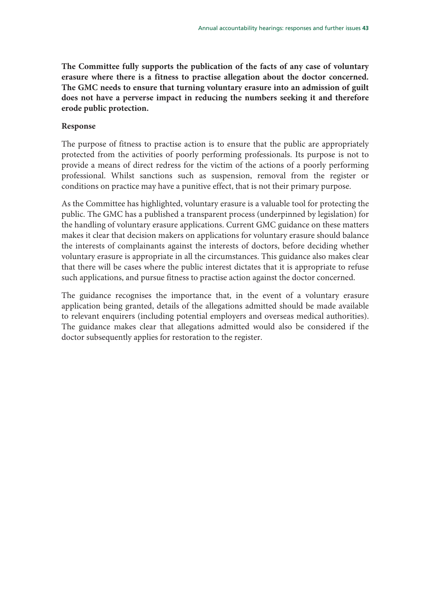**The Committee fully supports the publication of the facts of any case of voluntary erasure where there is a fitness to practise allegation about the doctor concerned. The GMC needs to ensure that turning voluntary erasure into an admission of guilt does not have a perverse impact in reducing the numbers seeking it and therefore erode public protection.** 

## **Response**

The purpose of fitness to practise action is to ensure that the public are appropriately protected from the activities of poorly performing professionals. Its purpose is not to provide a means of direct redress for the victim of the actions of a poorly performing professional. Whilst sanctions such as suspension, removal from the register or conditions on practice may have a punitive effect, that is not their primary purpose.

As the Committee has highlighted, voluntary erasure is a valuable tool for protecting the public. The GMC has a published a transparent process (underpinned by legislation) for the handling of voluntary erasure applications. Current GMC guidance on these matters makes it clear that decision makers on applications for voluntary erasure should balance the interests of complainants against the interests of doctors, before deciding whether voluntary erasure is appropriate in all the circumstances. This guidance also makes clear that there will be cases where the public interest dictates that it is appropriate to refuse such applications, and pursue fitness to practise action against the doctor concerned.

The guidance recognises the importance that, in the event of a voluntary erasure application being granted, details of the allegations admitted should be made available to relevant enquirers (including potential employers and overseas medical authorities). The guidance makes clear that allegations admitted would also be considered if the doctor subsequently applies for restoration to the register.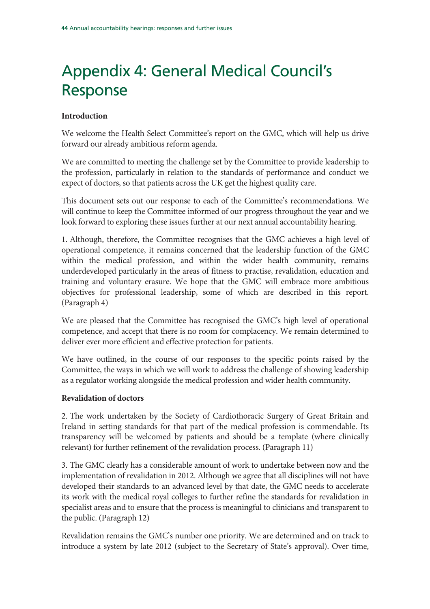# Appendix 4: General Medical Council's Response

## **Introduction**

We welcome the Health Select Committee's report on the GMC, which will help us drive forward our already ambitious reform agenda.

We are committed to meeting the challenge set by the Committee to provide leadership to the profession, particularly in relation to the standards of performance and conduct we expect of doctors, so that patients across the UK get the highest quality care.

This document sets out our response to each of the Committee's recommendations. We will continue to keep the Committee informed of our progress throughout the year and we look forward to exploring these issues further at our next annual accountability hearing.

1. Although, therefore, the Committee recognises that the GMC achieves a high level of operational competence, it remains concerned that the leadership function of the GMC within the medical profession, and within the wider health community, remains underdeveloped particularly in the areas of fitness to practise, revalidation, education and training and voluntary erasure. We hope that the GMC will embrace more ambitious objectives for professional leadership, some of which are described in this report. (Paragraph 4)

We are pleased that the Committee has recognised the GMC's high level of operational competence, and accept that there is no room for complacency. We remain determined to deliver ever more efficient and effective protection for patients.

We have outlined, in the course of our responses to the specific points raised by the Committee, the ways in which we will work to address the challenge of showing leadership as a regulator working alongside the medical profession and wider health community.

## **Revalidation of doctors**

2. The work undertaken by the Society of Cardiothoracic Surgery of Great Britain and Ireland in setting standards for that part of the medical profession is commendable. Its transparency will be welcomed by patients and should be a template (where clinically relevant) for further refinement of the revalidation process. (Paragraph 11)

3. The GMC clearly has a considerable amount of work to undertake between now and the implementation of revalidation in 2012. Although we agree that all disciplines will not have developed their standards to an advanced level by that date, the GMC needs to accelerate its work with the medical royal colleges to further refine the standards for revalidation in specialist areas and to ensure that the process is meaningful to clinicians and transparent to the public. (Paragraph 12)

Revalidation remains the GMC's number one priority. We are determined and on track to introduce a system by late 2012 (subject to the Secretary of State's approval). Over time,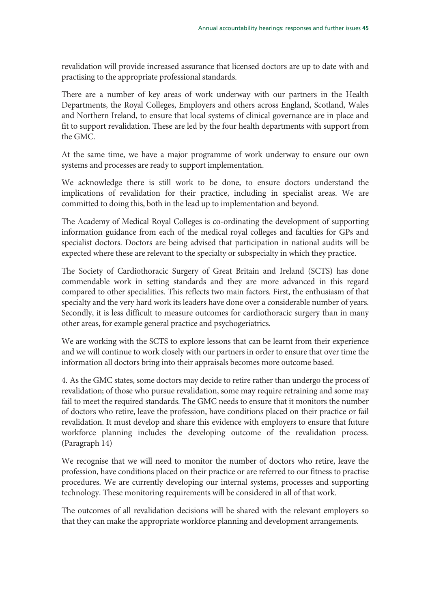revalidation will provide increased assurance that licensed doctors are up to date with and practising to the appropriate professional standards.

There are a number of key areas of work underway with our partners in the Health Departments, the Royal Colleges, Employers and others across England, Scotland, Wales and Northern Ireland, to ensure that local systems of clinical governance are in place and fit to support revalidation. These are led by the four health departments with support from the GMC.

At the same time, we have a major programme of work underway to ensure our own systems and processes are ready to support implementation.

We acknowledge there is still work to be done, to ensure doctors understand the implications of revalidation for their practice, including in specialist areas. We are committed to doing this, both in the lead up to implementation and beyond.

The Academy of Medical Royal Colleges is co-ordinating the development of supporting information guidance from each of the medical royal colleges and faculties for GPs and specialist doctors. Doctors are being advised that participation in national audits will be expected where these are relevant to the specialty or subspecialty in which they practice.

The Society of Cardiothoracic Surgery of Great Britain and Ireland (SCTS) has done commendable work in setting standards and they are more advanced in this regard compared to other specialities. This reflects two main factors. First, the enthusiasm of that specialty and the very hard work its leaders have done over a considerable number of years. Secondly, it is less difficult to measure outcomes for cardiothoracic surgery than in many other areas, for example general practice and psychogeriatrics.

We are working with the SCTS to explore lessons that can be learnt from their experience and we will continue to work closely with our partners in order to ensure that over time the information all doctors bring into their appraisals becomes more outcome based.

4. As the GMC states, some doctors may decide to retire rather than undergo the process of revalidation; of those who pursue revalidation, some may require retraining and some may fail to meet the required standards. The GMC needs to ensure that it monitors the number of doctors who retire, leave the profession, have conditions placed on their practice or fail revalidation. It must develop and share this evidence with employers to ensure that future workforce planning includes the developing outcome of the revalidation process. (Paragraph 14)

We recognise that we will need to monitor the number of doctors who retire, leave the profession, have conditions placed on their practice or are referred to our fitness to practise procedures. We are currently developing our internal systems, processes and supporting technology. These monitoring requirements will be considered in all of that work.

The outcomes of all revalidation decisions will be shared with the relevant employers so that they can make the appropriate workforce planning and development arrangements.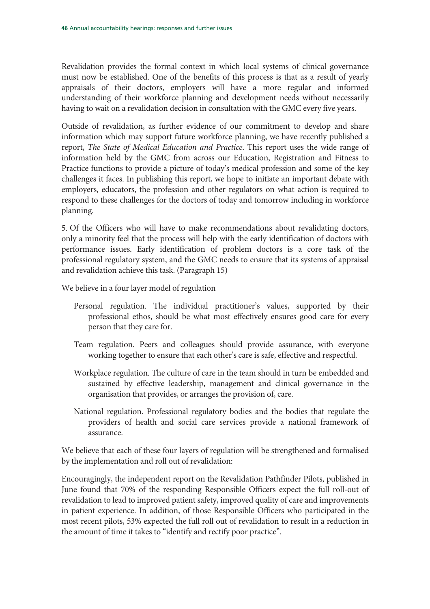Revalidation provides the formal context in which local systems of clinical governance must now be established. One of the benefits of this process is that as a result of yearly appraisals of their doctors, employers will have a more regular and informed understanding of their workforce planning and development needs without necessarily having to wait on a revalidation decision in consultation with the GMC every five years.

Outside of revalidation, as further evidence of our commitment to develop and share information which may support future workforce planning, we have recently published a report, The State of Medical Education and Practice. This report uses the wide range of information held by the GMC from across our Education, Registration and Fitness to Practice functions to provide a picture of today's medical profession and some of the key challenges it faces. In publishing this report, we hope to initiate an important debate with employers, educators, the profession and other regulators on what action is required to respond to these challenges for the doctors of today and tomorrow including in workforce planning.

5. Of the Officers who will have to make recommendations about revalidating doctors, only a minority feel that the process will help with the early identification of doctors with performance issues. Early identification of problem doctors is a core task of the professional regulatory system, and the GMC needs to ensure that its systems of appraisal and revalidation achieve this task. (Paragraph 15)

We believe in a four layer model of regulation

- Personal regulation. The individual practitioner's values, supported by their professional ethos, should be what most effectively ensures good care for every person that they care for.
- Team regulation. Peers and colleagues should provide assurance, with everyone working together to ensure that each other's care is safe, effective and respectful.
- Workplace regulation. The culture of care in the team should in turn be embedded and sustained by effective leadership, management and clinical governance in the organisation that provides, or arranges the provision of, care.
- National regulation. Professional regulatory bodies and the bodies that regulate the providers of health and social care services provide a national framework of assurance.

We believe that each of these four layers of regulation will be strengthened and formalised by the implementation and roll out of revalidation:

Encouragingly, the independent report on the Revalidation Pathfinder Pilots, published in June found that 70% of the responding Responsible Officers expect the full roll-out of revalidation to lead to improved patient safety, improved quality of care and improvements in patient experience. In addition, of those Responsible Officers who participated in the most recent pilots, 53% expected the full roll out of revalidation to result in a reduction in the amount of time it takes to "identify and rectify poor practice".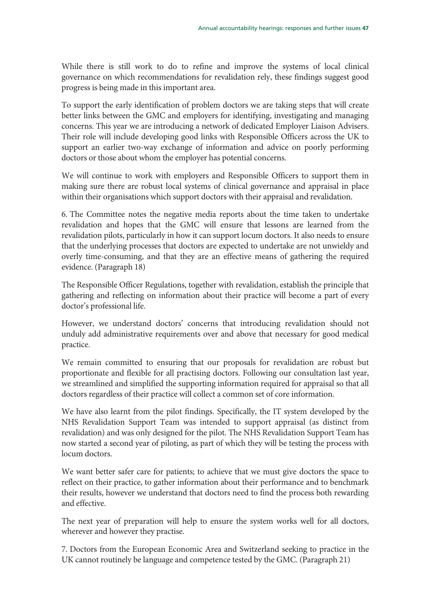While there is still work to do to refine and improve the systems of local clinical governance on which recommendations for revalidation rely, these findings suggest good progress is being made in this important area.

To support the early identification of problem doctors we are taking steps that will create better links between the GMC and employers for identifying, investigating and managing concerns. This year we are introducing a network of dedicated Employer Liaison Advisers. Their role will include developing good links with Responsible Officers across the UK to support an earlier two-way exchange of information and advice on poorly performing doctors or those about whom the employer has potential concerns.

We will continue to work with employers and Responsible Officers to support them in making sure there are robust local systems of clinical governance and appraisal in place within their organisations which support doctors with their appraisal and revalidation.

6. The Committee notes the negative media reports about the time taken to undertake revalidation and hopes that the GMC will ensure that lessons are learned from the revalidation pilots, particularly in how it can support locum doctors. It also needs to ensure that the underlying processes that doctors are expected to undertake are not unwieldy and overly time-consuming, and that they are an effective means of gathering the required evidence. (Paragraph 18)

The Responsible Officer Regulations, together with revalidation, establish the principle that gathering and reflecting on information about their practice will become a part of every doctor's professional life.

However, we understand doctors' concerns that introducing revalidation should not unduly add administrative requirements over and above that necessary for good medical practice.

We remain committed to ensuring that our proposals for revalidation are robust but proportionate and flexible for all practising doctors. Following our consultation last year, we streamlined and simplified the supporting information required for appraisal so that all doctors regardless of their practice will collect a common set of core information.

We have also learnt from the pilot findings. Specifically, the IT system developed by the NHS Revalidation Support Team was intended to support appraisal (as distinct from revalidation) and was only designed for the pilot. The NHS Revalidation Support Team has now started a second year of piloting, as part of which they will be testing the process with locum doctors.

We want better safer care for patients; to achieve that we must give doctors the space to reflect on their practice, to gather information about their performance and to benchmark their results, however we understand that doctors need to find the process both rewarding and effective.

The next year of preparation will help to ensure the system works well for all doctors, wherever and however they practise.

7. Doctors from the European Economic Area and Switzerland seeking to practice in the UK cannot routinely be language and competence tested by the GMC. (Paragraph 21)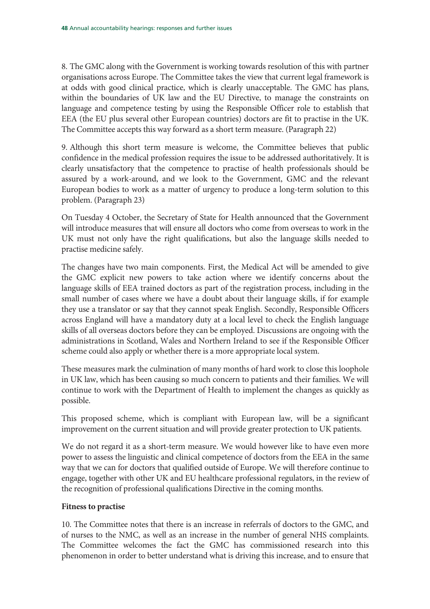8. The GMC along with the Government is working towards resolution of this with partner organisations across Europe. The Committee takes the view that current legal framework is at odds with good clinical practice, which is clearly unacceptable. The GMC has plans, within the boundaries of UK law and the EU Directive, to manage the constraints on language and competence testing by using the Responsible Officer role to establish that EEA (the EU plus several other European countries) doctors are fit to practise in the UK. The Committee accepts this way forward as a short term measure. (Paragraph 22)

9. Although this short term measure is welcome, the Committee believes that public confidence in the medical profession requires the issue to be addressed authoritatively. It is clearly unsatisfactory that the competence to practise of health professionals should be assured by a work-around, and we look to the Government, GMC and the relevant European bodies to work as a matter of urgency to produce a long-term solution to this problem. (Paragraph 23)

On Tuesday 4 October, the Secretary of State for Health announced that the Government will introduce measures that will ensure all doctors who come from overseas to work in the UK must not only have the right qualifications, but also the language skills needed to practise medicine safely.

The changes have two main components. First, the Medical Act will be amended to give the GMC explicit new powers to take action where we identify concerns about the language skills of EEA trained doctors as part of the registration process, including in the small number of cases where we have a doubt about their language skills, if for example they use a translator or say that they cannot speak English. Secondly, Responsible Officers across England will have a mandatory duty at a local level to check the English language skills of all overseas doctors before they can be employed. Discussions are ongoing with the administrations in Scotland, Wales and Northern Ireland to see if the Responsible Officer scheme could also apply or whether there is a more appropriate local system.

These measures mark the culmination of many months of hard work to close this loophole in UK law, which has been causing so much concern to patients and their families. We will continue to work with the Department of Health to implement the changes as quickly as possible.

This proposed scheme, which is compliant with European law, will be a significant improvement on the current situation and will provide greater protection to UK patients.

We do not regard it as a short-term measure. We would however like to have even more power to assess the linguistic and clinical competence of doctors from the EEA in the same way that we can for doctors that qualified outside of Europe. We will therefore continue to engage, together with other UK and EU healthcare professional regulators, in the review of the recognition of professional qualifications Directive in the coming months.

## **Fitness to practise**

10. The Committee notes that there is an increase in referrals of doctors to the GMC, and of nurses to the NMC, as well as an increase in the number of general NHS complaints. The Committee welcomes the fact the GMC has commissioned research into this phenomenon in order to better understand what is driving this increase, and to ensure that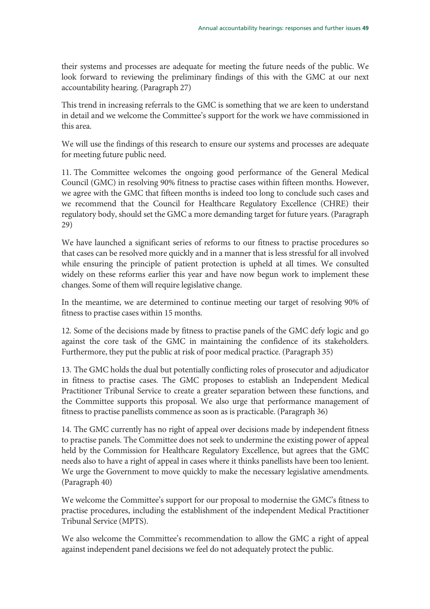their systems and processes are adequate for meeting the future needs of the public. We look forward to reviewing the preliminary findings of this with the GMC at our next accountability hearing. (Paragraph 27)

This trend in increasing referrals to the GMC is something that we are keen to understand in detail and we welcome the Committee's support for the work we have commissioned in this area.

We will use the findings of this research to ensure our systems and processes are adequate for meeting future public need.

11. The Committee welcomes the ongoing good performance of the General Medical Council (GMC) in resolving 90% fitness to practise cases within fifteen months. However, we agree with the GMC that fifteen months is indeed too long to conclude such cases and we recommend that the Council for Healthcare Regulatory Excellence (CHRE) their regulatory body, should set the GMC a more demanding target for future years. (Paragraph 29)

We have launched a significant series of reforms to our fitness to practise procedures so that cases can be resolved more quickly and in a manner that is less stressful for all involved while ensuring the principle of patient protection is upheld at all times. We consulted widely on these reforms earlier this year and have now begun work to implement these changes. Some of them will require legislative change.

In the meantime, we are determined to continue meeting our target of resolving 90% of fitness to practise cases within 15 months.

12. Some of the decisions made by fitness to practise panels of the GMC defy logic and go against the core task of the GMC in maintaining the confidence of its stakeholders. Furthermore, they put the public at risk of poor medical practice. (Paragraph 35)

13. The GMC holds the dual but potentially conflicting roles of prosecutor and adjudicator in fitness to practise cases. The GMC proposes to establish an Independent Medical Practitioner Tribunal Service to create a greater separation between these functions, and the Committee supports this proposal. We also urge that performance management of fitness to practise panellists commence as soon as is practicable. (Paragraph 36)

14. The GMC currently has no right of appeal over decisions made by independent fitness to practise panels. The Committee does not seek to undermine the existing power of appeal held by the Commission for Healthcare Regulatory Excellence, but agrees that the GMC needs also to have a right of appeal in cases where it thinks panellists have been too lenient. We urge the Government to move quickly to make the necessary legislative amendments. (Paragraph 40)

We welcome the Committee's support for our proposal to modernise the GMC's fitness to practise procedures, including the establishment of the independent Medical Practitioner Tribunal Service (MPTS).

We also welcome the Committee's recommendation to allow the GMC a right of appeal against independent panel decisions we feel do not adequately protect the public.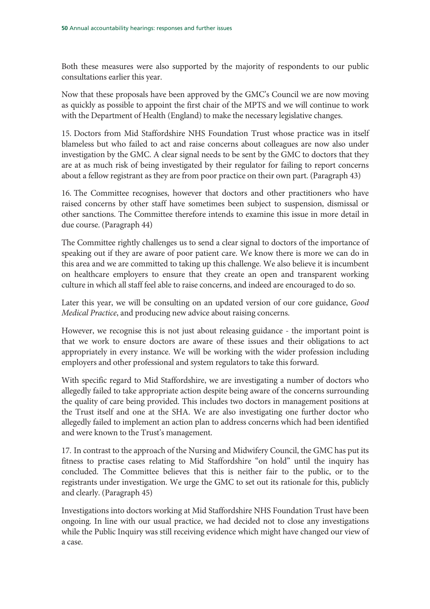Both these measures were also supported by the majority of respondents to our public consultations earlier this year.

Now that these proposals have been approved by the GMC's Council we are now moving as quickly as possible to appoint the first chair of the MPTS and we will continue to work with the Department of Health (England) to make the necessary legislative changes.

15. Doctors from Mid Staffordshire NHS Foundation Trust whose practice was in itself blameless but who failed to act and raise concerns about colleagues are now also under investigation by the GMC. A clear signal needs to be sent by the GMC to doctors that they are at as much risk of being investigated by their regulator for failing to report concerns about a fellow registrant as they are from poor practice on their own part. (Paragraph 43)

16. The Committee recognises, however that doctors and other practitioners who have raised concerns by other staff have sometimes been subject to suspension, dismissal or other sanctions. The Committee therefore intends to examine this issue in more detail in due course. (Paragraph 44)

The Committee rightly challenges us to send a clear signal to doctors of the importance of speaking out if they are aware of poor patient care. We know there is more we can do in this area and we are committed to taking up this challenge. We also believe it is incumbent on healthcare employers to ensure that they create an open and transparent working culture in which all staff feel able to raise concerns, and indeed are encouraged to do so.

Later this year, we will be consulting on an updated version of our core guidance, Good Medical Practice, and producing new advice about raising concerns.

However, we recognise this is not just about releasing guidance - the important point is that we work to ensure doctors are aware of these issues and their obligations to act appropriately in every instance. We will be working with the wider profession including employers and other professional and system regulators to take this forward.

With specific regard to Mid Staffordshire, we are investigating a number of doctors who allegedly failed to take appropriate action despite being aware of the concerns surrounding the quality of care being provided. This includes two doctors in management positions at the Trust itself and one at the SHA. We are also investigating one further doctor who allegedly failed to implement an action plan to address concerns which had been identified and were known to the Trust's management.

17. In contrast to the approach of the Nursing and Midwifery Council, the GMC has put its fitness to practise cases relating to Mid Staffordshire "on hold" until the inquiry has concluded. The Committee believes that this is neither fair to the public, or to the registrants under investigation. We urge the GMC to set out its rationale for this, publicly and clearly. (Paragraph 45)

Investigations into doctors working at Mid Staffordshire NHS Foundation Trust have been ongoing. In line with our usual practice, we had decided not to close any investigations while the Public Inquiry was still receiving evidence which might have changed our view of a case.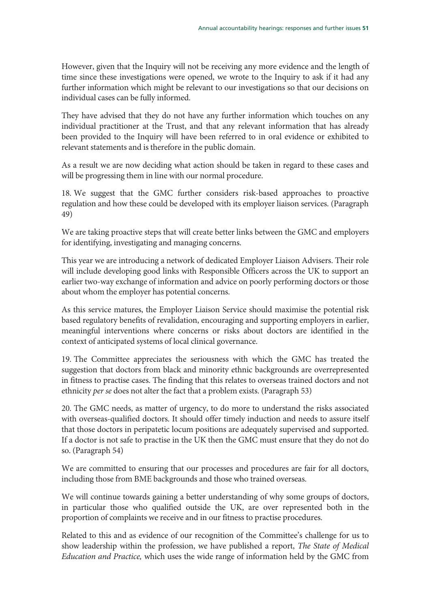However, given that the Inquiry will not be receiving any more evidence and the length of time since these investigations were opened, we wrote to the Inquiry to ask if it had any further information which might be relevant to our investigations so that our decisions on individual cases can be fully informed.

They have advised that they do not have any further information which touches on any individual practitioner at the Trust, and that any relevant information that has already been provided to the Inquiry will have been referred to in oral evidence or exhibited to relevant statements and is therefore in the public domain.

As a result we are now deciding what action should be taken in regard to these cases and will be progressing them in line with our normal procedure.

18. We suggest that the GMC further considers risk-based approaches to proactive regulation and how these could be developed with its employer liaison services. (Paragraph 49)

We are taking proactive steps that will create better links between the GMC and employers for identifying, investigating and managing concerns.

This year we are introducing a network of dedicated Employer Liaison Advisers. Their role will include developing good links with Responsible Officers across the UK to support an earlier two-way exchange of information and advice on poorly performing doctors or those about whom the employer has potential concerns.

As this service matures, the Employer Liaison Service should maximise the potential risk based regulatory benefits of revalidation, encouraging and supporting employers in earlier, meaningful interventions where concerns or risks about doctors are identified in the context of anticipated systems of local clinical governance.

19. The Committee appreciates the seriousness with which the GMC has treated the suggestion that doctors from black and minority ethnic backgrounds are overrepresented in fitness to practise cases. The finding that this relates to overseas trained doctors and not ethnicity per se does not alter the fact that a problem exists. (Paragraph 53)

20. The GMC needs, as matter of urgency, to do more to understand the risks associated with overseas-qualified doctors. It should offer timely induction and needs to assure itself that those doctors in peripatetic locum positions are adequately supervised and supported. If a doctor is not safe to practise in the UK then the GMC must ensure that they do not do so. (Paragraph 54)

We are committed to ensuring that our processes and procedures are fair for all doctors, including those from BME backgrounds and those who trained overseas.

We will continue towards gaining a better understanding of why some groups of doctors, in particular those who qualified outside the UK, are over represented both in the proportion of complaints we receive and in our fitness to practise procedures.

Related to this and as evidence of our recognition of the Committee's challenge for us to show leadership within the profession, we have published a report, The State of Medical Education and Practice, which uses the wide range of information held by the GMC from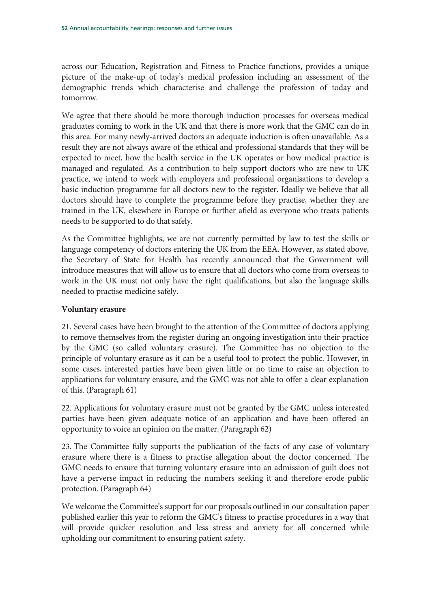across our Education, Registration and Fitness to Practice functions, provides a unique picture of the make-up of today's medical profession including an assessment of the demographic trends which characterise and challenge the profession of today and tomorrow.

We agree that there should be more thorough induction processes for overseas medical graduates coming to work in the UK and that there is more work that the GMC can do in this area. For many newly-arrived doctors an adequate induction is often unavailable. As a result they are not always aware of the ethical and professional standards that they will be expected to meet, how the health service in the UK operates or how medical practice is managed and regulated. As a contribution to help support doctors who are new to UK practice, we intend to work with employers and professional organisations to develop a basic induction programme for all doctors new to the register. Ideally we believe that all doctors should have to complete the programme before they practise, whether they are trained in the UK, elsewhere in Europe or further afield as everyone who treats patients needs to be supported to do that safely.

As the Committee highlights, we are not currently permitted by law to test the skills or language competency of doctors entering the UK from the EEA. However, as stated above, the Secretary of State for Health has recently announced that the Government will introduce measures that will allow us to ensure that all doctors who come from overseas to work in the UK must not only have the right qualifications, but also the language skills needed to practise medicine safely.

### **Voluntary erasure**

21. Several cases have been brought to the attention of the Committee of doctors applying to remove themselves from the register during an ongoing investigation into their practice by the GMC (so called voluntary erasure). The Committee has no objection to the principle of voluntary erasure as it can be a useful tool to protect the public. However, in some cases, interested parties have been given little or no time to raise an objection to applications for voluntary erasure, and the GMC was not able to offer a clear explanation of this. (Paragraph 61)

22. Applications for voluntary erasure must not be granted by the GMC unless interested parties have been given adequate notice of an application and have been offered an opportunity to voice an opinion on the matter. (Paragraph 62)

23. The Committee fully supports the publication of the facts of any case of voluntary erasure where there is a fitness to practise allegation about the doctor concerned. The GMC needs to ensure that turning voluntary erasure into an admission of guilt does not have a perverse impact in reducing the numbers seeking it and therefore erode public protection. (Paragraph 64)

We welcome the Committee's support for our proposals outlined in our consultation paper published earlier this year to reform the GMC's fitness to practise procedures in a way that will provide quicker resolution and less stress and anxiety for all concerned while upholding our commitment to ensuring patient safety.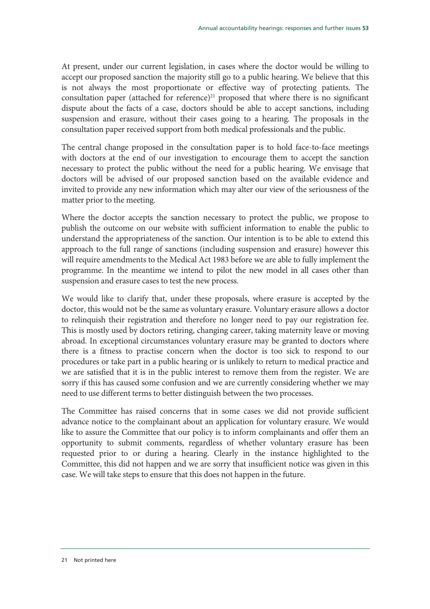At present, under our current legislation, in cases where the doctor would be willing to accept our proposed sanction the majority still go to a public hearing. We believe that this is not always the most proportionate or effective way of protecting patients. The consultation paper (attached for reference) $21$  proposed that where there is no significant dispute about the facts of a case, doctors should be able to accept sanctions, including suspension and erasure, without their cases going to a hearing. The proposals in the consultation paper received support from both medical professionals and the public.

The central change proposed in the consultation paper is to hold face-to-face meetings with doctors at the end of our investigation to encourage them to accept the sanction necessary to protect the public without the need for a public hearing. We envisage that doctors will be advised of our proposed sanction based on the available evidence and invited to provide any new information which may alter our view of the seriousness of the matter prior to the meeting.

Where the doctor accepts the sanction necessary to protect the public, we propose to publish the outcome on our website with sufficient information to enable the public to understand the appropriateness of the sanction. Our intention is to be able to extend this approach to the full range of sanctions (including suspension and erasure) however this will require amendments to the Medical Act 1983 before we are able to fully implement the programme. In the meantime we intend to pilot the new model in all cases other than suspension and erasure cases to test the new process.

We would like to clarify that, under these proposals, where erasure is accepted by the doctor, this would not be the same as voluntary erasure. Voluntary erasure allows a doctor to relinquish their registration and therefore no longer need to pay our registration fee. This is mostly used by doctors retiring, changing career, taking maternity leave or moving abroad. In exceptional circumstances voluntary erasure may be granted to doctors where there is a fitness to practise concern when the doctor is too sick to respond to our procedures or take part in a public hearing or is unlikely to return to medical practice and we are satisfied that it is in the public interest to remove them from the register. We are sorry if this has caused some confusion and we are currently considering whether we may need to use different terms to better distinguish between the two processes.

The Committee has raised concerns that in some cases we did not provide sufficient advance notice to the complainant about an application for voluntary erasure. We would like to assure the Committee that our policy is to inform complainants and offer them an opportunity to submit comments, regardless of whether voluntary erasure has been requested prior to or during a hearing. Clearly in the instance highlighted to the Committee, this did not happen and we are sorry that insufficient notice was given in this case. We will take steps to ensure that this does not happen in the future.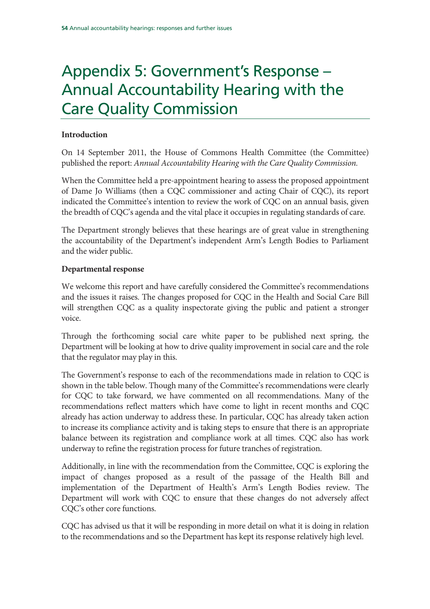# Appendix 5: Government's Response – Annual Accountability Hearing with the Care Quality Commission

## **Introduction**

On 14 September 2011, the House of Commons Health Committee (the Committee) published the report: Annual Accountability Hearing with the Care Quality Commission.

When the Committee held a pre-appointment hearing to assess the proposed appointment of Dame Jo Williams (then a CQC commissioner and acting Chair of CQC), its report indicated the Committee's intention to review the work of CQC on an annual basis, given the breadth of CQC's agenda and the vital place it occupies in regulating standards of care.

The Department strongly believes that these hearings are of great value in strengthening the accountability of the Department's independent Arm's Length Bodies to Parliament and the wider public.

## **Departmental response**

We welcome this report and have carefully considered the Committee's recommendations and the issues it raises. The changes proposed for CQC in the Health and Social Care Bill will strengthen CQC as a quality inspectorate giving the public and patient a stronger voice.

Through the forthcoming social care white paper to be published next spring, the Department will be looking at how to drive quality improvement in social care and the role that the regulator may play in this.

The Government's response to each of the recommendations made in relation to CQC is shown in the table below. Though many of the Committee's recommendations were clearly for CQC to take forward, we have commented on all recommendations. Many of the recommendations reflect matters which have come to light in recent months and CQC already has action underway to address these. In particular, CQC has already taken action to increase its compliance activity and is taking steps to ensure that there is an appropriate balance between its registration and compliance work at all times. CQC also has work underway to refine the registration process for future tranches of registration.

Additionally, in line with the recommendation from the Committee, CQC is exploring the impact of changes proposed as a result of the passage of the Health Bill and implementation of the Department of Health's Arm's Length Bodies review. The Department will work with CQC to ensure that these changes do not adversely affect CQC's other core functions.

CQC has advised us that it will be responding in more detail on what it is doing in relation to the recommendations and so the Department has kept its response relatively high level.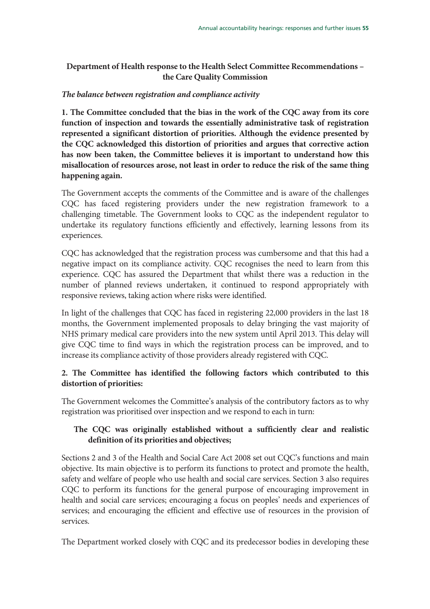# **Department of Health response to the Health Select Committee Recommendations – the Care Quality Commission**

## *The balance between registration and compliance activity*

**1. The Committee concluded that the bias in the work of the CQC away from its core function of inspection and towards the essentially administrative task of registration represented a significant distortion of priorities. Although the evidence presented by the CQC acknowledged this distortion of priorities and argues that corrective action has now been taken, the Committee believes it is important to understand how this misallocation of resources arose, not least in order to reduce the risk of the same thing happening again.** 

The Government accepts the comments of the Committee and is aware of the challenges CQC has faced registering providers under the new registration framework to a challenging timetable. The Government looks to CQC as the independent regulator to undertake its regulatory functions efficiently and effectively, learning lessons from its experiences.

CQC has acknowledged that the registration process was cumbersome and that this had a negative impact on its compliance activity. CQC recognises the need to learn from this experience. CQC has assured the Department that whilst there was a reduction in the number of planned reviews undertaken, it continued to respond appropriately with responsive reviews, taking action where risks were identified.

In light of the challenges that CQC has faced in registering 22,000 providers in the last 18 months, the Government implemented proposals to delay bringing the vast majority of NHS primary medical care providers into the new system until April 2013. This delay will give CQC time to find ways in which the registration process can be improved, and to increase its compliance activity of those providers already registered with CQC.

# **2. The Committee has identified the following factors which contributed to this distortion of priorities:**

The Government welcomes the Committee's analysis of the contributory factors as to why registration was prioritised over inspection and we respond to each in turn:

# **The CQC was originally established without a sufficiently clear and realistic definition of its priorities and objectives;**

Sections 2 and 3 of the Health and Social Care Act 2008 set out CQC's functions and main objective. Its main objective is to perform its functions to protect and promote the health, safety and welfare of people who use health and social care services. Section 3 also requires CQC to perform its functions for the general purpose of encouraging improvement in health and social care services; encouraging a focus on peoples' needs and experiences of services; and encouraging the efficient and effective use of resources in the provision of services.

The Department worked closely with CQC and its predecessor bodies in developing these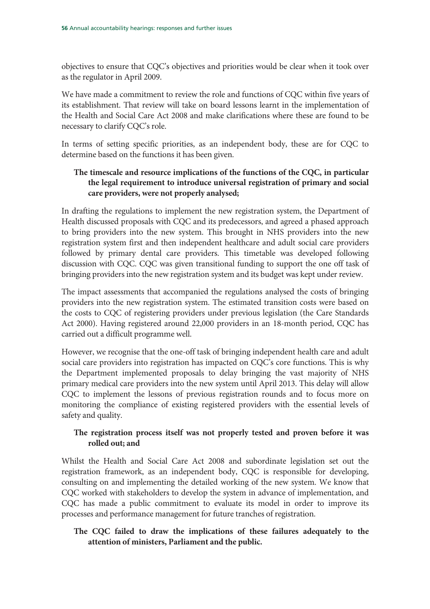objectives to ensure that CQC's objectives and priorities would be clear when it took over as the regulator in April 2009.

We have made a commitment to review the role and functions of CQC within five years of its establishment. That review will take on board lessons learnt in the implementation of the Health and Social Care Act 2008 and make clarifications where these are found to be necessary to clarify CQC's role.

In terms of setting specific priorities, as an independent body, these are for CQC to determine based on the functions it has been given.

# **The timescale and resource implications of the functions of the CQC, in particular the legal requirement to introduce universal registration of primary and social care providers, were not properly analysed;**

In drafting the regulations to implement the new registration system, the Department of Health discussed proposals with CQC and its predecessors, and agreed a phased approach to bring providers into the new system. This brought in NHS providers into the new registration system first and then independent healthcare and adult social care providers followed by primary dental care providers. This timetable was developed following discussion with CQC. CQC was given transitional funding to support the one off task of bringing providers into the new registration system and its budget was kept under review.

The impact assessments that accompanied the regulations analysed the costs of bringing providers into the new registration system. The estimated transition costs were based on the costs to CQC of registering providers under previous legislation (the Care Standards Act 2000). Having registered around 22,000 providers in an 18-month period, CQC has carried out a difficult programme well.

However, we recognise that the one-off task of bringing independent health care and adult social care providers into registration has impacted on CQC's core functions. This is why the Department implemented proposals to delay bringing the vast majority of NHS primary medical care providers into the new system until April 2013. This delay will allow CQC to implement the lessons of previous registration rounds and to focus more on monitoring the compliance of existing registered providers with the essential levels of safety and quality.

# **The registration process itself was not properly tested and proven before it was rolled out; and**

Whilst the Health and Social Care Act 2008 and subordinate legislation set out the registration framework, as an independent body, CQC is responsible for developing, consulting on and implementing the detailed working of the new system. We know that CQC worked with stakeholders to develop the system in advance of implementation, and CQC has made a public commitment to evaluate its model in order to improve its processes and performance management for future tranches of registration.

# **The CQC failed to draw the implications of these failures adequately to the attention of ministers, Parliament and the public.**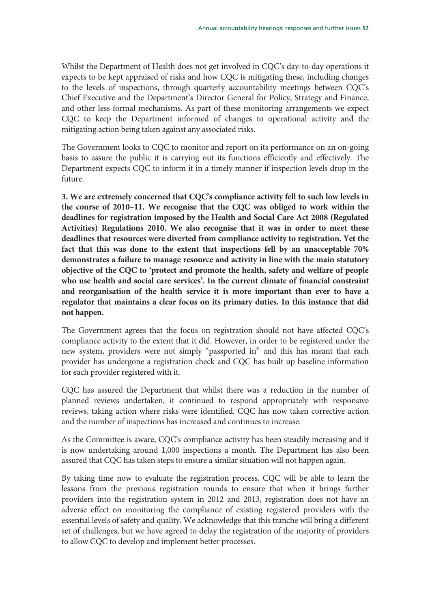Whilst the Department of Health does not get involved in CQC's day-to-day operations it expects to be kept appraised of risks and how CQC is mitigating these, including changes to the levels of inspections, through quarterly accountability meetings between CQC's Chief Executive and the Department's Director General for Policy, Strategy and Finance, and other less formal mechanisms. As part of these monitoring arrangements we expect CQC to keep the Department informed of changes to operational activity and the mitigating action being taken against any associated risks.

The Government looks to CQC to monitor and report on its performance on an on-going basis to assure the public it is carrying out its functions efficiently and effectively. The Department expects CQC to inform it in a timely manner if inspection levels drop in the future.

**3. We are extremely concerned that CQC's compliance activity fell to such low levels in the course of 2010–11. We recognise that the CQC was obliged to work within the deadlines for registration imposed by the Health and Social Care Act 2008 (Regulated Activities) Regulations 2010. We also recognise that it was in order to meet these deadlines that resources were diverted from compliance activity to registration. Yet the fact that this was done to the extent that inspections fell by an unacceptable 70% demonstrates a failure to manage resource and activity in line with the main statutory objective of the CQC to 'protect and promote the health, safety and welfare of people who use health and social care services'. In the current climate of financial constraint and reorganisation of the health service it is more important than ever to have a regulator that maintains a clear focus on its primary duties. In this instance that did not happen.** 

The Government agrees that the focus on registration should not have affected CQC's compliance activity to the extent that it did. However, in order to be registered under the new system, providers were not simply "passported in" and this has meant that each provider has undergone a registration check and CQC has built up baseline information for each provider registered with it.

CQC has assured the Department that whilst there was a reduction in the number of planned reviews undertaken, it continued to respond appropriately with responsive reviews, taking action where risks were identified. CQC has now taken corrective action and the number of inspections has increased and continues to increase.

As the Committee is aware, CQC's compliance activity has been steadily increasing and it is now undertaking around 1,000 inspections a month. The Department has also been assured that CQC has taken steps to ensure a similar situation will not happen again.

By taking time now to evaluate the registration process, CQC will be able to learn the lessons from the previous registration rounds to ensure that when it brings further providers into the registration system in 2012 and 2013, registration does not have an adverse effect on monitoring the compliance of existing registered providers with the essential levels of safety and quality. We acknowledge that this tranche will bring a different set of challenges, but we have agreed to delay the registration of the majority of providers to allow CQC to develop and implement better processes.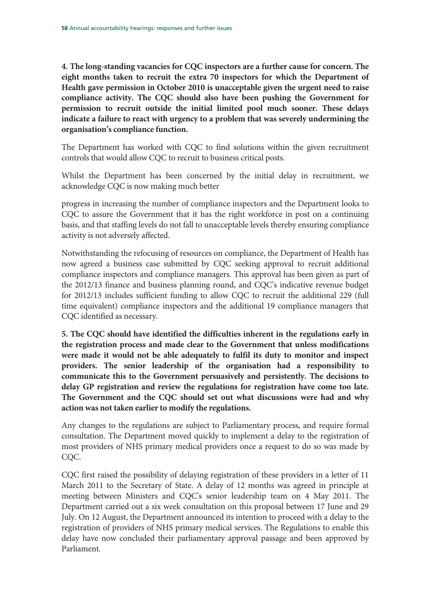**4. The long-standing vacancies for CQC inspectors are a further cause for concern. The eight months taken to recruit the extra 70 inspectors for which the Department of Health gave permission in October 2010 is unacceptable given the urgent need to raise compliance activity. The CQC should also have been pushing the Government for permission to recruit outside the initial limited pool much sooner. These delays indicate a failure to react with urgency to a problem that was severely undermining the organisation's compliance function.** 

The Department has worked with CQC to find solutions within the given recruitment controls that would allow CQC to recruit to business critical posts.

Whilst the Department has been concerned by the initial delay in recruitment, we acknowledge CQC is now making much better

progress in increasing the number of compliance inspectors and the Department looks to CQC to assure the Government that it has the right workforce in post on a continuing basis, and that staffing levels do not fall to unacceptable levels thereby ensuring compliance activity is not adversely affected.

Notwithstanding the refocusing of resources on compliance, the Department of Health has now agreed a business case submitted by CQC seeking approval to recruit additional compliance inspectors and compliance managers. This approval has been given as part of the 2012/13 finance and business planning round, and CQC's indicative revenue budget for 2012/13 includes sufficient funding to allow CQC to recruit the additional 229 (full time equivalent) compliance inspectors and the additional 19 compliance managers that CQC identified as necessary.

**5. The CQC should have identified the difficulties inherent in the regulations early in the registration process and made clear to the Government that unless modifications were made it would not be able adequately to fulfil its duty to monitor and inspect providers. The senior leadership of the organisation had a responsibility to communicate this to the Government persuasively and persistently. The decisions to delay GP registration and review the regulations for registration have come too late. The Government and the CQC should set out what discussions were had and why action was not taken earlier to modify the regulations.**

Any changes to the regulations are subject to Parliamentary process, and require formal consultation. The Department moved quickly to implement a delay to the registration of most providers of NHS primary medical providers once a request to do so was made by COC.

CQC first raised the possibility of delaying registration of these providers in a letter of 11 March 2011 to the Secretary of State. A delay of 12 months was agreed in principle at meeting between Ministers and CQC's senior leadership team on 4 May 2011. The Department carried out a six week consultation on this proposal between 17 June and 29 July. On 12 August, the Department announced its intention to proceed with a delay to the registration of providers of NHS primary medical services. The Regulations to enable this delay have now concluded their parliamentary approval passage and been approved by Parliament.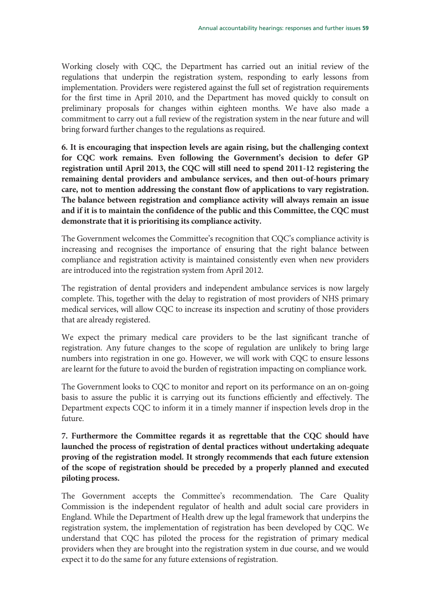Working closely with CQC, the Department has carried out an initial review of the regulations that underpin the registration system, responding to early lessons from implementation. Providers were registered against the full set of registration requirements for the first time in April 2010, and the Department has moved quickly to consult on preliminary proposals for changes within eighteen months. We have also made a commitment to carry out a full review of the registration system in the near future and will bring forward further changes to the regulations as required.

**6. It is encouraging that inspection levels are again rising, but the challenging context for CQC work remains. Even following the Government's decision to defer GP registration until April 2013, the CQC will still need to spend 2011-12 registering the remaining dental providers and ambulance services, and then out-of-hours primary care, not to mention addressing the constant flow of applications to vary registration. The balance between registration and compliance activity will always remain an issue and if it is to maintain the confidence of the public and this Committee, the CQC must demonstrate that it is prioritising its compliance activity.** 

The Government welcomes the Committee's recognition that CQC's compliance activity is increasing and recognises the importance of ensuring that the right balance between compliance and registration activity is maintained consistently even when new providers are introduced into the registration system from April 2012.

The registration of dental providers and independent ambulance services is now largely complete. This, together with the delay to registration of most providers of NHS primary medical services, will allow CQC to increase its inspection and scrutiny of those providers that are already registered.

We expect the primary medical care providers to be the last significant tranche of registration. Any future changes to the scope of regulation are unlikely to bring large numbers into registration in one go. However, we will work with CQC to ensure lessons are learnt for the future to avoid the burden of registration impacting on compliance work.

The Government looks to CQC to monitor and report on its performance on an on-going basis to assure the public it is carrying out its functions efficiently and effectively. The Department expects CQC to inform it in a timely manner if inspection levels drop in the future.

**7. Furthermore the Committee regards it as regrettable that the CQC should have launched the process of registration of dental practices without undertaking adequate proving of the registration model. It strongly recommends that each future extension of the scope of registration should be preceded by a properly planned and executed piloting process.** 

The Government accepts the Committee's recommendation. The Care Quality Commission is the independent regulator of health and adult social care providers in England. While the Department of Health drew up the legal framework that underpins the registration system, the implementation of registration has been developed by CQC. We understand that CQC has piloted the process for the registration of primary medical providers when they are brought into the registration system in due course, and we would expect it to do the same for any future extensions of registration.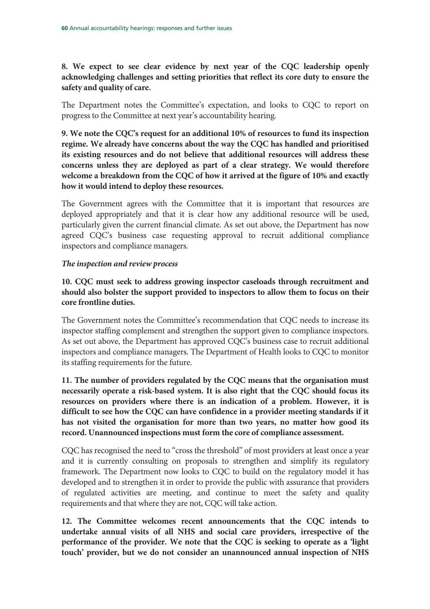**8. We expect to see clear evidence by next year of the CQC leadership openly acknowledging challenges and setting priorities that reflect its core duty to ensure the safety and quality of care.** 

The Department notes the Committee's expectation, and looks to CQC to report on progress to the Committee at next year's accountability hearing.

**9. We note the CQC's request for an additional 10% of resources to fund its inspection regime. We already have concerns about the way the CQC has handled and prioritised its existing resources and do not believe that additional resources will address these concerns unless they are deployed as part of a clear strategy. We would therefore welcome a breakdown from the CQC of how it arrived at the figure of 10% and exactly how it would intend to deploy these resources.** 

The Government agrees with the Committee that it is important that resources are deployed appropriately and that it is clear how any additional resource will be used, particularly given the current financial climate. As set out above, the Department has now agreed CQC's business case requesting approval to recruit additional compliance inspectors and compliance managers.

## *The inspection and review process*

**10. CQC must seek to address growing inspector caseloads through recruitment and should also bolster the support provided to inspectors to allow them to focus on their core frontline duties.** 

The Government notes the Committee's recommendation that CQC needs to increase its inspector staffing complement and strengthen the support given to compliance inspectors. As set out above, the Department has approved CQC's business case to recruit additional inspectors and compliance managers. The Department of Health looks to CQC to monitor its staffing requirements for the future.

**11. The number of providers regulated by the CQC means that the organisation must necessarily operate a risk-based system. It is also right that the CQC should focus its resources on providers where there is an indication of a problem. However, it is difficult to see how the CQC can have confidence in a provider meeting standards if it has not visited the organisation for more than two years, no matter how good its record. Unannounced inspections must form the core of compliance assessment.** 

CQC has recognised the need to "cross the threshold" of most providers at least once a year and it is currently consulting on proposals to strengthen and simplify its regulatory framework. The Department now looks to CQC to build on the regulatory model it has developed and to strengthen it in order to provide the public with assurance that providers of regulated activities are meeting, and continue to meet the safety and quality requirements and that where they are not, CQC will take action.

**12. The Committee welcomes recent announcements that the CQC intends to undertake annual visits of all NHS and social care providers, irrespective of the performance of the provider. We note that the CQC is seeking to operate as a 'light touch' provider, but we do not consider an unannounced annual inspection of NHS**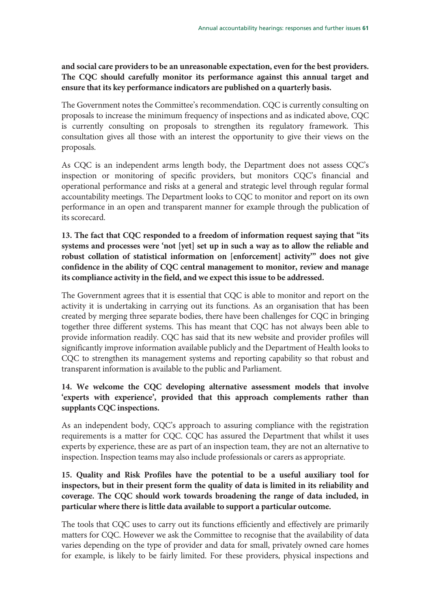# **and social care providers to be an unreasonable expectation, even for the best providers. The CQC should carefully monitor its performance against this annual target and ensure that its key performance indicators are published on a quarterly basis.**

The Government notes the Committee's recommendation. CQC is currently consulting on proposals to increase the minimum frequency of inspections and as indicated above, CQC is currently consulting on proposals to strengthen its regulatory framework. This consultation gives all those with an interest the opportunity to give their views on the proposals.

As CQC is an independent arms length body, the Department does not assess CQC's inspection or monitoring of specific providers, but monitors CQC's financial and operational performance and risks at a general and strategic level through regular formal accountability meetings. The Department looks to CQC to monitor and report on its own performance in an open and transparent manner for example through the publication of its scorecard.

**13. The fact that CQC responded to a freedom of information request saying that "its systems and processes were 'not [yet] set up in such a way as to allow the reliable and robust collation of statistical information on [enforcement] activity'" does not give confidence in the ability of CQC central management to monitor, review and manage its compliance activity in the field, and we expect this issue to be addressed.** 

The Government agrees that it is essential that CQC is able to monitor and report on the activity it is undertaking in carrying out its functions. As an organisation that has been created by merging three separate bodies, there have been challenges for CQC in bringing together three different systems. This has meant that CQC has not always been able to provide information readily. CQC has said that its new website and provider profiles will significantly improve information available publicly and the Department of Health looks to CQC to strengthen its management systems and reporting capability so that robust and transparent information is available to the public and Parliament.

# **14. We welcome the CQC developing alternative assessment models that involve 'experts with experience', provided that this approach complements rather than supplants CQC inspections.**

As an independent body, CQC's approach to assuring compliance with the registration requirements is a matter for CQC. CQC has assured the Department that whilst it uses experts by experience, these are as part of an inspection team, they are not an alternative to inspection. Inspection teams may also include professionals or carers as appropriate.

# **15. Quality and Risk Profiles have the potential to be a useful auxiliary tool for inspectors, but in their present form the quality of data is limited in its reliability and coverage. The CQC should work towards broadening the range of data included, in particular where there is little data available to support a particular outcome.**

The tools that CQC uses to carry out its functions efficiently and effectively are primarily matters for CQC. However we ask the Committee to recognise that the availability of data varies depending on the type of provider and data for small, privately owned care homes for example, is likely to be fairly limited. For these providers, physical inspections and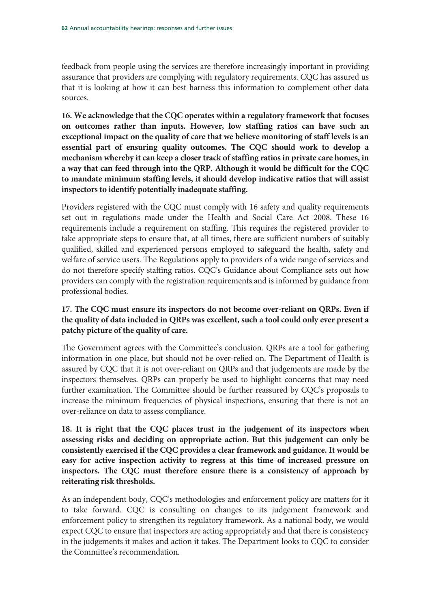feedback from people using the services are therefore increasingly important in providing assurance that providers are complying with regulatory requirements. CQC has assured us that it is looking at how it can best harness this information to complement other data sources.

**16. We acknowledge that the CQC operates within a regulatory framework that focuses on outcomes rather than inputs. However, low staffing ratios can have such an exceptional impact on the quality of care that we believe monitoring of staff levels is an essential part of ensuring quality outcomes. The CQC should work to develop a mechanism whereby it can keep a closer track of staffing ratios in private care homes, in a way that can feed through into the QRP. Although it would be difficult for the CQC to mandate minimum staffing levels, it should develop indicative ratios that will assist inspectors to identify potentially inadequate staffing.** 

Providers registered with the CQC must comply with 16 safety and quality requirements set out in regulations made under the Health and Social Care Act 2008. These 16 requirements include a requirement on staffing. This requires the registered provider to take appropriate steps to ensure that, at all times, there are sufficient numbers of suitably qualified, skilled and experienced persons employed to safeguard the health, safety and welfare of service users. The Regulations apply to providers of a wide range of services and do not therefore specify staffing ratios. CQC's Guidance about Compliance sets out how providers can comply with the registration requirements and is informed by guidance from professional bodies.

# **17. The CQC must ensure its inspectors do not become over-reliant on QRPs. Even if the quality of data included in QRPs was excellent, such a tool could only ever present a patchy picture of the quality of care.**

The Government agrees with the Committee's conclusion. QRPs are a tool for gathering information in one place, but should not be over-relied on. The Department of Health is assured by CQC that it is not over-reliant on QRPs and that judgements are made by the inspectors themselves. QRPs can properly be used to highlight concerns that may need further examination. The Committee should be further reassured by CQC's proposals to increase the minimum frequencies of physical inspections, ensuring that there is not an over-reliance on data to assess compliance.

**18. It is right that the CQC places trust in the judgement of its inspectors when assessing risks and deciding on appropriate action. But this judgement can only be consistently exercised if the CQC provides a clear framework and guidance. It would be easy for active inspection activity to regress at this time of increased pressure on inspectors. The CQC must therefore ensure there is a consistency of approach by reiterating risk thresholds.** 

As an independent body, CQC's methodologies and enforcement policy are matters for it to take forward. CQC is consulting on changes to its judgement framework and enforcement policy to strengthen its regulatory framework. As a national body, we would expect CQC to ensure that inspectors are acting appropriately and that there is consistency in the judgements it makes and action it takes. The Department looks to CQC to consider the Committee's recommendation.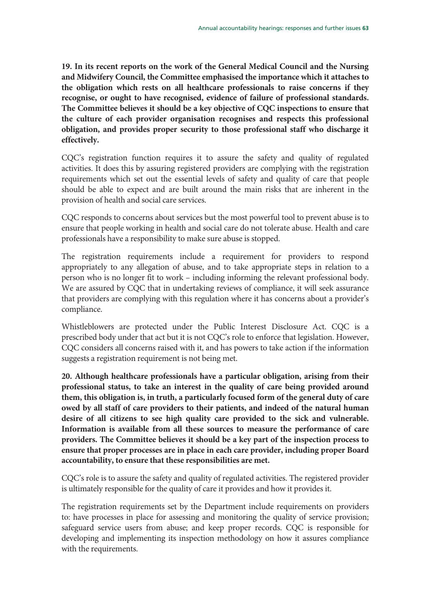**19. In its recent reports on the work of the General Medical Council and the Nursing and Midwifery Council, the Committee emphasised the importance which it attaches to the obligation which rests on all healthcare professionals to raise concerns if they recognise, or ought to have recognised, evidence of failure of professional standards. The Committee believes it should be a key objective of CQC inspections to ensure that the culture of each provider organisation recognises and respects this professional obligation, and provides proper security to those professional staff who discharge it effectively.** 

CQC's registration function requires it to assure the safety and quality of regulated activities. It does this by assuring registered providers are complying with the registration requirements which set out the essential levels of safety and quality of care that people should be able to expect and are built around the main risks that are inherent in the provision of health and social care services.

CQC responds to concerns about services but the most powerful tool to prevent abuse is to ensure that people working in health and social care do not tolerate abuse. Health and care professionals have a responsibility to make sure abuse is stopped.

The registration requirements include a requirement for providers to respond appropriately to any allegation of abuse, and to take appropriate steps in relation to a person who is no longer fit to work – including informing the relevant professional body. We are assured by CQC that in undertaking reviews of compliance, it will seek assurance that providers are complying with this regulation where it has concerns about a provider's compliance.

Whistleblowers are protected under the Public Interest Disclosure Act. CQC is a prescribed body under that act but it is not CQC's role to enforce that legislation. However, CQC considers all concerns raised with it, and has powers to take action if the information suggests a registration requirement is not being met.

**20. Although healthcare professionals have a particular obligation, arising from their professional status, to take an interest in the quality of care being provided around them, this obligation is, in truth, a particularly focused form of the general duty of care owed by all staff of care providers to their patients, and indeed of the natural human desire of all citizens to see high quality care provided to the sick and vulnerable. Information is available from all these sources to measure the performance of care providers. The Committee believes it should be a key part of the inspection process to ensure that proper processes are in place in each care provider, including proper Board accountability, to ensure that these responsibilities are met.** 

CQC's role is to assure the safety and quality of regulated activities. The registered provider is ultimately responsible for the quality of care it provides and how it provides it.

The registration requirements set by the Department include requirements on providers to: have processes in place for assessing and monitoring the quality of service provision; safeguard service users from abuse; and keep proper records. CQC is responsible for developing and implementing its inspection methodology on how it assures compliance with the requirements.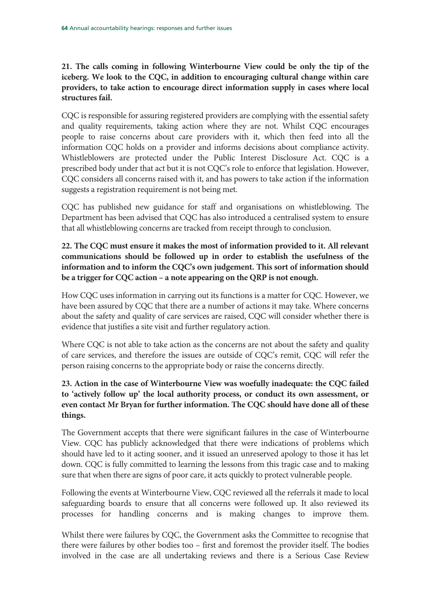**21. The calls coming in following Winterbourne View could be only the tip of the iceberg. We look to the CQC, in addition to encouraging cultural change within care providers, to take action to encourage direct information supply in cases where local structures fail.** 

CQC is responsible for assuring registered providers are complying with the essential safety and quality requirements, taking action where they are not. Whilst CQC encourages people to raise concerns about care providers with it, which then feed into all the information CQC holds on a provider and informs decisions about compliance activity. Whistleblowers are protected under the Public Interest Disclosure Act. CQC is a prescribed body under that act but it is not CQC's role to enforce that legislation. However, CQC considers all concerns raised with it, and has powers to take action if the information suggests a registration requirement is not being met.

CQC has published new guidance for staff and organisations on whistleblowing. The Department has been advised that CQC has also introduced a centralised system to ensure that all whistleblowing concerns are tracked from receipt through to conclusion.

# **22. The CQC must ensure it makes the most of information provided to it. All relevant communications should be followed up in order to establish the usefulness of the information and to inform the CQC's own judgement. This sort of information should be a trigger for CQC action – a note appearing on the QRP is not enough.**

How CQC uses information in carrying out its functions is a matter for CQC. However, we have been assured by CQC that there are a number of actions it may take. Where concerns about the safety and quality of care services are raised, CQC will consider whether there is evidence that justifies a site visit and further regulatory action.

Where CQC is not able to take action as the concerns are not about the safety and quality of care services, and therefore the issues are outside of CQC's remit, CQC will refer the person raising concerns to the appropriate body or raise the concerns directly.

# **23. Action in the case of Winterbourne View was woefully inadequate: the CQC failed to 'actively follow up' the local authority process, or conduct its own assessment, or even contact Mr Bryan for further information. The CQC should have done all of these things.**

The Government accepts that there were significant failures in the case of Winterbourne View. CQC has publicly acknowledged that there were indications of problems which should have led to it acting sooner, and it issued an unreserved apology to those it has let down. CQC is fully committed to learning the lessons from this tragic case and to making sure that when there are signs of poor care, it acts quickly to protect vulnerable people.

Following the events at Winterbourne View, CQC reviewed all the referrals it made to local safeguarding boards to ensure that all concerns were followed up. It also reviewed its processes for handling concerns and is making changes to improve them.

Whilst there were failures by CQC, the Government asks the Committee to recognise that there were failures by other bodies too – first and foremost the provider itself. The bodies involved in the case are all undertaking reviews and there is a Serious Case Review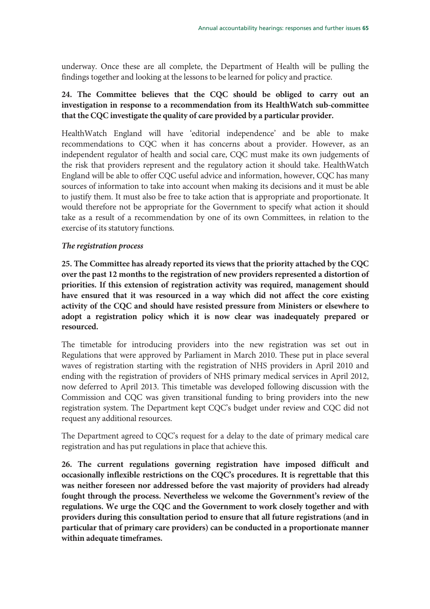underway. Once these are all complete, the Department of Health will be pulling the findings together and looking at the lessons to be learned for policy and practice.

# **24. The Committee believes that the CQC should be obliged to carry out an investigation in response to a recommendation from its HealthWatch sub-committee that the CQC investigate the quality of care provided by a particular provider.**

HealthWatch England will have 'editorial independence' and be able to make recommendations to CQC when it has concerns about a provider. However, as an independent regulator of health and social care, CQC must make its own judgements of the risk that providers represent and the regulatory action it should take. HealthWatch England will be able to offer CQC useful advice and information, however, CQC has many sources of information to take into account when making its decisions and it must be able to justify them. It must also be free to take action that is appropriate and proportionate. It would therefore not be appropriate for the Government to specify what action it should take as a result of a recommendation by one of its own Committees, in relation to the exercise of its statutory functions.

## *The registration process*

**25. The Committee has already reported its views that the priority attached by the CQC over the past 12 months to the registration of new providers represented a distortion of priorities. If this extension of registration activity was required, management should have ensured that it was resourced in a way which did not affect the core existing activity of the CQC and should have resisted pressure from Ministers or elsewhere to adopt a registration policy which it is now clear was inadequately prepared or resourced.** 

The timetable for introducing providers into the new registration was set out in Regulations that were approved by Parliament in March 2010. These put in place several waves of registration starting with the registration of NHS providers in April 2010 and ending with the registration of providers of NHS primary medical services in April 2012, now deferred to April 2013. This timetable was developed following discussion with the Commission and CQC was given transitional funding to bring providers into the new registration system. The Department kept CQC's budget under review and CQC did not request any additional resources.

The Department agreed to CQC's request for a delay to the date of primary medical care registration and has put regulations in place that achieve this.

**26. The current regulations governing registration have imposed difficult and occasionally inflexible restrictions on the CQC's procedures. It is regrettable that this was neither foreseen nor addressed before the vast majority of providers had already fought through the process. Nevertheless we welcome the Government's review of the regulations. We urge the CQC and the Government to work closely together and with providers during this consultation period to ensure that all future registrations (and in particular that of primary care providers) can be conducted in a proportionate manner within adequate timeframes.**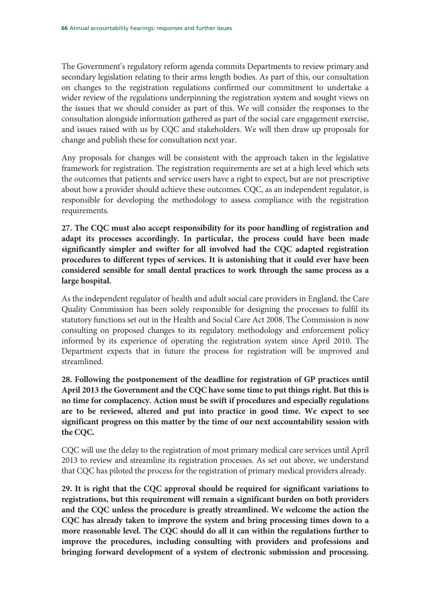The Government's regulatory reform agenda commits Departments to review primary and secondary legislation relating to their arms length bodies. As part of this, our consultation on changes to the registration regulations confirmed our commitment to undertake a wider review of the regulations underpinning the registration system and sought views on the issues that we should consider as part of this. We will consider the responses to the consultation alongside information gathered as part of the social care engagement exercise, and issues raised with us by CQC and stakeholders. We will then draw up proposals for change and publish these for consultation next year.

Any proposals for changes will be consistent with the approach taken in the legislative framework for registration. The registration requirements are set at a high level which sets the outcomes that patients and service users have a right to expect, but are not prescriptive about how a provider should achieve these outcomes. CQC, as an independent regulator, is responsible for developing the methodology to assess compliance with the registration requirements.

**27. The CQC must also accept responsibility for its poor handling of registration and adapt its processes accordingly. In particular, the process could have been made significantly simpler and swifter for all involved had the CQC adapted registration procedures to different types of services. It is astonishing that it could ever have been considered sensible for small dental practices to work through the same process as a large hospital.** 

As the independent regulator of health and adult social care providers in England, the Care Quality Commission has been solely responsible for designing the processes to fulfil its statutory functions set out in the Health and Social Care Act 2008. The Commission is now consulting on proposed changes to its regulatory methodology and enforcement policy informed by its experience of operating the registration system since April 2010. The Department expects that in future the process for registration will be improved and streamlined.

**28. Following the postponement of the deadline for registration of GP practices until April 2013 the Government and the CQC have some time to put things right. But this is no time for complacency. Action must be swift if procedures and especially regulations are to be reviewed, altered and put into practice in good time. We expect to see significant progress on this matter by the time of our next accountability session with the CQC.** 

CQC will use the delay to the registration of most primary medical care services until April 2013 to review and streamline its registration processes. As set out above, we understand that CQC has piloted the process for the registration of primary medical providers already.

**29. It is right that the CQC approval should be required for significant variations to registrations, but this requirement will remain a significant burden on both providers and the CQC unless the procedure is greatly streamlined. We welcome the action the CQC has already taken to improve the system and bring processing times down to a more reasonable level. The CQC should do all it can within the regulations further to improve the procedures, including consulting with providers and professions and bringing forward development of a system of electronic submission and processing.**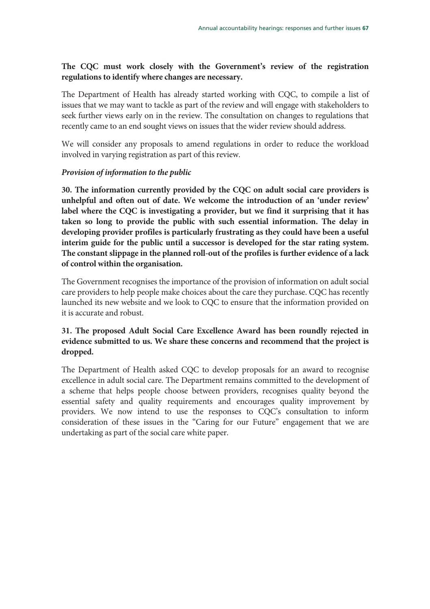# **The CQC must work closely with the Government's review of the registration regulations to identify where changes are necessary.**

The Department of Health has already started working with CQC, to compile a list of issues that we may want to tackle as part of the review and will engage with stakeholders to seek further views early on in the review. The consultation on changes to regulations that recently came to an end sought views on issues that the wider review should address.

We will consider any proposals to amend regulations in order to reduce the workload involved in varying registration as part of this review.

## *Provision of information to the public*

**30. The information currently provided by the CQC on adult social care providers is unhelpful and often out of date. We welcome the introduction of an 'under review' label where the CQC is investigating a provider, but we find it surprising that it has taken so long to provide the public with such essential information. The delay in developing provider profiles is particularly frustrating as they could have been a useful interim guide for the public until a successor is developed for the star rating system. The constant slippage in the planned roll-out of the profiles is further evidence of a lack of control within the organisation.** 

The Government recognises the importance of the provision of information on adult social care providers to help people make choices about the care they purchase. CQC has recently launched its new website and we look to CQC to ensure that the information provided on it is accurate and robust.

# **31. The proposed Adult Social Care Excellence Award has been roundly rejected in evidence submitted to us. We share these concerns and recommend that the project is dropped.**

The Department of Health asked CQC to develop proposals for an award to recognise excellence in adult social care. The Department remains committed to the development of a scheme that helps people choose between providers, recognises quality beyond the essential safety and quality requirements and encourages quality improvement by providers. We now intend to use the responses to CQC's consultation to inform consideration of these issues in the "Caring for our Future" engagement that we are undertaking as part of the social care white paper.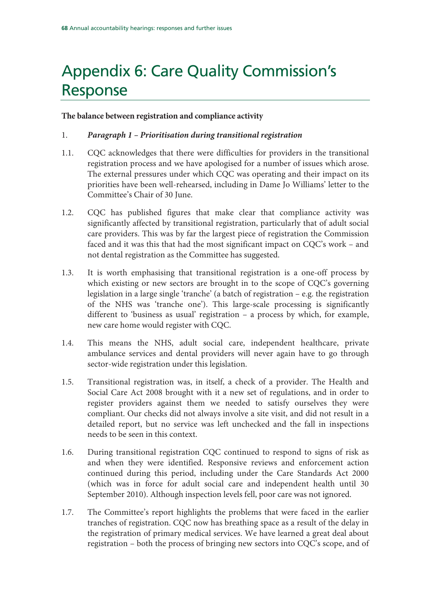# Appendix 6: Care Quality Commission's Response

## **The balance between registration and compliance activity**

## 1. *Paragraph 1 – Prioritisation during transitional registration*

- 1.1. CQC acknowledges that there were difficulties for providers in the transitional registration process and we have apologised for a number of issues which arose. The external pressures under which CQC was operating and their impact on its priorities have been well-rehearsed, including in Dame Jo Williams' letter to the Committee's Chair of 30 June.
- 1.2. CQC has published figures that make clear that compliance activity was significantly affected by transitional registration, particularly that of adult social care providers. This was by far the largest piece of registration the Commission faced and it was this that had the most significant impact on CQC's work – and not dental registration as the Committee has suggested.
- 1.3. It is worth emphasising that transitional registration is a one-off process by which existing or new sectors are brought in to the scope of CQC's governing legislation in a large single 'tranche' (a batch of registration – e.g. the registration of the NHS was 'tranche one'). This large-scale processing is significantly different to 'business as usual' registration – a process by which, for example, new care home would register with CQC.
- 1.4. This means the NHS, adult social care, independent healthcare, private ambulance services and dental providers will never again have to go through sector-wide registration under this legislation.
- 1.5. Transitional registration was, in itself, a check of a provider. The Health and Social Care Act 2008 brought with it a new set of regulations, and in order to register providers against them we needed to satisfy ourselves they were compliant. Our checks did not always involve a site visit, and did not result in a detailed report, but no service was left unchecked and the fall in inspections needs to be seen in this context.
- 1.6. During transitional registration CQC continued to respond to signs of risk as and when they were identified. Responsive reviews and enforcement action continued during this period, including under the Care Standards Act 2000 (which was in force for adult social care and independent health until 30 September 2010). Although inspection levels fell, poor care was not ignored.
- 1.7. The Committee's report highlights the problems that were faced in the earlier tranches of registration. CQC now has breathing space as a result of the delay in the registration of primary medical services. We have learned a great deal about registration – both the process of bringing new sectors into CQC's scope, and of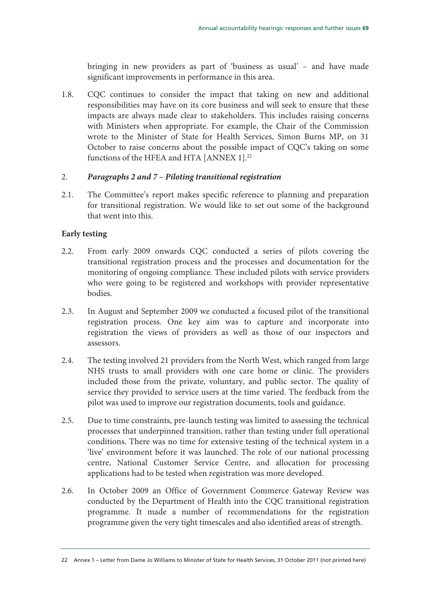bringing in new providers as part of 'business as usual' – and have made significant improvements in performance in this area.

1.8. CQC continues to consider the impact that taking on new and additional responsibilities may have on its core business and will seek to ensure that these impacts are always made clear to stakeholders. This includes raising concerns with Ministers when appropriate. For example, the Chair of the Commission wrote to the Minister of State for Health Services, Simon Burns MP, on 31 October to raise concerns about the possible impact of CQC's taking on some functions of the HFEA and HTA [ANNEX 1].<sup>22</sup>

## 2. *Paragraphs 2 and 7 – Piloting transitional registration*

2.1. The Committee's report makes specific reference to planning and preparation for transitional registration. We would like to set out some of the background that went into this.

## **Early testing**

- 2.2. From early 2009 onwards CQC conducted a series of pilots covering the transitional registration process and the processes and documentation for the monitoring of ongoing compliance. These included pilots with service providers who were going to be registered and workshops with provider representative bodies.
- 2.3. In August and September 2009 we conducted a focused pilot of the transitional registration process. One key aim was to capture and incorporate into registration the views of providers as well as those of our inspectors and assessors.
- 2.4. The testing involved 21 providers from the North West, which ranged from large NHS trusts to small providers with one care home or clinic. The providers included those from the private, voluntary, and public sector. The quality of service they provided to service users at the time varied. The feedback from the pilot was used to improve our registration documents, tools and guidance.
- 2.5. Due to time constraints, pre-launch testing was limited to assessing the technical processes that underpinned transition, rather than testing under full operational conditions. There was no time for extensive testing of the technical system in a 'live' environment before it was launched. The role of our national processing centre, National Customer Service Centre, and allocation for processing applications had to be tested when registration was more developed.
- 2.6. In October 2009 an Office of Government Commerce Gateway Review was conducted by the Department of Health into the CQC transitional registration programme. It made a number of recommendations for the registration programme given the very tight timescales and also identified areas of strength.

<sup>22</sup> Annex 1 – Letter from Dame Jo Williams to Minister of State for Health Services, 31 October 2011 (not printed here)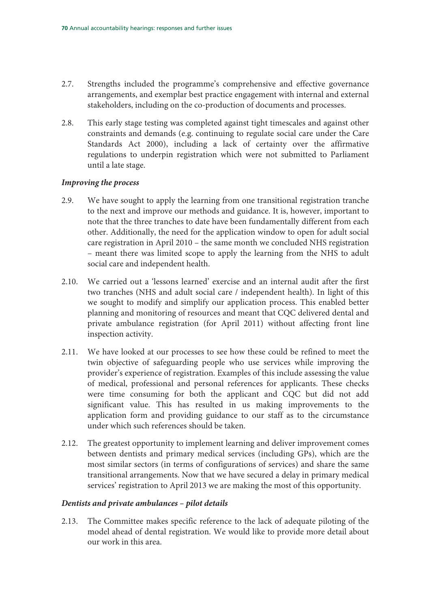- 2.7. Strengths included the programme's comprehensive and effective governance arrangements, and exemplar best practice engagement with internal and external stakeholders, including on the co-production of documents and processes.
- 2.8. This early stage testing was completed against tight timescales and against other constraints and demands (e.g. continuing to regulate social care under the Care Standards Act 2000), including a lack of certainty over the affirmative regulations to underpin registration which were not submitted to Parliament until a late stage.

## *Improving the process*

- 2.9. We have sought to apply the learning from one transitional registration tranche to the next and improve our methods and guidance. It is, however, important to note that the three tranches to date have been fundamentally different from each other. Additionally, the need for the application window to open for adult social care registration in April 2010 – the same month we concluded NHS registration – meant there was limited scope to apply the learning from the NHS to adult social care and independent health.
- 2.10. We carried out a 'lessons learned' exercise and an internal audit after the first two tranches (NHS and adult social care / independent health). In light of this we sought to modify and simplify our application process. This enabled better planning and monitoring of resources and meant that CQC delivered dental and private ambulance registration (for April 2011) without affecting front line inspection activity.
- 2.11. We have looked at our processes to see how these could be refined to meet the twin objective of safeguarding people who use services while improving the provider's experience of registration. Examples of this include assessing the value of medical, professional and personal references for applicants. These checks were time consuming for both the applicant and CQC but did not add significant value. This has resulted in us making improvements to the application form and providing guidance to our staff as to the circumstance under which such references should be taken.
- 2.12. The greatest opportunity to implement learning and deliver improvement comes between dentists and primary medical services (including GPs), which are the most similar sectors (in terms of configurations of services) and share the same transitional arrangements. Now that we have secured a delay in primary medical services' registration to April 2013 we are making the most of this opportunity.

## *Dentists and private ambulances – pilot details*

2.13. The Committee makes specific reference to the lack of adequate piloting of the model ahead of dental registration. We would like to provide more detail about our work in this area.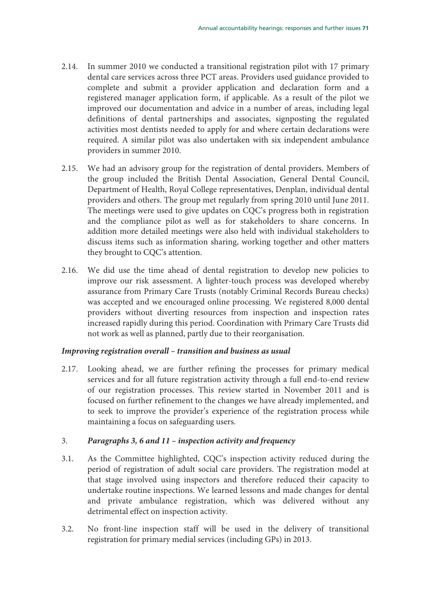- 2.14. In summer 2010 we conducted a transitional registration pilot with 17 primary dental care services across three PCT areas. Providers used guidance provided to complete and submit a provider application and declaration form and a registered manager application form, if applicable. As a result of the pilot we improved our documentation and advice in a number of areas, including legal definitions of dental partnerships and associates, signposting the regulated activities most dentists needed to apply for and where certain declarations were required. A similar pilot was also undertaken with six independent ambulance providers in summer 2010.
- 2.15. We had an advisory group for the registration of dental providers. Members of the group included the British Dental Association, General Dental Council, Department of Health, Royal College representatives, Denplan, individual dental providers and others. The group met regularly from spring 2010 until June 2011. The meetings were used to give updates on CQC's progress both in registration and the compliance pilot as well as for stakeholders to share concerns. In addition more detailed meetings were also held with individual stakeholders to discuss items such as information sharing, working together and other matters they brought to CQC's attention.
- 2.16. We did use the time ahead of dental registration to develop new policies to improve our risk assessment. A lighter-touch process was developed whereby assurance from Primary Care Trusts (notably Criminal Records Bureau checks) was accepted and we encouraged online processing. We registered 8,000 dental providers without diverting resources from inspection and inspection rates increased rapidly during this period. Coordination with Primary Care Trusts did not work as well as planned, partly due to their reorganisation.

#### *Improving registration overall – transition and business as usual*

2.17. Looking ahead, we are further refining the processes for primary medical services and for all future registration activity through a full end-to-end review of our registration processes. This review started in November 2011 and is focused on further refinement to the changes we have already implemented, and to seek to improve the provider's experience of the registration process while maintaining a focus on safeguarding users.

## 3. *Paragraphs 3, 6 and 11 – inspection activity and frequency*

- 3.1. As the Committee highlighted, CQC's inspection activity reduced during the period of registration of adult social care providers. The registration model at that stage involved using inspectors and therefore reduced their capacity to undertake routine inspections. We learned lessons and made changes for dental and private ambulance registration, which was delivered without any detrimental effect on inspection activity.
- 3.2. No front-line inspection staff will be used in the delivery of transitional registration for primary medial services (including GPs) in 2013.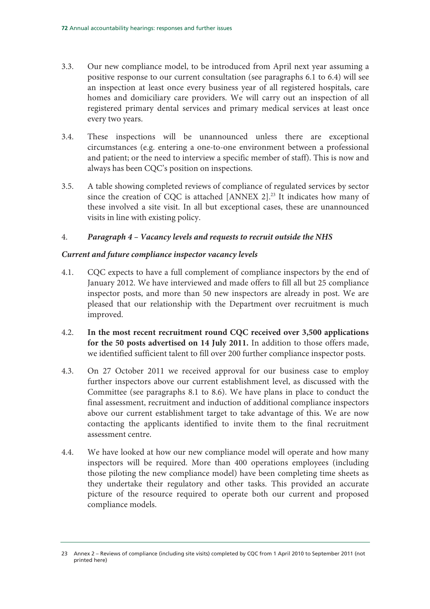- 3.3. Our new compliance model, to be introduced from April next year assuming a positive response to our current consultation (see paragraphs 6.1 to 6.4) will see an inspection at least once every business year of all registered hospitals, care homes and domiciliary care providers. We will carry out an inspection of all registered primary dental services and primary medical services at least once every two years.
- 3.4. These inspections will be unannounced unless there are exceptional circumstances (e.g. entering a one-to-one environment between a professional and patient; or the need to interview a specific member of staff). This is now and always has been CQC's position on inspections.
- 3.5. A table showing completed reviews of compliance of regulated services by sector since the creation of CQC is attached [ANNEX 2].<sup>23</sup> It indicates how many of these involved a site visit. In all but exceptional cases, these are unannounced visits in line with existing policy.

## 4. *Paragraph 4 – Vacancy levels and requests to recruit outside the NHS*

## *Current and future compliance inspector vacancy levels*

- 4.1. CQC expects to have a full complement of compliance inspectors by the end of January 2012. We have interviewed and made offers to fill all but 25 compliance inspector posts, and more than 50 new inspectors are already in post. We are pleased that our relationship with the Department over recruitment is much improved.
- 4.2. **In the most recent recruitment round CQC received over 3,500 applications for the 50 posts advertised on 14 July 2011.** In addition to those offers made, we identified sufficient talent to fill over 200 further compliance inspector posts.
- 4.3. On 27 October 2011 we received approval for our business case to employ further inspectors above our current establishment level, as discussed with the Committee (see paragraphs 8.1 to 8.6). We have plans in place to conduct the final assessment, recruitment and induction of additional compliance inspectors above our current establishment target to take advantage of this. We are now contacting the applicants identified to invite them to the final recruitment assessment centre.
- 4.4. We have looked at how our new compliance model will operate and how many inspectors will be required. More than 400 operations employees (including those piloting the new compliance model) have been completing time sheets as they undertake their regulatory and other tasks. This provided an accurate picture of the resource required to operate both our current and proposed compliance models.

<sup>23</sup> Annex 2 – Reviews of compliance (including site visits) completed by CQC from 1 April 2010 to September 2011 (not printed here)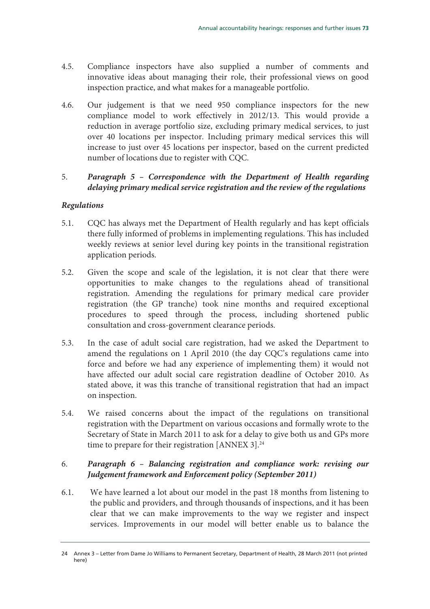- 4.5. Compliance inspectors have also supplied a number of comments and innovative ideas about managing their role, their professional views on good inspection practice, and what makes for a manageable portfolio.
- 4.6. Our judgement is that we need 950 compliance inspectors for the new compliance model to work effectively in 2012/13. This would provide a reduction in average portfolio size, excluding primary medical services, to just over 40 locations per inspector. Including primary medical services this will increase to just over 45 locations per inspector, based on the current predicted number of locations due to register with CQC.

## 5. *Paragraph 5 – Correspondence with the Department of Health regarding delaying primary medical service registration and the review of the regulations*

## *Regulations*

- 5.1. CQC has always met the Department of Health regularly and has kept officials there fully informed of problems in implementing regulations. This has included weekly reviews at senior level during key points in the transitional registration application periods.
- 5.2. Given the scope and scale of the legislation, it is not clear that there were opportunities to make changes to the regulations ahead of transitional registration. Amending the regulations for primary medical care provider registration (the GP tranche) took nine months and required exceptional procedures to speed through the process, including shortened public consultation and cross-government clearance periods.
- 5.3. In the case of adult social care registration, had we asked the Department to amend the regulations on 1 April 2010 (the day CQC's regulations came into force and before we had any experience of implementing them) it would not have affected our adult social care registration deadline of October 2010. As stated above, it was this tranche of transitional registration that had an impact on inspection.
- 5.4. We raised concerns about the impact of the regulations on transitional registration with the Department on various occasions and formally wrote to the Secretary of State in March 2011 to ask for a delay to give both us and GPs more time to prepare for their registration [ANNEX 3]. $^{24}$

## 6. *Paragraph 6 – Balancing registration and compliance work: revising our Judgement framework and Enforcement policy (September 2011)*

6.1. We have learned a lot about our model in the past 18 months from listening to the public and providers, and through thousands of inspections, and it has been clear that we can make improvements to the way we register and inspect services. Improvements in our model will better enable us to balance the

<sup>24</sup> Annex 3 – Letter from Dame Jo Williams to Permanent Secretary, Department of Health, 28 March 2011 (not printed here)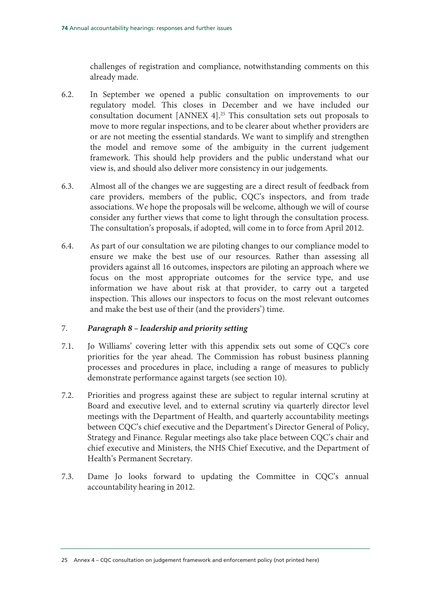challenges of registration and compliance, notwithstanding comments on this already made.

- 6.2. In September we opened a public consultation on improvements to our regulatory model. This closes in December and we have included our consultation document [ANNEX 4].<sup>25</sup> This consultation sets out proposals to move to more regular inspections, and to be clearer about whether providers are or are not meeting the essential standards. We want to simplify and strengthen the model and remove some of the ambiguity in the current judgement framework. This should help providers and the public understand what our view is, and should also deliver more consistency in our judgements.
- 6.3. Almost all of the changes we are suggesting are a direct result of feedback from care providers, members of the public, CQC's inspectors, and from trade associations. We hope the proposals will be welcome, although we will of course consider any further views that come to light through the consultation process. The consultation's proposals, if adopted, will come in to force from April 2012.
- 6.4. As part of our consultation we are piloting changes to our compliance model to ensure we make the best use of our resources. Rather than assessing all providers against all 16 outcomes, inspectors are piloting an approach where we focus on the most appropriate outcomes for the service type, and use information we have about risk at that provider, to carry out a targeted inspection. This allows our inspectors to focus on the most relevant outcomes and make the best use of their (and the providers') time.

#### 7. *Paragraph 8 – leadership and priority setting*

- 7.1. Jo Williams' covering letter with this appendix sets out some of CQC's core priorities for the year ahead. The Commission has robust business planning processes and procedures in place, including a range of measures to publicly demonstrate performance against targets (see section 10).
- 7.2. Priorities and progress against these are subject to regular internal scrutiny at Board and executive level, and to external scrutiny via quarterly director level meetings with the Department of Health, and quarterly accountability meetings between CQC's chief executive and the Department's Director General of Policy, Strategy and Finance. Regular meetings also take place between CQC's chair and chief executive and Ministers, the NHS Chief Executive, and the Department of Health's Permanent Secretary.
- 7.3. Dame Jo looks forward to updating the Committee in CQC's annual accountability hearing in 2012.

<sup>25</sup> Annex 4 – CQC consultation on judgement framework and enforcement policy (not printed here)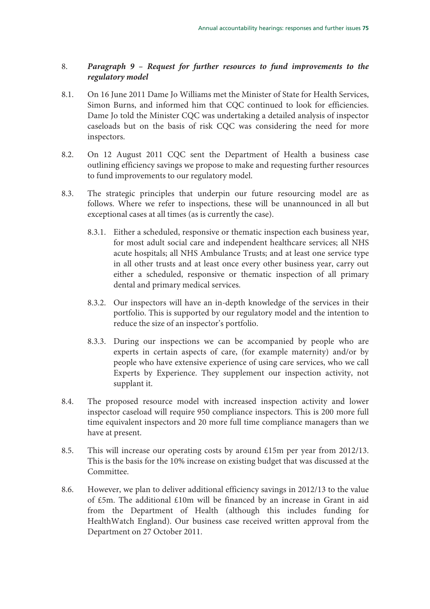## 8. *Paragraph 9 – Request for further resources to fund improvements to the regulatory model*

- 8.1. On 16 June 2011 Dame Jo Williams met the Minister of State for Health Services, Simon Burns, and informed him that CQC continued to look for efficiencies. Dame Jo told the Minister CQC was undertaking a detailed analysis of inspector caseloads but on the basis of risk CQC was considering the need for more inspectors.
- 8.2. On 12 August 2011 CQC sent the Department of Health a business case outlining efficiency savings we propose to make and requesting further resources to fund improvements to our regulatory model.
- 8.3. The strategic principles that underpin our future resourcing model are as follows. Where we refer to inspections, these will be unannounced in all but exceptional cases at all times (as is currently the case).
	- 8.3.1. Either a scheduled, responsive or thematic inspection each business year, for most adult social care and independent healthcare services; all NHS acute hospitals; all NHS Ambulance Trusts; and at least one service type in all other trusts and at least once every other business year, carry out either a scheduled, responsive or thematic inspection of all primary dental and primary medical services.
	- 8.3.2. Our inspectors will have an in-depth knowledge of the services in their portfolio. This is supported by our regulatory model and the intention to reduce the size of an inspector's portfolio.
	- 8.3.3. During our inspections we can be accompanied by people who are experts in certain aspects of care, (for example maternity) and/or by people who have extensive experience of using care services, who we call Experts by Experience. They supplement our inspection activity, not supplant it.
- 8.4. The proposed resource model with increased inspection activity and lower inspector caseload will require 950 compliance inspectors. This is 200 more full time equivalent inspectors and 20 more full time compliance managers than we have at present.
- 8.5. This will increase our operating costs by around £15m per year from 2012/13. This is the basis for the 10% increase on existing budget that was discussed at the Committee.
- 8.6. However, we plan to deliver additional efficiency savings in 2012/13 to the value of £5m. The additional £10m will be financed by an increase in Grant in aid from the Department of Health (although this includes funding for HealthWatch England). Our business case received written approval from the Department on 27 October 2011.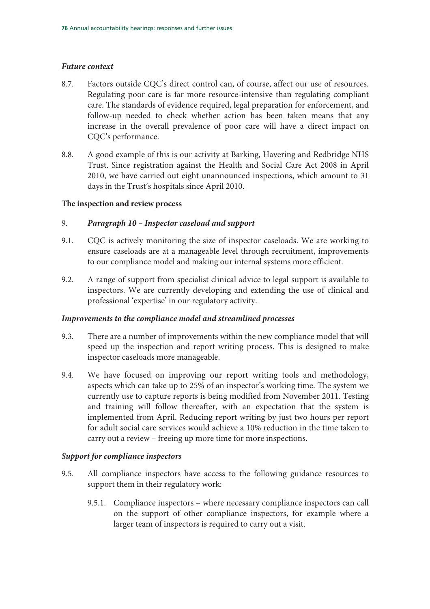#### *Future context*

- 8.7. Factors outside CQC's direct control can, of course, affect our use of resources. Regulating poor care is far more resource-intensive than regulating compliant care. The standards of evidence required, legal preparation for enforcement, and follow-up needed to check whether action has been taken means that any increase in the overall prevalence of poor care will have a direct impact on CQC's performance.
- 8.8. A good example of this is our activity at Barking, Havering and Redbridge NHS Trust. Since registration against the Health and Social Care Act 2008 in April 2010, we have carried out eight unannounced inspections, which amount to 31 days in the Trust's hospitals since April 2010.

#### **The inspection and review process**

#### 9. *Paragraph 10 – Inspector caseload and support*

- 9.1. CQC is actively monitoring the size of inspector caseloads. We are working to ensure caseloads are at a manageable level through recruitment, improvements to our compliance model and making our internal systems more efficient.
- 9.2. A range of support from specialist clinical advice to legal support is available to inspectors. We are currently developing and extending the use of clinical and professional 'expertise' in our regulatory activity.

#### *Improvements to the compliance model and streamlined processes*

- 9.3. There are a number of improvements within the new compliance model that will speed up the inspection and report writing process. This is designed to make inspector caseloads more manageable.
- 9.4. We have focused on improving our report writing tools and methodology, aspects which can take up to 25% of an inspector's working time. The system we currently use to capture reports is being modified from November 2011. Testing and training will follow thereafter, with an expectation that the system is implemented from April. Reducing report writing by just two hours per report for adult social care services would achieve a 10% reduction in the time taken to carry out a review – freeing up more time for more inspections.

#### *Support for compliance inspectors*

- 9.5. All compliance inspectors have access to the following guidance resources to support them in their regulatory work:
	- 9.5.1. Compliance inspectors where necessary compliance inspectors can call on the support of other compliance inspectors, for example where a larger team of inspectors is required to carry out a visit.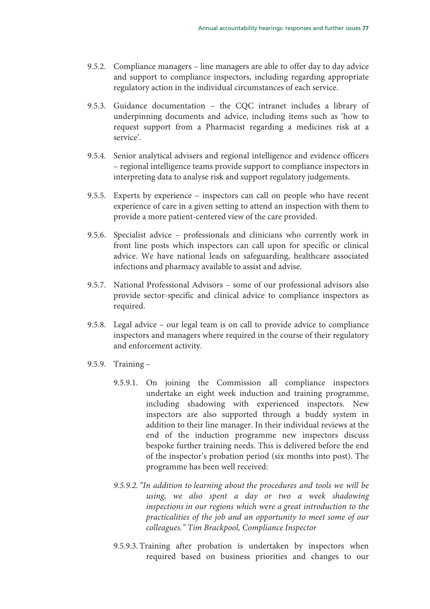- 9.5.2. Compliance managers line managers are able to offer day to day advice and support to compliance inspectors, including regarding appropriate regulatory action in the individual circumstances of each service.
- 9.5.3. Guidance documentation the CQC intranet includes a library of underpinning documents and advice, including items such as 'how to request support from a Pharmacist regarding a medicines risk at a service'.
- 9.5.4. Senior analytical advisers and regional intelligence and evidence officers – regional intelligence teams provide support to compliance inspectors in interpreting data to analyse risk and support regulatory judgements.
- 9.5.5. Experts by experience inspectors can call on people who have recent experience of care in a given setting to attend an inspection with them to provide a more patient-centered view of the care provided.
- 9.5.6. Specialist advice professionals and clinicians who currently work in front line posts which inspectors can call upon for specific or clinical advice. We have national leads on safeguarding, healthcare associated infections and pharmacy available to assist and advise.
- 9.5.7. National Professional Advisors some of our professional advisors also provide sector-specific and clinical advice to compliance inspectors as required.
- 9.5.8. Legal advice our legal team is on call to provide advice to compliance inspectors and managers where required in the course of their regulatory and enforcement activity.
- 9.5.9. Training
	- 9.5.9.1. On joining the Commission all compliance inspectors undertake an eight week induction and training programme, including shadowing with experienced inspectors. New inspectors are also supported through a buddy system in addition to their line manager. In their individual reviews at the end of the induction programme new inspectors discuss bespoke further training needs. This is delivered before the end of the inspector's probation period (six months into post). The programme has been well received:
	- 9.5.9.2."In addition to learning about the procedures and tools we will be using, we also spent a day or two a week shadowing inspections in our regions which were a great introduction to the practicalities of the job and an opportunity to meet some of our colleagues." Tim Brackpool, Compliance Inspector
	- 9.5.9.3. Training after probation is undertaken by inspectors when required based on business priorities and changes to our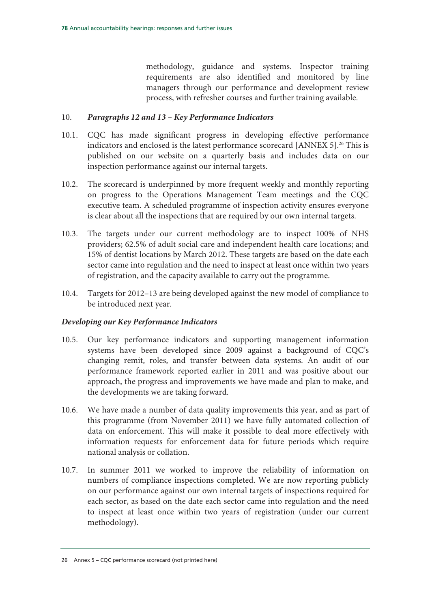methodology, guidance and systems. Inspector training requirements are also identified and monitored by line managers through our performance and development review process, with refresher courses and further training available.

#### 10. *Paragraphs 12 and 13 – Key Performance Indicators*

- 10.1. CQC has made significant progress in developing effective performance indicators and enclosed is the latest performance scorecard [ANNEX 5].<sup>26</sup> This is published on our website on a quarterly basis and includes data on our inspection performance against our internal targets.
- 10.2. The scorecard is underpinned by more frequent weekly and monthly reporting on progress to the Operations Management Team meetings and the CQC executive team. A scheduled programme of inspection activity ensures everyone is clear about all the inspections that are required by our own internal targets.
- 10.3. The targets under our current methodology are to inspect 100% of NHS providers; 62.5% of adult social care and independent health care locations; and 15% of dentist locations by March 2012. These targets are based on the date each sector came into regulation and the need to inspect at least once within two years of registration, and the capacity available to carry out the programme.
- 10.4. Targets for 2012–13 are being developed against the new model of compliance to be introduced next year.

#### *Developing our Key Performance Indicators*

- 10.5. Our key performance indicators and supporting management information systems have been developed since 2009 against a background of CQC's changing remit, roles, and transfer between data systems. An audit of our performance framework reported earlier in 2011 and was positive about our approach, the progress and improvements we have made and plan to make, and the developments we are taking forward.
- 10.6. We have made a number of data quality improvements this year, and as part of this programme (from November 2011) we have fully automated collection of data on enforcement. This will make it possible to deal more effectively with information requests for enforcement data for future periods which require national analysis or collation.
- 10.7. In summer 2011 we worked to improve the reliability of information on numbers of compliance inspections completed. We are now reporting publicly on our performance against our own internal targets of inspections required for each sector, as based on the date each sector came into regulation and the need to inspect at least once within two years of registration (under our current methodology).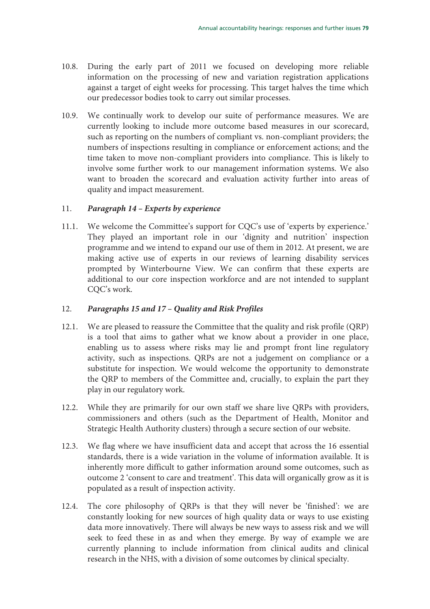- 10.8. During the early part of 2011 we focused on developing more reliable information on the processing of new and variation registration applications against a target of eight weeks for processing. This target halves the time which our predecessor bodies took to carry out similar processes.
- 10.9. We continually work to develop our suite of performance measures. We are currently looking to include more outcome based measures in our scorecard, such as reporting on the numbers of compliant vs. non-compliant providers; the numbers of inspections resulting in compliance or enforcement actions; and the time taken to move non-compliant providers into compliance. This is likely to involve some further work to our management information systems. We also want to broaden the scorecard and evaluation activity further into areas of quality and impact measurement.

#### 11. *Paragraph 14 – Experts by experience*

11.1. We welcome the Committee's support for CQC's use of 'experts by experience.' They played an important role in our 'dignity and nutrition' inspection programme and we intend to expand our use of them in 2012. At present, we are making active use of experts in our reviews of learning disability services prompted by Winterbourne View. We can confirm that these experts are additional to our core inspection workforce and are not intended to supplant CQC's work.

#### 12. *Paragraphs 15 and 17 – Quality and Risk Profiles*

- 12.1. We are pleased to reassure the Committee that the quality and risk profile (QRP) is a tool that aims to gather what we know about a provider in one place, enabling us to assess where risks may lie and prompt front line regulatory activity, such as inspections. QRPs are not a judgement on compliance or a substitute for inspection. We would welcome the opportunity to demonstrate the QRP to members of the Committee and, crucially, to explain the part they play in our regulatory work.
- 12.2. While they are primarily for our own staff we share live QRPs with providers, commissioners and others (such as the Department of Health, Monitor and Strategic Health Authority clusters) through a secure section of our website.
- 12.3. We flag where we have insufficient data and accept that across the 16 essential standards, there is a wide variation in the volume of information available. It is inherently more difficult to gather information around some outcomes, such as outcome 2 'consent to care and treatment'. This data will organically grow as it is populated as a result of inspection activity.
- 12.4. The core philosophy of QRPs is that they will never be 'finished': we are constantly looking for new sources of high quality data or ways to use existing data more innovatively. There will always be new ways to assess risk and we will seek to feed these in as and when they emerge. By way of example we are currently planning to include information from clinical audits and clinical research in the NHS, with a division of some outcomes by clinical specialty.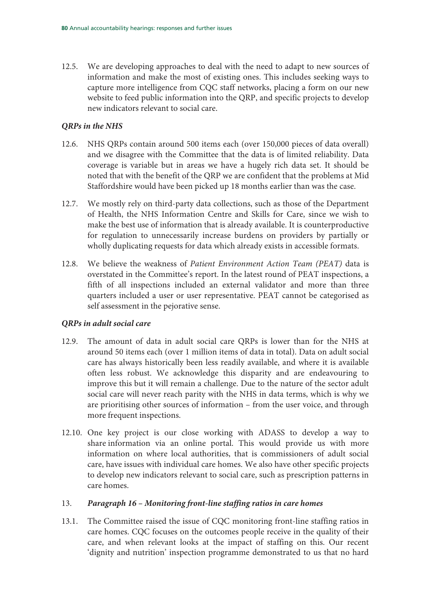12.5. We are developing approaches to deal with the need to adapt to new sources of information and make the most of existing ones. This includes seeking ways to capture more intelligence from CQC staff networks, placing a form on our new website to feed public information into the QRP, and specific projects to develop new indicators relevant to social care.

### *QRPs in the NHS*

- 12.6. NHS QRPs contain around 500 items each (over 150,000 pieces of data overall) and we disagree with the Committee that the data is of limited reliability. Data coverage is variable but in areas we have a hugely rich data set. It should be noted that with the benefit of the QRP we are confident that the problems at Mid Staffordshire would have been picked up 18 months earlier than was the case.
- 12.7. We mostly rely on third-party data collections, such as those of the Department of Health, the NHS Information Centre and Skills for Care, since we wish to make the best use of information that is already available. It is counterproductive for regulation to unnecessarily increase burdens on providers by partially or wholly duplicating requests for data which already exists in accessible formats.
- 12.8. We believe the weakness of Patient Environment Action Team (PEAT) data is overstated in the Committee's report. In the latest round of PEAT inspections, a fifth of all inspections included an external validator and more than three quarters included a user or user representative. PEAT cannot be categorised as self assessment in the pejorative sense.

#### *QRPs in adult social care*

- 12.9. The amount of data in adult social care QRPs is lower than for the NHS at around 50 items each (over 1 million items of data in total). Data on adult social care has always historically been less readily available, and where it is available often less robust. We acknowledge this disparity and are endeavouring to improve this but it will remain a challenge. Due to the nature of the sector adult social care will never reach parity with the NHS in data terms, which is why we are prioritising other sources of information – from the user voice, and through more frequent inspections.
- 12.10. One key project is our close working with ADASS to develop a way to share information via an online portal. This would provide us with more information on where local authorities, that is commissioners of adult social care, have issues with individual care homes. We also have other specific projects to develop new indicators relevant to social care, such as prescription patterns in care homes.

#### 13. *Paragraph 16 – Monitoring front-line staffing ratios in care homes*

13.1. The Committee raised the issue of CQC monitoring front-line staffing ratios in care homes. CQC focuses on the outcomes people receive in the quality of their care, and when relevant looks at the impact of staffing on this. Our recent 'dignity and nutrition' inspection programme demonstrated to us that no hard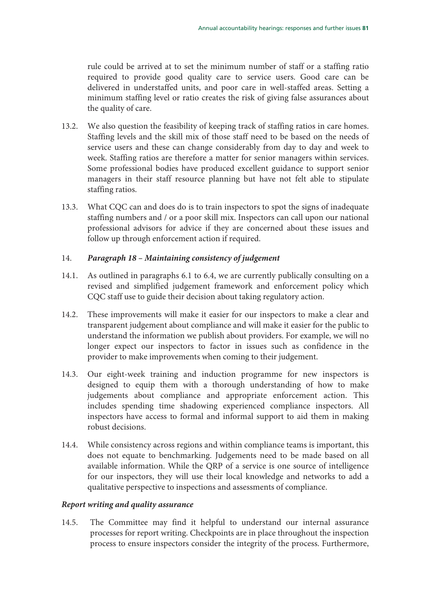rule could be arrived at to set the minimum number of staff or a staffing ratio required to provide good quality care to service users. Good care can be delivered in understaffed units, and poor care in well-staffed areas. Setting a minimum staffing level or ratio creates the risk of giving false assurances about the quality of care.

- 13.2. We also question the feasibility of keeping track of staffing ratios in care homes. Staffing levels and the skill mix of those staff need to be based on the needs of service users and these can change considerably from day to day and week to week. Staffing ratios are therefore a matter for senior managers within services. Some professional bodies have produced excellent guidance to support senior managers in their staff resource planning but have not felt able to stipulate staffing ratios.
- 13.3. What CQC can and does do is to train inspectors to spot the signs of inadequate staffing numbers and / or a poor skill mix. Inspectors can call upon our national professional advisors for advice if they are concerned about these issues and follow up through enforcement action if required.

#### 14. *Paragraph 18 – Maintaining consistency of judgement*

- 14.1. As outlined in paragraphs 6.1 to 6.4, we are currently publically consulting on a revised and simplified judgement framework and enforcement policy which CQC staff use to guide their decision about taking regulatory action.
- 14.2. These improvements will make it easier for our inspectors to make a clear and transparent judgement about compliance and will make it easier for the public to understand the information we publish about providers. For example, we will no longer expect our inspectors to factor in issues such as confidence in the provider to make improvements when coming to their judgement.
- 14.3. Our eight-week training and induction programme for new inspectors is designed to equip them with a thorough understanding of how to make judgements about compliance and appropriate enforcement action. This includes spending time shadowing experienced compliance inspectors. All inspectors have access to formal and informal support to aid them in making robust decisions.
- 14.4. While consistency across regions and within compliance teams is important, this does not equate to benchmarking. Judgements need to be made based on all available information. While the QRP of a service is one source of intelligence for our inspectors, they will use their local knowledge and networks to add a qualitative perspective to inspections and assessments of compliance.

#### *Report writing and quality assurance*

14.5. The Committee may find it helpful to understand our internal assurance processes for report writing. Checkpoints are in place throughout the inspection process to ensure inspectors consider the integrity of the process. Furthermore,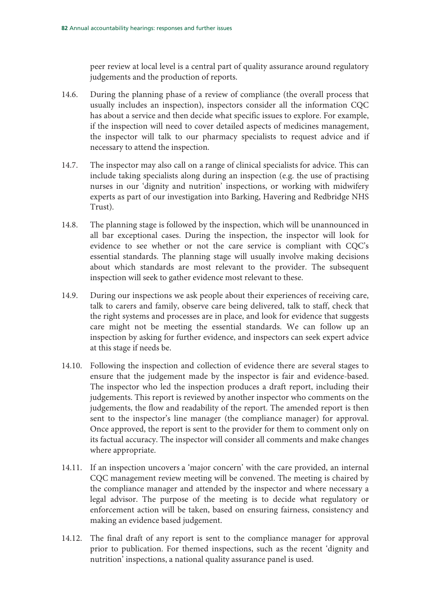peer review at local level is a central part of quality assurance around regulatory judgements and the production of reports.

- 14.6. During the planning phase of a review of compliance (the overall process that usually includes an inspection), inspectors consider all the information CQC has about a service and then decide what specific issues to explore. For example, if the inspection will need to cover detailed aspects of medicines management, the inspector will talk to our pharmacy specialists to request advice and if necessary to attend the inspection.
- 14.7. The inspector may also call on a range of clinical specialists for advice. This can include taking specialists along during an inspection (e.g. the use of practising nurses in our 'dignity and nutrition' inspections, or working with midwifery experts as part of our investigation into Barking, Havering and Redbridge NHS Trust).
- 14.8. The planning stage is followed by the inspection, which will be unannounced in all bar exceptional cases. During the inspection, the inspector will look for evidence to see whether or not the care service is compliant with CQC's essential standards. The planning stage will usually involve making decisions about which standards are most relevant to the provider. The subsequent inspection will seek to gather evidence most relevant to these.
- 14.9. During our inspections we ask people about their experiences of receiving care, talk to carers and family, observe care being delivered, talk to staff, check that the right systems and processes are in place, and look for evidence that suggests care might not be meeting the essential standards. We can follow up an inspection by asking for further evidence, and inspectors can seek expert advice at this stage if needs be.
- 14.10. Following the inspection and collection of evidence there are several stages to ensure that the judgement made by the inspector is fair and evidence-based. The inspector who led the inspection produces a draft report, including their judgements. This report is reviewed by another inspector who comments on the judgements, the flow and readability of the report. The amended report is then sent to the inspector's line manager (the compliance manager) for approval. Once approved, the report is sent to the provider for them to comment only on its factual accuracy. The inspector will consider all comments and make changes where appropriate.
- 14.11. If an inspection uncovers a 'major concern' with the care provided, an internal CQC management review meeting will be convened. The meeting is chaired by the compliance manager and attended by the inspector and where necessary a legal advisor. The purpose of the meeting is to decide what regulatory or enforcement action will be taken, based on ensuring fairness, consistency and making an evidence based judgement.
- 14.12. The final draft of any report is sent to the compliance manager for approval prior to publication. For themed inspections, such as the recent 'dignity and nutrition' inspections, a national quality assurance panel is used.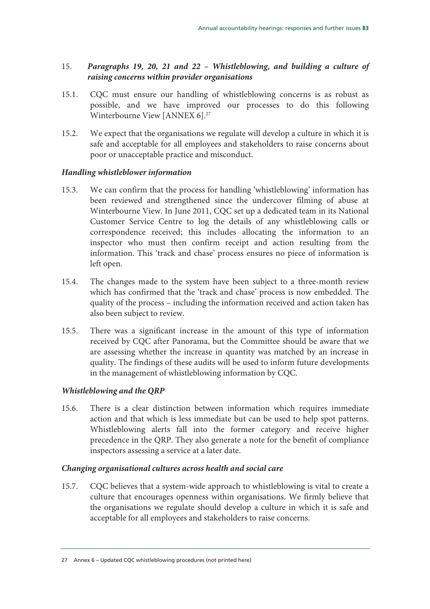## 15. *Paragraphs 19, 20, 21 and 22 – Whistleblowing, and building a culture of raising concerns within provider organisations*

- 15.1. CQC must ensure our handling of whistleblowing concerns is as robust as possible, and we have improved our processes to do this following Winterbourne View [ANNEX 6].<sup>27</sup>
- 15.2. We expect that the organisations we regulate will develop a culture in which it is safe and acceptable for all employees and stakeholders to raise concerns about poor or unacceptable practice and misconduct.

### *Handling whistleblower information*

- 15.3. We can confirm that the process for handling 'whistleblowing' information has been reviewed and strengthened since the undercover filming of abuse at Winterbourne View. In June 2011, CQC set up a dedicated team in its National Customer Service Centre to log the details of any whistleblowing calls or correspondence received; this includes allocating the information to an inspector who must then confirm receipt and action resulting from the information. This 'track and chase' process ensures no piece of information is left open.
- 15.4. The changes made to the system have been subject to a three-month review which has confirmed that the 'track and chase' process is now embedded. The quality of the process – including the information received and action taken has also been subject to review.
- 15.5. There was a significant increase in the amount of this type of information received by CQC after Panorama, but the Committee should be aware that we are assessing whether the increase in quantity was matched by an increase in quality. The findings of these audits will be used to inform future developments in the management of whistleblowing information by CQC.

#### *Whistleblowing and the QRP*

15.6. There is a clear distinction between information which requires immediate action and that which is less immediate but can be used to help spot patterns. Whistleblowing alerts fall into the former category and receive higher precedence in the QRP. They also generate a note for the benefit of compliance inspectors assessing a service at a later date.

#### *Changing organisational cultures across health and social care*

15.7. CQC believes that a system-wide approach to whistleblowing is vital to create a culture that encourages openness within organisations. We firmly believe that the organisations we regulate should develop a culture in which it is safe and acceptable for all employees and stakeholders to raise concerns.

<sup>27</sup> Annex 6 – Updated CQC whistleblowing procedures (not printed here)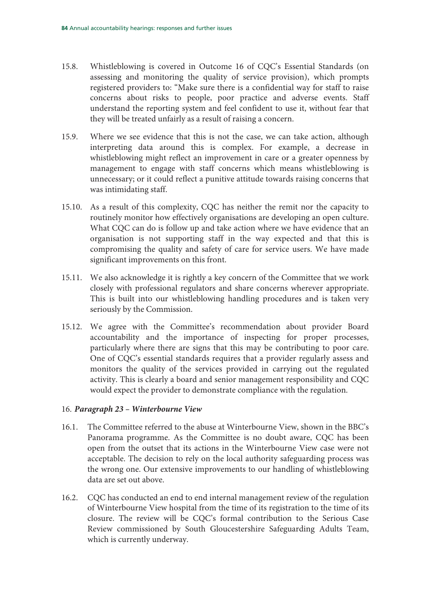- 15.8. Whistleblowing is covered in Outcome 16 of CQC's Essential Standards (on assessing and monitoring the quality of service provision), which prompts registered providers to: "Make sure there is a confidential way for staff to raise concerns about risks to people, poor practice and adverse events. Staff understand the reporting system and feel confident to use it, without fear that they will be treated unfairly as a result of raising a concern.
- 15.9. Where we see evidence that this is not the case, we can take action, although interpreting data around this is complex. For example, a decrease in whistleblowing might reflect an improvement in care or a greater openness by management to engage with staff concerns which means whistleblowing is unnecessary; or it could reflect a punitive attitude towards raising concerns that was intimidating staff.
- 15.10. As a result of this complexity, CQC has neither the remit nor the capacity to routinely monitor how effectively organisations are developing an open culture. What CQC can do is follow up and take action where we have evidence that an organisation is not supporting staff in the way expected and that this is compromising the quality and safety of care for service users. We have made significant improvements on this front.
- 15.11. We also acknowledge it is rightly a key concern of the Committee that we work closely with professional regulators and share concerns wherever appropriate. This is built into our whistleblowing handling procedures and is taken very seriously by the Commission.
- 15.12. We agree with the Committee's recommendation about provider Board accountability and the importance of inspecting for proper processes, particularly where there are signs that this may be contributing to poor care. One of CQC's essential standards requires that a provider regularly assess and monitors the quality of the services provided in carrying out the regulated activity. This is clearly a board and senior management responsibility and CQC would expect the provider to demonstrate compliance with the regulation.

#### 16. *Paragraph 23 – Winterbourne View*

- 16.1. The Committee referred to the abuse at Winterbourne View, shown in the BBC's Panorama programme. As the Committee is no doubt aware, CQC has been open from the outset that its actions in the Winterbourne View case were not acceptable. The decision to rely on the local authority safeguarding process was the wrong one. Our extensive improvements to our handling of whistleblowing data are set out above.
- 16.2. CQC has conducted an end to end internal management review of the regulation of Winterbourne View hospital from the time of its registration to the time of its closure. The review will be CQC's formal contribution to the Serious Case Review commissioned by South Gloucestershire Safeguarding Adults Team, which is currently underway.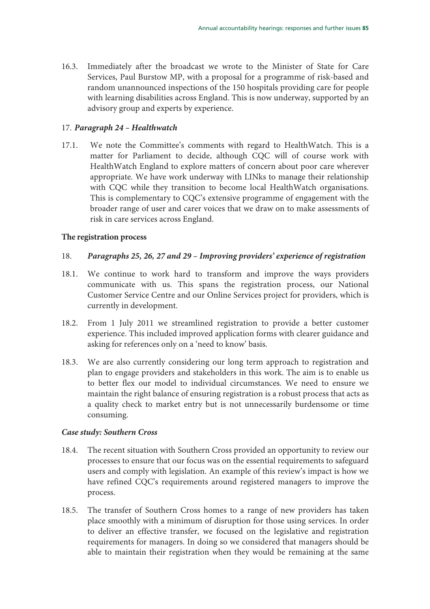16.3. Immediately after the broadcast we wrote to the Minister of State for Care Services, Paul Burstow MP, with a proposal for a programme of risk-based and random unannounced inspections of the 150 hospitals providing care for people with learning disabilities across England. This is now underway, supported by an advisory group and experts by experience.

#### 17. *Paragraph 24 – Healthwatch*

17.1. We note the Committee's comments with regard to HealthWatch. This is a matter for Parliament to decide, although CQC will of course work with HealthWatch England to explore matters of concern about poor care wherever appropriate. We have work underway with LINks to manage their relationship with CQC while they transition to become local HealthWatch organisations. This is complementary to CQC's extensive programme of engagement with the broader range of user and carer voices that we draw on to make assessments of risk in care services across England.

#### **The registration process**

### 18. *Paragraphs 25, 26, 27 and 29 – Improving providers' experience of registration*

- 18.1. We continue to work hard to transform and improve the ways providers communicate with us. This spans the registration process, our National Customer Service Centre and our Online Services project for providers, which is currently in development.
- 18.2. From 1 July 2011 we streamlined registration to provide a better customer experience. This included improved application forms with clearer guidance and asking for references only on a 'need to know' basis.
- 18.3. We are also currently considering our long term approach to registration and plan to engage providers and stakeholders in this work. The aim is to enable us to better flex our model to individual circumstances. We need to ensure we maintain the right balance of ensuring registration is a robust process that acts as a quality check to market entry but is not unnecessarily burdensome or time consuming.

#### *Case study: Southern Cross*

- 18.4. The recent situation with Southern Cross provided an opportunity to review our processes to ensure that our focus was on the essential requirements to safeguard users and comply with legislation. An example of this review's impact is how we have refined CQC's requirements around registered managers to improve the process.
- 18.5. The transfer of Southern Cross homes to a range of new providers has taken place smoothly with a minimum of disruption for those using services. In order to deliver an effective transfer, we focused on the legislative and registration requirements for managers. In doing so we considered that managers should be able to maintain their registration when they would be remaining at the same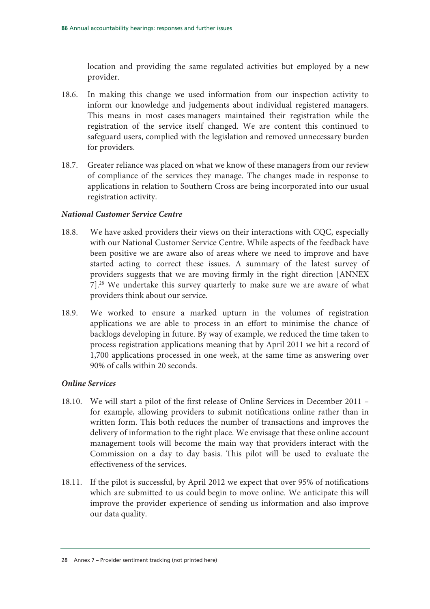location and providing the same regulated activities but employed by a new provider.

- 18.6. In making this change we used information from our inspection activity to inform our knowledge and judgements about individual registered managers. This means in most cases managers maintained their registration while the registration of the service itself changed. We are content this continued to safeguard users, complied with the legislation and removed unnecessary burden for providers.
- 18.7. Greater reliance was placed on what we know of these managers from our review of compliance of the services they manage. The changes made in response to applications in relation to Southern Cross are being incorporated into our usual registration activity.

#### *National Customer Service Centre*

- 18.8. We have asked providers their views on their interactions with CQC, especially with our National Customer Service Centre. While aspects of the feedback have been positive we are aware also of areas where we need to improve and have started acting to correct these issues. A summary of the latest survey of providers suggests that we are moving firmly in the right direction [ANNEX 7].28 We undertake this survey quarterly to make sure we are aware of what providers think about our service.
- 18.9. We worked to ensure a marked upturn in the volumes of registration applications we are able to process in an effort to minimise the chance of backlogs developing in future. By way of example, we reduced the time taken to process registration applications meaning that by April 2011 we hit a record of 1,700 applications processed in one week, at the same time as answering over 90% of calls within 20 seconds.

#### *Online Services*

- 18.10. We will start a pilot of the first release of Online Services in December 2011 for example, allowing providers to submit notifications online rather than in written form. This both reduces the number of transactions and improves the delivery of information to the right place. We envisage that these online account management tools will become the main way that providers interact with the Commission on a day to day basis. This pilot will be used to evaluate the effectiveness of the services.
- 18.11. If the pilot is successful, by April 2012 we expect that over 95% of notifications which are submitted to us could begin to move online. We anticipate this will improve the provider experience of sending us information and also improve our data quality.

<sup>28</sup> Annex 7 – Provider sentiment tracking (not printed here)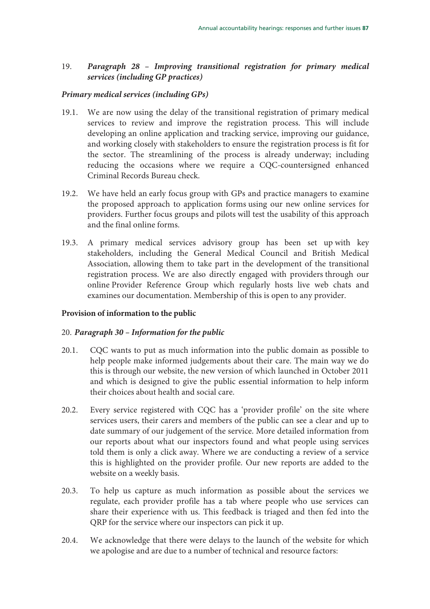## 19. *Paragraph 28 – Improving transitional registration for primary medical services (including GP practices)*

#### *Primary medical services (including GPs)*

- 19.1. We are now using the delay of the transitional registration of primary medical services to review and improve the registration process. This will include developing an online application and tracking service, improving our guidance, and working closely with stakeholders to ensure the registration process is fit for the sector. The streamlining of the process is already underway; including reducing the occasions where we require a CQC-countersigned enhanced Criminal Records Bureau check.
- 19.2. We have held an early focus group with GPs and practice managers to examine the proposed approach to application forms using our new online services for providers. Further focus groups and pilots will test the usability of this approach and the final online forms.
- 19.3. A primary medical services advisory group has been set up with key stakeholders, including the General Medical Council and British Medical Association, allowing them to take part in the development of the transitional registration process. We are also directly engaged with providers through our online Provider Reference Group which regularly hosts live web chats and examines our documentation. Membership of this is open to any provider.

#### **Provision of information to the public**

#### 20. *Paragraph 30 – Information for the public*

- 20.1. CQC wants to put as much information into the public domain as possible to help people make informed judgements about their care. The main way we do this is through our website, the new version of which launched in October 2011 and which is designed to give the public essential information to help inform their choices about health and social care.
- 20.2. Every service registered with CQC has a 'provider profile' on the site where services users, their carers and members of the public can see a clear and up to date summary of our judgement of the service. More detailed information from our reports about what our inspectors found and what people using services told them is only a click away. Where we are conducting a review of a service this is highlighted on the provider profile. Our new reports are added to the website on a weekly basis.
- 20.3. To help us capture as much information as possible about the services we regulate, each provider profile has a tab where people who use services can share their experience with us. This feedback is triaged and then fed into the QRP for the service where our inspectors can pick it up.
- 20.4. We acknowledge that there were delays to the launch of the website for which we apologise and are due to a number of technical and resource factors: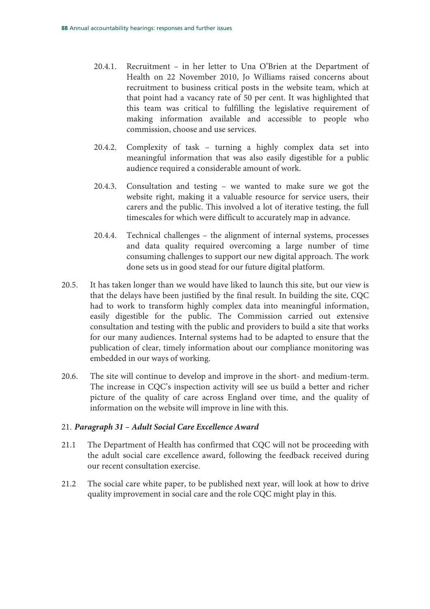- 20.4.1. Recruitment in her letter to Una O'Brien at the Department of Health on 22 November 2010, Jo Williams raised concerns about recruitment to business critical posts in the website team, which at that point had a vacancy rate of 50 per cent. It was highlighted that this team was critical to fulfilling the legislative requirement of making information available and accessible to people who commission, choose and use services.
- 20.4.2. Complexity of task turning a highly complex data set into meaningful information that was also easily digestible for a public audience required a considerable amount of work.
- 20.4.3. Consultation and testing we wanted to make sure we got the website right, making it a valuable resource for service users, their carers and the public. This involved a lot of iterative testing, the full timescales for which were difficult to accurately map in advance.
- 20.4.4. Technical challenges the alignment of internal systems, processes and data quality required overcoming a large number of time consuming challenges to support our new digital approach. The work done sets us in good stead for our future digital platform.
- 20.5. It has taken longer than we would have liked to launch this site, but our view is that the delays have been justified by the final result. In building the site, CQC had to work to transform highly complex data into meaningful information, easily digestible for the public. The Commission carried out extensive consultation and testing with the public and providers to build a site that works for our many audiences. Internal systems had to be adapted to ensure that the publication of clear, timely information about our compliance monitoring was embedded in our ways of working.
- 20.6. The site will continue to develop and improve in the short- and medium-term. The increase in CQC's inspection activity will see us build a better and richer picture of the quality of care across England over time, and the quality of information on the website will improve in line with this.

#### 21. *Paragraph 31 – Adult Social Care Excellence Award*

- 21.1 The Department of Health has confirmed that CQC will not be proceeding with the adult social care excellence award, following the feedback received during our recent consultation exercise.
- 21.2 The social care white paper, to be published next year, will look at how to drive quality improvement in social care and the role CQC might play in this.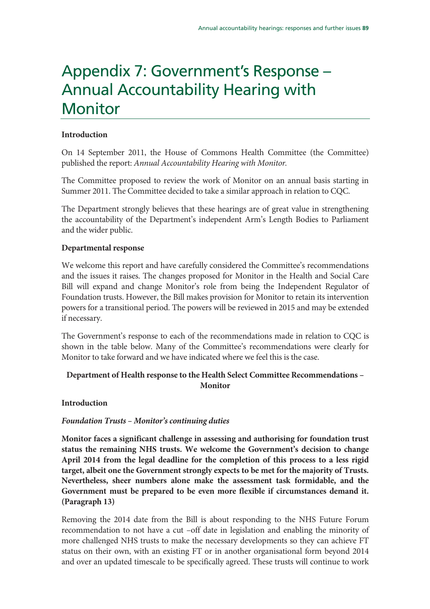## Appendix 7: Government's Response – Annual Accountability Hearing with **Monitor**

### **Introduction**

On 14 September 2011, the House of Commons Health Committee (the Committee) published the report: Annual Accountability Hearing with Monitor.

The Committee proposed to review the work of Monitor on an annual basis starting in Summer 2011. The Committee decided to take a similar approach in relation to CQC.

The Department strongly believes that these hearings are of great value in strengthening the accountability of the Department's independent Arm's Length Bodies to Parliament and the wider public.

### **Departmental response**

We welcome this report and have carefully considered the Committee's recommendations and the issues it raises. The changes proposed for Monitor in the Health and Social Care Bill will expand and change Monitor's role from being the Independent Regulator of Foundation trusts. However, the Bill makes provision for Monitor to retain its intervention powers for a transitional period. The powers will be reviewed in 2015 and may be extended if necessary.

The Government's response to each of the recommendations made in relation to CQC is shown in the table below. Many of the Committee's recommendations were clearly for Monitor to take forward and we have indicated where we feel this is the case.

## **Department of Health response to the Health Select Committee Recommendations – Monitor**

#### **Introduction**

## *Foundation Trusts – Monitor's continuing duties*

**Monitor faces a significant challenge in assessing and authorising for foundation trust status the remaining NHS trusts. We welcome the Government's decision to change April 2014 from the legal deadline for the completion of this process to a less rigid target, albeit one the Government strongly expects to be met for the majority of Trusts. Nevertheless, sheer numbers alone make the assessment task formidable, and the Government must be prepared to be even more flexible if circumstances demand it. (Paragraph 13)** 

Removing the 2014 date from the Bill is about responding to the NHS Future Forum recommendation to not have a cut –off date in legislation and enabling the minority of more challenged NHS trusts to make the necessary developments so they can achieve FT status on their own, with an existing FT or in another organisational form beyond 2014 and over an updated timescale to be specifically agreed. These trusts will continue to work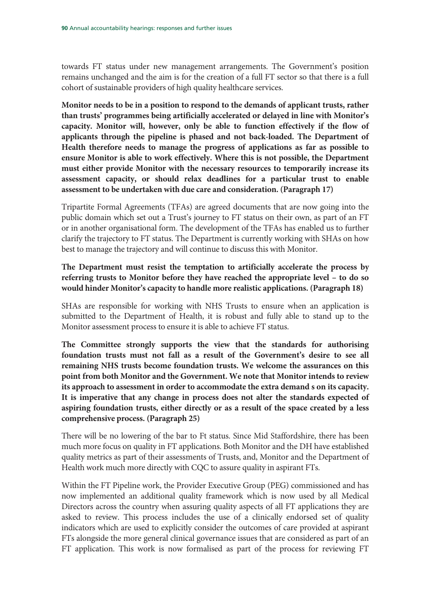towards FT status under new management arrangements. The Government's position remains unchanged and the aim is for the creation of a full FT sector so that there is a full cohort of sustainable providers of high quality healthcare services.

**Monitor needs to be in a position to respond to the demands of applicant trusts, rather than trusts' programmes being artificially accelerated or delayed in line with Monitor's capacity. Monitor will, however, only be able to function effectively if the flow of applicants through the pipeline is phased and not back-loaded. The Department of Health therefore needs to manage the progress of applications as far as possible to ensure Monitor is able to work effectively. Where this is not possible, the Department must either provide Monitor with the necessary resources to temporarily increase its assessment capacity, or should relax deadlines for a particular trust to enable assessment to be undertaken with due care and consideration. (Paragraph 17)** 

Tripartite Formal Agreements (TFAs) are agreed documents that are now going into the public domain which set out a Trust's journey to FT status on their own, as part of an FT or in another organisational form. The development of the TFAs has enabled us to further clarify the trajectory to FT status. The Department is currently working with SHAs on how best to manage the trajectory and will continue to discuss this with Monitor.

## **The Department must resist the temptation to artificially accelerate the process by referring trusts to Monitor before they have reached the appropriate level – to do so would hinder Monitor's capacity to handle more realistic applications. (Paragraph 18)**

SHAs are responsible for working with NHS Trusts to ensure when an application is submitted to the Department of Health, it is robust and fully able to stand up to the Monitor assessment process to ensure it is able to achieve FT status.

**The Committee strongly supports the view that the standards for authorising foundation trusts must not fall as a result of the Government's desire to see all remaining NHS trusts become foundation trusts. We welcome the assurances on this point from both Monitor and the Government. We note that Monitor intends to review its approach to assessment in order to accommodate the extra demand s on its capacity. It is imperative that any change in process does not alter the standards expected of aspiring foundation trusts, either directly or as a result of the space created by a less comprehensive process. (Paragraph 25)** 

There will be no lowering of the bar to Ft status. Since Mid Staffordshire, there has been much more focus on quality in FT applications. Both Monitor and the DH have established quality metrics as part of their assessments of Trusts, and, Monitor and the Department of Health work much more directly with CQC to assure quality in aspirant FTs.

Within the FT Pipeline work, the Provider Executive Group (PEG) commissioned and has now implemented an additional quality framework which is now used by all Medical Directors across the country when assuring quality aspects of all FT applications they are asked to review. This process includes the use of a clinically endorsed set of quality indicators which are used to explicitly consider the outcomes of care provided at aspirant FTs alongside the more general clinical governance issues that are considered as part of an FT application. This work is now formalised as part of the process for reviewing FT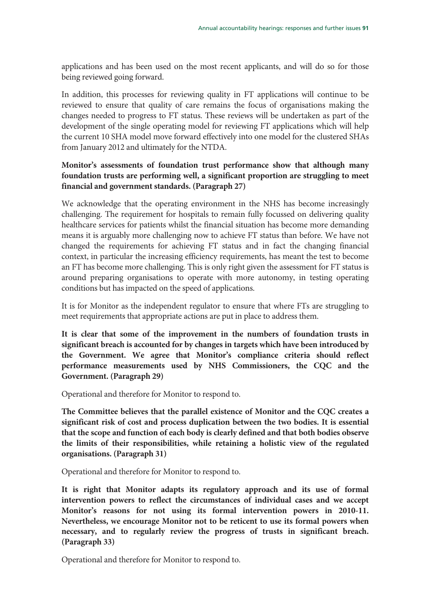applications and has been used on the most recent applicants, and will do so for those being reviewed going forward.

In addition, this processes for reviewing quality in FT applications will continue to be reviewed to ensure that quality of care remains the focus of organisations making the changes needed to progress to FT status. These reviews will be undertaken as part of the development of the single operating model for reviewing FT applications which will help the current 10 SHA model move forward effectively into one model for the clustered SHAs from January 2012 and ultimately for the NTDA.

## **Monitor's assessments of foundation trust performance show that although many foundation trusts are performing well, a significant proportion are struggling to meet financial and government standards. (Paragraph 27)**

We acknowledge that the operating environment in the NHS has become increasingly challenging. The requirement for hospitals to remain fully focussed on delivering quality healthcare services for patients whilst the financial situation has become more demanding means it is arguably more challenging now to achieve FT status than before. We have not changed the requirements for achieving FT status and in fact the changing financial context, in particular the increasing efficiency requirements, has meant the test to become an FT has become more challenging. This is only right given the assessment for FT status is around preparing organisations to operate with more autonomy, in testing operating conditions but has impacted on the speed of applications.

It is for Monitor as the independent regulator to ensure that where FTs are struggling to meet requirements that appropriate actions are put in place to address them.

**It is clear that some of the improvement in the numbers of foundation trusts in significant breach is accounted for by changes in targets which have been introduced by the Government. We agree that Monitor's compliance criteria should reflect performance measurements used by NHS Commissioners, the CQC and the Government. (Paragraph 29)** 

Operational and therefore for Monitor to respond to.

**The Committee believes that the parallel existence of Monitor and the CQC creates a significant risk of cost and process duplication between the two bodies. It is essential that the scope and function of each body is clearly defined and that both bodies observe the limits of their responsibilities, while retaining a holistic view of the regulated organisations. (Paragraph 31)** 

Operational and therefore for Monitor to respond to.

**It is right that Monitor adapts its regulatory approach and its use of formal intervention powers to reflect the circumstances of individual cases and we accept Monitor's reasons for not using its formal intervention powers in 2010-11. Nevertheless, we encourage Monitor not to be reticent to use its formal powers when necessary, and to regularly review the progress of trusts in significant breach. (Paragraph 33)** 

Operational and therefore for Monitor to respond to.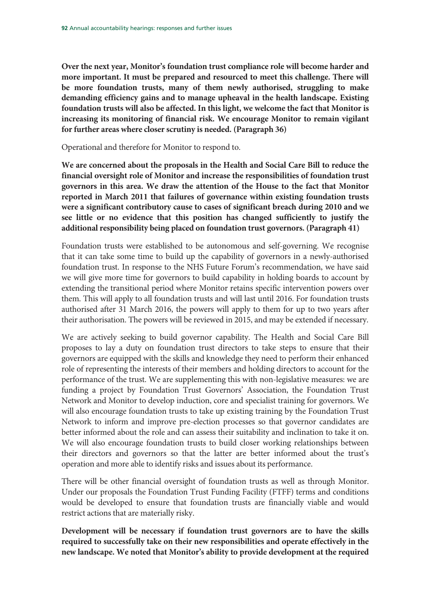**Over the next year, Monitor's foundation trust compliance role will become harder and more important. It must be prepared and resourced to meet this challenge. There will be more foundation trusts, many of them newly authorised, struggling to make demanding efficiency gains and to manage upheaval in the health landscape. Existing foundation trusts will also be affected. In this light, we welcome the fact that Monitor is increasing its monitoring of financial risk. We encourage Monitor to remain vigilant for further areas where closer scrutiny is needed. (Paragraph 36)** 

Operational and therefore for Monitor to respond to.

**We are concerned about the proposals in the Health and Social Care Bill to reduce the financial oversight role of Monitor and increase the responsibilities of foundation trust governors in this area. We draw the attention of the House to the fact that Monitor reported in March 2011 that failures of governance within existing foundation trusts were a significant contributory cause to cases of significant breach during 2010 and we see little or no evidence that this position has changed sufficiently to justify the additional responsibility being placed on foundation trust governors. (Paragraph 41)** 

Foundation trusts were established to be autonomous and self-governing. We recognise that it can take some time to build up the capability of governors in a newly-authorised foundation trust. In response to the NHS Future Forum's recommendation, we have said we will give more time for governors to build capability in holding boards to account by extending the transitional period where Monitor retains specific intervention powers over them. This will apply to all foundation trusts and will last until 2016. For foundation trusts authorised after 31 March 2016, the powers will apply to them for up to two years after their authorisation. The powers will be reviewed in 2015, and may be extended if necessary.

We are actively seeking to build governor capability. The Health and Social Care Bill proposes to lay a duty on foundation trust directors to take steps to ensure that their governors are equipped with the skills and knowledge they need to perform their enhanced role of representing the interests of their members and holding directors to account for the performance of the trust. We are supplementing this with non-legislative measures: we are funding a project by Foundation Trust Governors' Association, the Foundation Trust Network and Monitor to develop induction, core and specialist training for governors. We will also encourage foundation trusts to take up existing training by the Foundation Trust Network to inform and improve pre-election processes so that governor candidates are better informed about the role and can assess their suitability and inclination to take it on. We will also encourage foundation trusts to build closer working relationships between their directors and governors so that the latter are better informed about the trust's operation and more able to identify risks and issues about its performance.

There will be other financial oversight of foundation trusts as well as through Monitor. Under our proposals the Foundation Trust Funding Facility (FTFF) terms and conditions would be developed to ensure that foundation trusts are financially viable and would restrict actions that are materially risky.

**Development will be necessary if foundation trust governors are to have the skills required to successfully take on their new responsibilities and operate effectively in the new landscape. We noted that Monitor's ability to provide development at the required**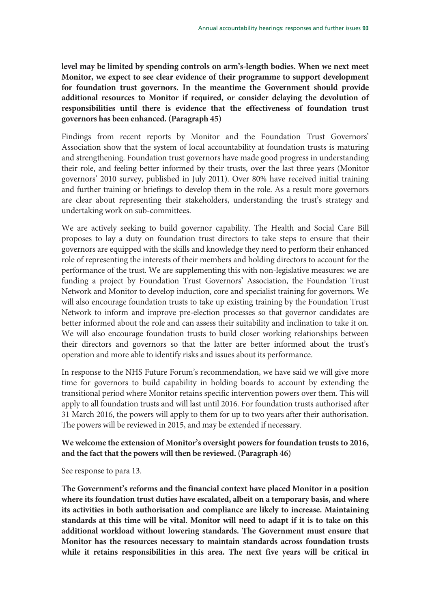**level may be limited by spending controls on arm's-length bodies. When we next meet Monitor, we expect to see clear evidence of their programme to support development for foundation trust governors. In the meantime the Government should provide additional resources to Monitor if required, or consider delaying the devolution of responsibilities until there is evidence that the effectiveness of foundation trust governors has been enhanced. (Paragraph 45)** 

Findings from recent reports by Monitor and the Foundation Trust Governors' Association show that the system of local accountability at foundation trusts is maturing and strengthening. Foundation trust governors have made good progress in understanding their role, and feeling better informed by their trusts, over the last three years (Monitor governors' 2010 survey, published in July 2011). Over 80% have received initial training and further training or briefings to develop them in the role. As a result more governors are clear about representing their stakeholders, understanding the trust's strategy and undertaking work on sub-committees.

We are actively seeking to build governor capability. The Health and Social Care Bill proposes to lay a duty on foundation trust directors to take steps to ensure that their governors are equipped with the skills and knowledge they need to perform their enhanced role of representing the interests of their members and holding directors to account for the performance of the trust. We are supplementing this with non-legislative measures: we are funding a project by Foundation Trust Governors' Association, the Foundation Trust Network and Monitor to develop induction, core and specialist training for governors. We will also encourage foundation trusts to take up existing training by the Foundation Trust Network to inform and improve pre-election processes so that governor candidates are better informed about the role and can assess their suitability and inclination to take it on. We will also encourage foundation trusts to build closer working relationships between their directors and governors so that the latter are better informed about the trust's operation and more able to identify risks and issues about its performance.

In response to the NHS Future Forum's recommendation, we have said we will give more time for governors to build capability in holding boards to account by extending the transitional period where Monitor retains specific intervention powers over them. This will apply to all foundation trusts and will last until 2016. For foundation trusts authorised after 31 March 2016, the powers will apply to them for up to two years after their authorisation. The powers will be reviewed in 2015, and may be extended if necessary.

## **We welcome the extension of Monitor's oversight powers for foundation trusts to 2016, and the fact that the powers will then be reviewed. (Paragraph 46)**

See response to para 13.

**The Government's reforms and the financial context have placed Monitor in a position where its foundation trust duties have escalated, albeit on a temporary basis, and where its activities in both authorisation and compliance are likely to increase. Maintaining standards at this time will be vital. Monitor will need to adapt if it is to take on this additional workload without lowering standards. The Government must ensure that Monitor has the resources necessary to maintain standards across foundation trusts while it retains responsibilities in this area. The next five years will be critical in**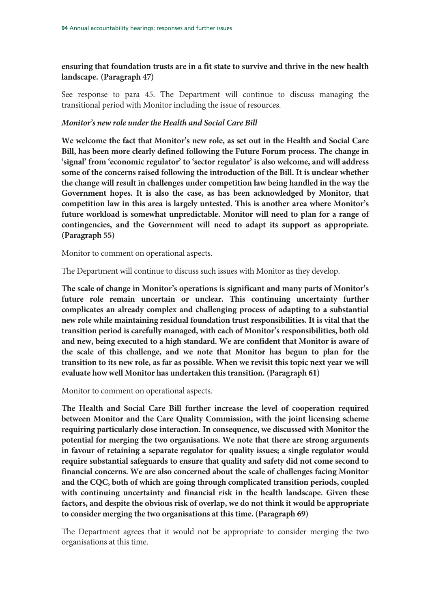## **ensuring that foundation trusts are in a fit state to survive and thrive in the new health landscape. (Paragraph 47)**

See response to para 45. The Department will continue to discuss managing the transitional period with Monitor including the issue of resources.

#### *Monitor's new role under the Health and Social Care Bill*

**We welcome the fact that Monitor's new role, as set out in the Health and Social Care Bill, has been more clearly defined following the Future Forum process. The change in 'signal' from 'economic regulator' to 'sector regulator' is also welcome, and will address some of the concerns raised following the introduction of the Bill. It is unclear whether the change will result in challenges under competition law being handled in the way the Government hopes. It is also the case, as has been acknowledged by Monitor, that competition law in this area is largely untested. This is another area where Monitor's future workload is somewhat unpredictable. Monitor will need to plan for a range of contingencies, and the Government will need to adapt its support as appropriate. (Paragraph 55)** 

Monitor to comment on operational aspects.

The Department will continue to discuss such issues with Monitor as they develop.

**The scale of change in Monitor's operations is significant and many parts of Monitor's future role remain uncertain or unclear. This continuing uncertainty further complicates an already complex and challenging process of adapting to a substantial new role while maintaining residual foundation trust responsibilities. It is vital that the transition period is carefully managed, with each of Monitor's responsibilities, both old and new, being executed to a high standard. We are confident that Monitor is aware of the scale of this challenge, and we note that Monitor has begun to plan for the transition to its new role, as far as possible. When we revisit this topic next year we will evaluate how well Monitor has undertaken this transition. (Paragraph 61)** 

Monitor to comment on operational aspects.

**The Health and Social Care Bill further increase the level of cooperation required between Monitor and the Care Quality Commission, with the joint licensing scheme requiring particularly close interaction. In consequence, we discussed with Monitor the potential for merging the two organisations. We note that there are strong arguments in favour of retaining a separate regulator for quality issues; a single regulator would require substantial safeguards to ensure that quality and safety did not come second to financial concerns. We are also concerned about the scale of challenges facing Monitor and the CQC, both of which are going through complicated transition periods, coupled with continuing uncertainty and financial risk in the health landscape. Given these factors, and despite the obvious risk of overlap, we do not think it would be appropriate to consider merging the two organisations at this time. (Paragraph 69)** 

The Department agrees that it would not be appropriate to consider merging the two organisations at this time.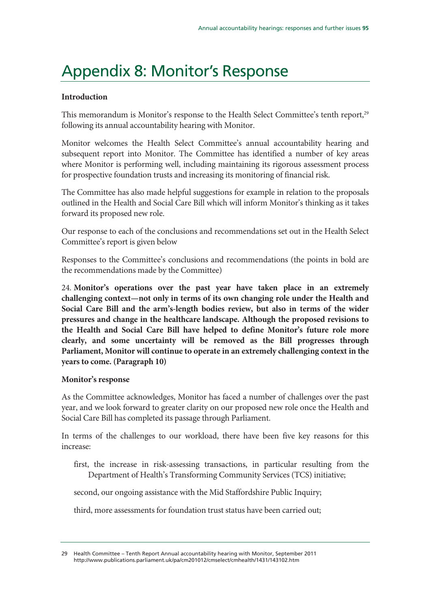# Appendix 8: Monitor's Response

#### **Introduction**

This memorandum is Monitor's response to the Health Select Committee's tenth report,<sup>29</sup> following its annual accountability hearing with Monitor.

Monitor welcomes the Health Select Committee's annual accountability hearing and subsequent report into Monitor. The Committee has identified a number of key areas where Monitor is performing well, including maintaining its rigorous assessment process for prospective foundation trusts and increasing its monitoring of financial risk.

The Committee has also made helpful suggestions for example in relation to the proposals outlined in the Health and Social Care Bill which will inform Monitor's thinking as it takes forward its proposed new role.

Our response to each of the conclusions and recommendations set out in the Health Select Committee's report is given below

Responses to the Committee's conclusions and recommendations (the points in bold are the recommendations made by the Committee)

24. **Monitor's operations over the past year have taken place in an extremely challenging context—not only in terms of its own changing role under the Health and Social Care Bill and the arm's-length bodies review, but also in terms of the wider pressures and change in the healthcare landscape. Although the proposed revisions to the Health and Social Care Bill have helped to define Monitor's future role more clearly, and some uncertainty will be removed as the Bill progresses through Parliament, Monitor will continue to operate in an extremely challenging context in the years to come. (Paragraph 10)** 

#### **Monitor's response**

As the Committee acknowledges, Monitor has faced a number of challenges over the past year, and we look forward to greater clarity on our proposed new role once the Health and Social Care Bill has completed its passage through Parliament.

In terms of the challenges to our workload, there have been five key reasons for this increase:

first, the increase in risk-assessing transactions, in particular resulting from the Department of Health's Transforming Community Services (TCS) initiative;

second, our ongoing assistance with the Mid Staffordshire Public Inquiry;

third, more assessments for foundation trust status have been carried out;

<sup>29</sup> Health Committee – Tenth Report Annual accountability hearing with Monitor, September 2011 http://www.publications.parliament.uk/pa/cm201012/cmselect/cmhealth/1431/143102.htm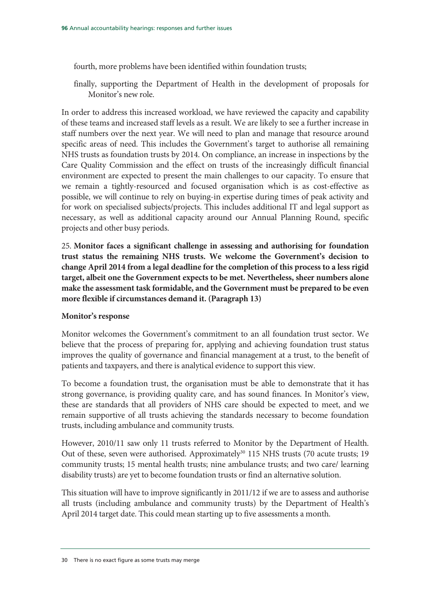fourth, more problems have been identified within foundation trusts;

finally, supporting the Department of Health in the development of proposals for Monitor's new role.

In order to address this increased workload, we have reviewed the capacity and capability of these teams and increased staff levels as a result. We are likely to see a further increase in staff numbers over the next year. We will need to plan and manage that resource around specific areas of need. This includes the Government's target to authorise all remaining NHS trusts as foundation trusts by 2014. On compliance, an increase in inspections by the Care Quality Commission and the effect on trusts of the increasingly difficult financial environment are expected to present the main challenges to our capacity. To ensure that we remain a tightly-resourced and focused organisation which is as cost-effective as possible, we will continue to rely on buying-in expertise during times of peak activity and for work on specialised subjects/projects. This includes additional IT and legal support as necessary, as well as additional capacity around our Annual Planning Round, specific projects and other busy periods.

25. **Monitor faces a significant challenge in assessing and authorising for foundation trust status the remaining NHS trusts. We welcome the Government's decision to change April 2014 from a legal deadline for the completion of this process to a less rigid target, albeit one the Government expects to be met. Nevertheless, sheer numbers alone make the assessment task formidable, and the Government must be prepared to be even more flexible if circumstances demand it. (Paragraph 13)** 

#### **Monitor's response**

Monitor welcomes the Government's commitment to an all foundation trust sector. We believe that the process of preparing for, applying and achieving foundation trust status improves the quality of governance and financial management at a trust, to the benefit of patients and taxpayers, and there is analytical evidence to support this view.

To become a foundation trust, the organisation must be able to demonstrate that it has strong governance, is providing quality care, and has sound finances. In Monitor's view, these are standards that all providers of NHS care should be expected to meet, and we remain supportive of all trusts achieving the standards necessary to become foundation trusts, including ambulance and community trusts.

However, 2010/11 saw only 11 trusts referred to Monitor by the Department of Health. Out of these, seven were authorised. Approximately<sup>30</sup> 115 NHS trusts (70 acute trusts; 19 community trusts; 15 mental health trusts; nine ambulance trusts; and two care/ learning disability trusts) are yet to become foundation trusts or find an alternative solution.

This situation will have to improve significantly in 2011/12 if we are to assess and authorise all trusts (including ambulance and community trusts) by the Department of Health's April 2014 target date. This could mean starting up to five assessments a month.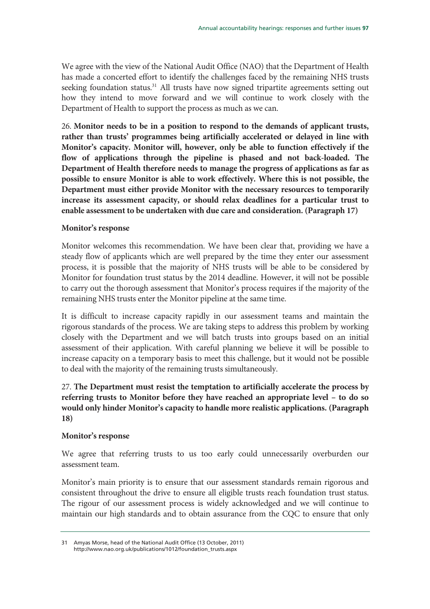We agree with the view of the National Audit Office (NAO) that the Department of Health has made a concerted effort to identify the challenges faced by the remaining NHS trusts seeking foundation status.<sup>31</sup> All trusts have now signed tripartite agreements setting out how they intend to move forward and we will continue to work closely with the Department of Health to support the process as much as we can.

26. **Monitor needs to be in a position to respond to the demands of applicant trusts, rather than trusts' programmes being artificially accelerated or delayed in line with Monitor's capacity. Monitor will, however, only be able to function effectively if the flow of applications through the pipeline is phased and not back-loaded. The Department of Health therefore needs to manage the progress of applications as far as possible to ensure Monitor is able to work effectively. Where this is not possible, the Department must either provide Monitor with the necessary resources to temporarily increase its assessment capacity, or should relax deadlines for a particular trust to enable assessment to be undertaken with due care and consideration. (Paragraph 17)** 

#### **Monitor's response**

Monitor welcomes this recommendation. We have been clear that, providing we have a steady flow of applicants which are well prepared by the time they enter our assessment process, it is possible that the majority of NHS trusts will be able to be considered by Monitor for foundation trust status by the 2014 deadline. However, it will not be possible to carry out the thorough assessment that Monitor's process requires if the majority of the remaining NHS trusts enter the Monitor pipeline at the same time.

It is difficult to increase capacity rapidly in our assessment teams and maintain the rigorous standards of the process. We are taking steps to address this problem by working closely with the Department and we will batch trusts into groups based on an initial assessment of their application. With careful planning we believe it will be possible to increase capacity on a temporary basis to meet this challenge, but it would not be possible to deal with the majority of the remaining trusts simultaneously.

27. **The Department must resist the temptation to artificially accelerate the process by referring trusts to Monitor before they have reached an appropriate level – to do so would only hinder Monitor's capacity to handle more realistic applications. (Paragraph 18)** 

#### **Monitor's response**

We agree that referring trusts to us too early could unnecessarily overburden our assessment team.

Monitor's main priority is to ensure that our assessment standards remain rigorous and consistent throughout the drive to ensure all eligible trusts reach foundation trust status. The rigour of our assessment process is widely acknowledged and we will continue to maintain our high standards and to obtain assurance from the CQC to ensure that only

<sup>31</sup> Amyas Morse, head of the National Audit Office (13 October, 2011) http://www.nao.org.uk/publications/1012/foundation\_trusts.aspx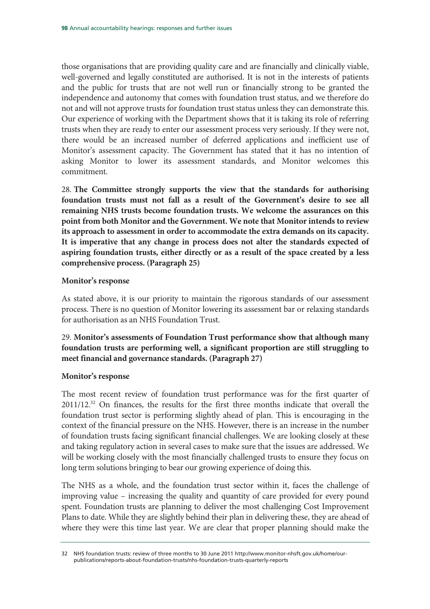those organisations that are providing quality care and are financially and clinically viable, well-governed and legally constituted are authorised. It is not in the interests of patients and the public for trusts that are not well run or financially strong to be granted the independence and autonomy that comes with foundation trust status, and we therefore do not and will not approve trusts for foundation trust status unless they can demonstrate this. Our experience of working with the Department shows that it is taking its role of referring trusts when they are ready to enter our assessment process very seriously. If they were not, there would be an increased number of deferred applications and inefficient use of Monitor's assessment capacity. The Government has stated that it has no intention of asking Monitor to lower its assessment standards, and Monitor welcomes this commitment.

28. **The Committee strongly supports the view that the standards for authorising foundation trusts must not fall as a result of the Government's desire to see all remaining NHS trusts become foundation trusts. We welcome the assurances on this point from both Monitor and the Government. We note that Monitor intends to review its approach to assessment in order to accommodate the extra demands on its capacity. It is imperative that any change in process does not alter the standards expected of aspiring foundation trusts, either directly or as a result of the space created by a less comprehensive process. (Paragraph 25)** 

#### **Monitor's response**

As stated above, it is our priority to maintain the rigorous standards of our assessment process. There is no question of Monitor lowering its assessment bar or relaxing standards for authorisation as an NHS Foundation Trust.

29. **Monitor's assessments of Foundation Trust performance show that although many foundation trusts are performing well, a significant proportion are still struggling to meet financial and governance standards. (Paragraph 27)** 

#### **Monitor's response**

The most recent review of foundation trust performance was for the first quarter of 2011/12.32 On finances, the results for the first three months indicate that overall the foundation trust sector is performing slightly ahead of plan. This is encouraging in the context of the financial pressure on the NHS. However, there is an increase in the number of foundation trusts facing significant financial challenges. We are looking closely at these and taking regulatory action in several cases to make sure that the issues are addressed. We will be working closely with the most financially challenged trusts to ensure they focus on long term solutions bringing to bear our growing experience of doing this.

The NHS as a whole, and the foundation trust sector within it, faces the challenge of improving value – increasing the quality and quantity of care provided for every pound spent. Foundation trusts are planning to deliver the most challenging Cost Improvement Plans to date. While they are slightly behind their plan in delivering these, they are ahead of where they were this time last year. We are clear that proper planning should make the

<sup>32</sup> NHS foundation trusts: review of three months to 30 June 2011 http://www.monitor-nhsft.gov.uk/home/ourpublications/reports-about-foundation-trusts/nhs-foundation-trusts-quarterly-reports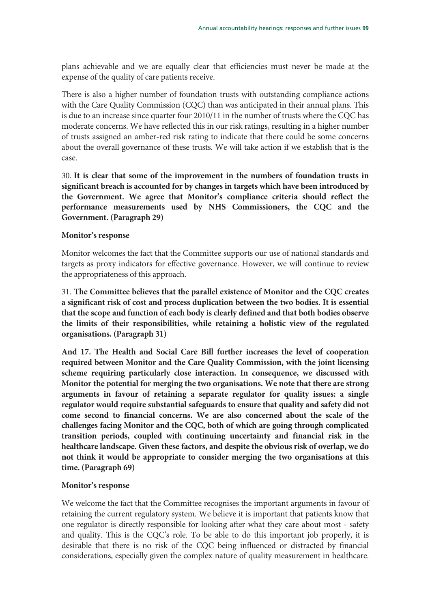plans achievable and we are equally clear that efficiencies must never be made at the expense of the quality of care patients receive.

There is also a higher number of foundation trusts with outstanding compliance actions with the Care Quality Commission (CQC) than was anticipated in their annual plans. This is due to an increase since quarter four 2010/11 in the number of trusts where the CQC has moderate concerns. We have reflected this in our risk ratings, resulting in a higher number of trusts assigned an amber-red risk rating to indicate that there could be some concerns about the overall governance of these trusts. We will take action if we establish that is the case.

30. **It is clear that some of the improvement in the numbers of foundation trusts in significant breach is accounted for by changes in targets which have been introduced by the Government. We agree that Monitor's compliance criteria should reflect the performance measurements used by NHS Commissioners, the CQC and the Government. (Paragraph 29)** 

#### **Monitor's response**

Monitor welcomes the fact that the Committee supports our use of national standards and targets as proxy indicators for effective governance. However, we will continue to review the appropriateness of this approach.

31. **The Committee believes that the parallel existence of Monitor and the CQC creates a significant risk of cost and process duplication between the two bodies. It is essential that the scope and function of each body is clearly defined and that both bodies observe the limits of their responsibilities, while retaining a holistic view of the regulated organisations. (Paragraph 31)** 

**And 17. The Health and Social Care Bill further increases the level of cooperation required between Monitor and the Care Quality Commission, with the joint licensing scheme requiring particularly close interaction. In consequence, we discussed with Monitor the potential for merging the two organisations. We note that there are strong arguments in favour of retaining a separate regulator for quality issues: a single regulator would require substantial safeguards to ensure that quality and safety did not come second to financial concerns. We are also concerned about the scale of the challenges facing Monitor and the CQC, both of which are going through complicated transition periods, coupled with continuing uncertainty and financial risk in the healthcare landscape. Given these factors, and despite the obvious risk of overlap, we do not think it would be appropriate to consider merging the two organisations at this time. (Paragraph 69)** 

#### **Monitor's response**

We welcome the fact that the Committee recognises the important arguments in favour of retaining the current regulatory system. We believe it is important that patients know that one regulator is directly responsible for looking after what they care about most - safety and quality. This is the CQC's role. To be able to do this important job properly, it is desirable that there is no risk of the CQC being influenced or distracted by financial considerations, especially given the complex nature of quality measurement in healthcare.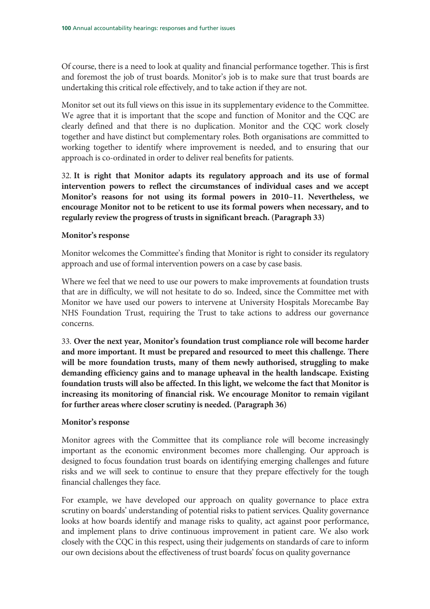Of course, there is a need to look at quality and financial performance together. This is first and foremost the job of trust boards. Monitor's job is to make sure that trust boards are undertaking this critical role effectively, and to take action if they are not.

Monitor set out its full views on this issue in its supplementary evidence to the Committee. We agree that it is important that the scope and function of Monitor and the CQC are clearly defined and that there is no duplication. Monitor and the CQC work closely together and have distinct but complementary roles. Both organisations are committed to working together to identify where improvement is needed, and to ensuring that our approach is co-ordinated in order to deliver real benefits for patients.

32. **It is right that Monitor adapts its regulatory approach and its use of formal intervention powers to reflect the circumstances of individual cases and we accept Monitor's reasons for not using its formal powers in 2010–11. Nevertheless, we encourage Monitor not to be reticent to use its formal powers when necessary, and to regularly review the progress of trusts in significant breach. (Paragraph 33)** 

#### **Monitor's response**

Monitor welcomes the Committee's finding that Monitor is right to consider its regulatory approach and use of formal intervention powers on a case by case basis.

Where we feel that we need to use our powers to make improvements at foundation trusts that are in difficulty, we will not hesitate to do so. Indeed, since the Committee met with Monitor we have used our powers to intervene at University Hospitals Morecambe Bay NHS Foundation Trust, requiring the Trust to take actions to address our governance concerns.

33. **Over the next year, Monitor's foundation trust compliance role will become harder and more important. It must be prepared and resourced to meet this challenge. There will be more foundation trusts, many of them newly authorised, struggling to make demanding efficiency gains and to manage upheaval in the health landscape. Existing foundation trusts will also be affected. In this light, we welcome the fact that Monitor is increasing its monitoring of financial risk. We encourage Monitor to remain vigilant for further areas where closer scrutiny is needed. (Paragraph 36)** 

#### **Monitor's response**

Monitor agrees with the Committee that its compliance role will become increasingly important as the economic environment becomes more challenging. Our approach is designed to focus foundation trust boards on identifying emerging challenges and future risks and we will seek to continue to ensure that they prepare effectively for the tough financial challenges they face.

For example, we have developed our approach on quality governance to place extra scrutiny on boards' understanding of potential risks to patient services. Quality governance looks at how boards identify and manage risks to quality, act against poor performance, and implement plans to drive continuous improvement in patient care. We also work closely with the CQC in this respect, using their judgements on standards of care to inform our own decisions about the effectiveness of trust boards' focus on quality governance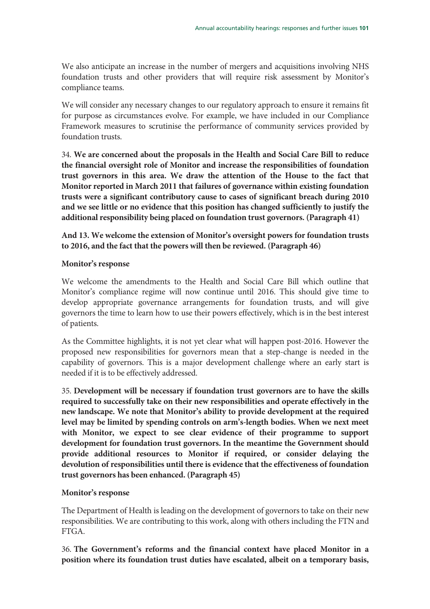We also anticipate an increase in the number of mergers and acquisitions involving NHS foundation trusts and other providers that will require risk assessment by Monitor's compliance teams.

We will consider any necessary changes to our regulatory approach to ensure it remains fit for purpose as circumstances evolve. For example, we have included in our Compliance Framework measures to scrutinise the performance of community services provided by foundation trusts.

34. **We are concerned about the proposals in the Health and Social Care Bill to reduce the financial oversight role of Monitor and increase the responsibilities of foundation trust governors in this area. We draw the attention of the House to the fact that Monitor reported in March 2011 that failures of governance within existing foundation trusts were a significant contributory cause to cases of significant breach during 2010 and we see little or no evidence that this position has changed sufficiently to justify the additional responsibility being placed on foundation trust governors. (Paragraph 41)** 

**And 13. We welcome the extension of Monitor's oversight powers for foundation trusts to 2016, and the fact that the powers will then be reviewed. (Paragraph 46)** 

#### **Monitor's response**

We welcome the amendments to the Health and Social Care Bill which outline that Monitor's compliance regime will now continue until 2016. This should give time to develop appropriate governance arrangements for foundation trusts, and will give governors the time to learn how to use their powers effectively, which is in the best interest of patients.

As the Committee highlights, it is not yet clear what will happen post-2016. However the proposed new responsibilities for governors mean that a step-change is needed in the capability of governors. This is a major development challenge where an early start is needed if it is to be effectively addressed.

35. **Development will be necessary if foundation trust governors are to have the skills required to successfully take on their new responsibilities and operate effectively in the new landscape. We note that Monitor's ability to provide development at the required level may be limited by spending controls on arm's-length bodies. When we next meet with Monitor, we expect to see clear evidence of their programme to support development for foundation trust governors. In the meantime the Government should provide additional resources to Monitor if required, or consider delaying the devolution of responsibilities until there is evidence that the effectiveness of foundation trust governors has been enhanced. (Paragraph 45)** 

#### **Monitor's response**

The Department of Health is leading on the development of governors to take on their new responsibilities. We are contributing to this work, along with others including the FTN and FTGA.

36. **The Government's reforms and the financial context have placed Monitor in a position where its foundation trust duties have escalated, albeit on a temporary basis,**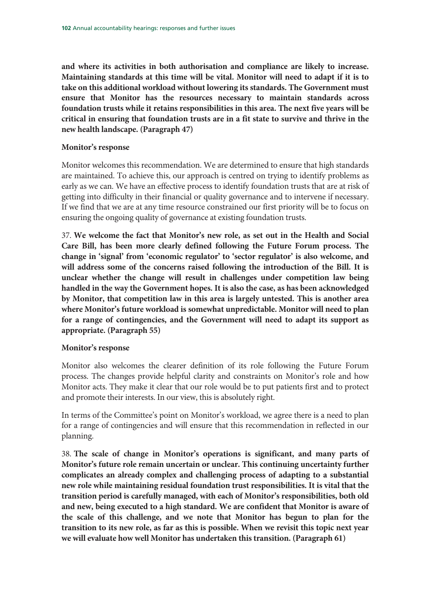**and where its activities in both authorisation and compliance are likely to increase. Maintaining standards at this time will be vital. Monitor will need to adapt if it is to take on this additional workload without lowering its standards. The Government must ensure that Monitor has the resources necessary to maintain standards across foundation trusts while it retains responsibilities in this area. The next five years will be critical in ensuring that foundation trusts are in a fit state to survive and thrive in the new health landscape. (Paragraph 47)** 

#### **Monitor's response**

Monitor welcomes this recommendation. We are determined to ensure that high standards are maintained. To achieve this, our approach is centred on trying to identify problems as early as we can. We have an effective process to identify foundation trusts that are at risk of getting into difficulty in their financial or quality governance and to intervene if necessary. If we find that we are at any time resource constrained our first priority will be to focus on ensuring the ongoing quality of governance at existing foundation trusts.

37. **We welcome the fact that Monitor's new role, as set out in the Health and Social Care Bill, has been more clearly defined following the Future Forum process. The change in 'signal' from 'economic regulator' to 'sector regulator' is also welcome, and will address some of the concerns raised following the introduction of the Bill. It is unclear whether the change will result in challenges under competition law being handled in the way the Government hopes. It is also the case, as has been acknowledged by Monitor, that competition law in this area is largely untested. This is another area where Monitor's future workload is somewhat unpredictable. Monitor will need to plan for a range of contingencies, and the Government will need to adapt its support as appropriate. (Paragraph 55)** 

#### **Monitor's response**

Monitor also welcomes the clearer definition of its role following the Future Forum process. The changes provide helpful clarity and constraints on Monitor's role and how Monitor acts. They make it clear that our role would be to put patients first and to protect and promote their interests. In our view, this is absolutely right.

In terms of the Committee's point on Monitor's workload, we agree there is a need to plan for a range of contingencies and will ensure that this recommendation in reflected in our planning.

38. **The scale of change in Monitor's operations is significant, and many parts of Monitor's future role remain uncertain or unclear. This continuing uncertainty further complicates an already complex and challenging process of adapting to a substantial new role while maintaining residual foundation trust responsibilities. It is vital that the transition period is carefully managed, with each of Monitor's responsibilities, both old and new, being executed to a high standard. We are confident that Monitor is aware of the scale of this challenge, and we note that Monitor has begun to plan for the transition to its new role, as far as this is possible. When we revisit this topic next year we will evaluate how well Monitor has undertaken this transition. (Paragraph 61)**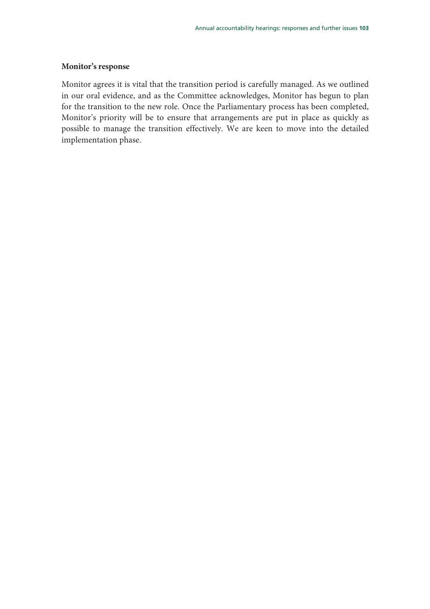#### **Monitor's response**

Monitor agrees it is vital that the transition period is carefully managed. As we outlined in our oral evidence, and as the Committee acknowledges, Monitor has begun to plan for the transition to the new role. Once the Parliamentary process has been completed, Monitor's priority will be to ensure that arrangements are put in place as quickly as possible to manage the transition effectively. We are keen to move into the detailed implementation phase.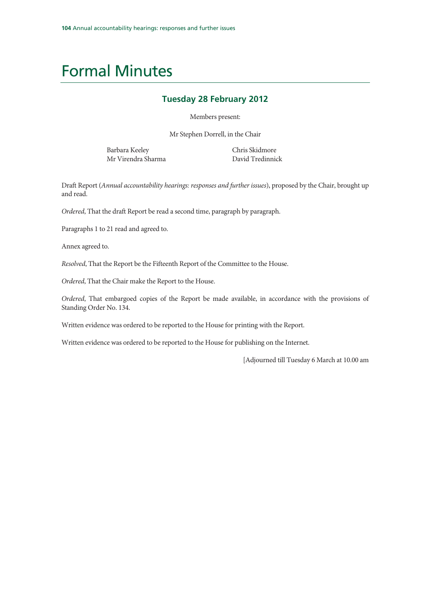## Formal Minutes

#### **Tuesday 28 February 2012**

Members present:

Mr Stephen Dorrell, in the Chair

Barbara Keeley Mr Virendra Sharma Chris Skidmore David Tredinnick

Draft Report (Annual accountability hearings: responses and further issues), proposed by the Chair, brought up and read.

Ordered, That the draft Report be read a second time, paragraph by paragraph.

Paragraphs 1 to 21 read and agreed to.

Annex agreed to.

Resolved, That the Report be the Fifteenth Report of the Committee to the House.

Ordered, That the Chair make the Report to the House.

Ordered, That embargoed copies of the Report be made available, in accordance with the provisions of Standing Order No. 134.

Written evidence was ordered to be reported to the House for printing with the Report.

Written evidence was ordered to be reported to the House for publishing on the Internet.

[Adjourned till Tuesday 6 March at 10.00 am